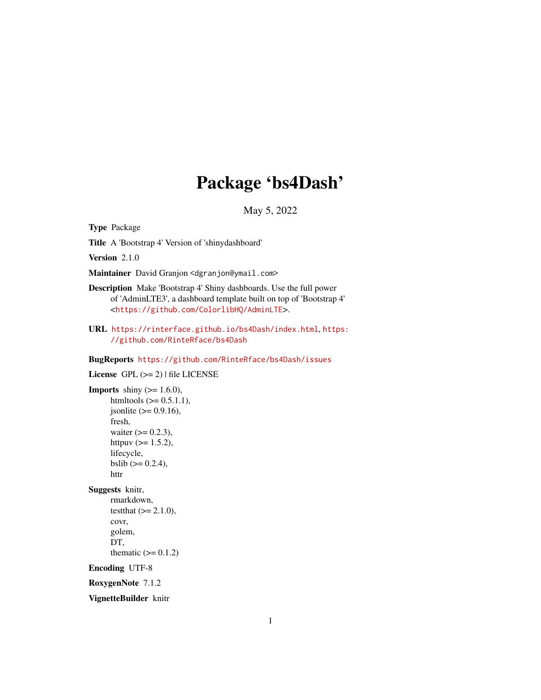# Package 'bs4Dash'

May 5, 2022

<span id="page-0-0"></span>Type Package

Title A 'Bootstrap 4' Version of 'shinydashboard'

Version 2.1.0

Maintainer David Granjon <dgranjon@ymail.com>

Description Make 'Bootstrap 4' Shiny dashboards. Use the full power of 'AdminLTE3', a dashboard template built on top of 'Bootstrap 4' <<https://github.com/ColorlibHQ/AdminLTE>>.

URL <https://rinterface.github.io/bs4Dash/index.html>, [https:](https://github.com/RinteRface/bs4Dash) [//github.com/RinteRface/bs4Dash](https://github.com/RinteRface/bs4Dash)

BugReports <https://github.com/RinteRface/bs4Dash/issues>

License GPL  $(>= 2)$  | file LICENSE **Imports** shiny  $(>= 1.6.0)$ , htmltools  $(>= 0.5.1.1)$ ,  $jsonlite (= 0.9.16),$ fresh, waiter  $(>= 0.2.3)$ , httpuv  $(>= 1.5.2)$ , lifecycle, bslib  $(>= 0.2.4)$ , httr Suggests knitr, rmarkdown, testthat  $(>= 2.1.0)$ , covr, golem, DT, thematic  $(>= 0.1.2)$ Encoding UTF-8 RoxygenNote 7.1.2

VignetteBuilder knitr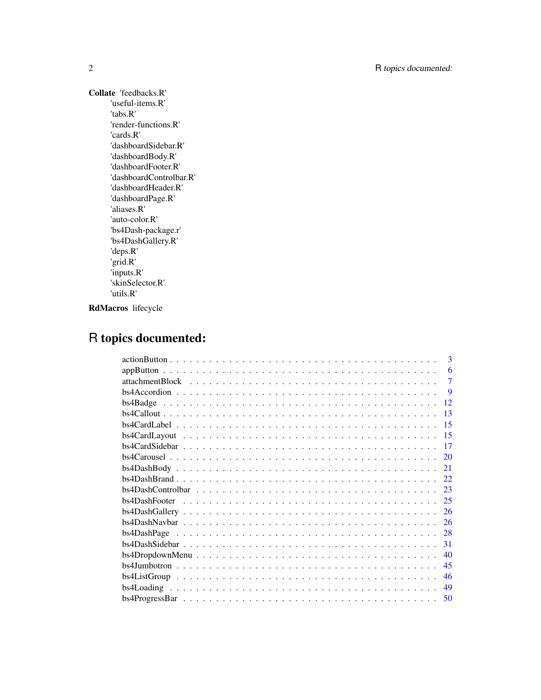Collate 'feedbacks.R' 'useful-items.R' 'tabs.R' 'render-functions.R' 'cards.R' 'dashboardSidebar.R' 'dashboardBody.R' 'dashboardFooter.R' 'dashboardControlbar.R' 'dashboardHeader.R' 'dashboardPage.R' 'aliases.R' 'auto-color.R' 'bs4Dash-package.r' 'bs4DashGallery.R' 'deps.R' 'grid.R' 'inputs.R' 'skinSelector.R' 'utils.R'

RdMacros lifecycle

# R topics documented:

| $\mathbf{3}$                                                                                                                |
|-----------------------------------------------------------------------------------------------------------------------------|
| 6                                                                                                                           |
| $\overline{7}$                                                                                                              |
| 9                                                                                                                           |
| 12                                                                                                                          |
| 13                                                                                                                          |
| 15                                                                                                                          |
| $bs4CardLayout \dots \dots \dots \dots \dots \dots \dots \dots \dots \dots \dots \dots \dots \dots \dots \dots$<br>15       |
| -17                                                                                                                         |
| 20                                                                                                                          |
|                                                                                                                             |
| $bs4DashBrand \dots \dots \dots \dots \dots \dots \dots \dots \dots \dots \dots \dots \dots \dots \dots \dots \dots$<br>22. |
| 23                                                                                                                          |
|                                                                                                                             |
| <sup>26</sup>                                                                                                               |
| 26                                                                                                                          |
| $bs4DashPage \dots \dots \dots \dots \dots \dots \dots \dots \dots \dots \dots \dots \dots \dots \dots \dots$<br>28         |
| 31                                                                                                                          |
| $bs4DropdownMenu$<br>40                                                                                                     |
| 45                                                                                                                          |
| 46                                                                                                                          |
| 49                                                                                                                          |
|                                                                                                                             |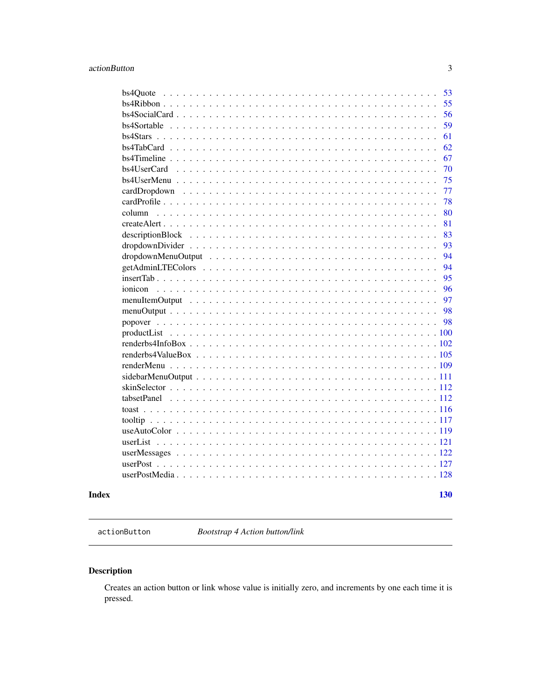<span id="page-2-0"></span>

| Index |                                            | 130      |
|-------|--------------------------------------------|----------|
|       |                                            |          |
|       |                                            |          |
|       |                                            |          |
|       |                                            |          |
|       |                                            |          |
|       |                                            |          |
|       | $toast \ldots \ldots \ldots$               |          |
|       | tabsetPanel<br>$\sim$ $\sim$ $\sim$ $\sim$ |          |
|       |                                            |          |
|       |                                            |          |
|       |                                            |          |
|       |                                            |          |
|       |                                            |          |
|       |                                            |          |
|       |                                            | 98       |
|       |                                            | 98       |
|       |                                            | 97       |
|       |                                            | 96       |
|       |                                            | 95       |
|       |                                            | 94       |
|       |                                            | 94       |
|       |                                            | 93       |
|       |                                            | 83       |
|       |                                            | 81       |
|       | column                                     | 80       |
|       | cardDropdown                               | 77<br>78 |
|       |                                            | 75       |
|       |                                            | 70       |
|       |                                            | 67       |
|       |                                            | 62       |
|       |                                            | 61       |
|       |                                            | 59       |
|       |                                            | 56       |
|       |                                            | 55       |
|       | bs4Ouote                                   | 53       |
|       |                                            |          |

<span id="page-2-1"></span>actionButton *Bootstrap 4 Action button/link*

#### Description

Creates an action button or link whose value is initially zero, and increments by one each time it is pressed.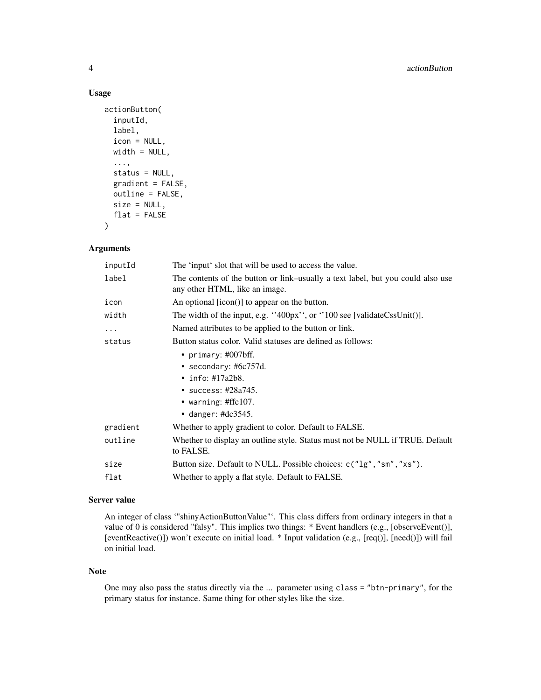#### Usage

```
actionButton(
  inputId,
  label,
  icon = NULL,
  width = NULL,
  ...,
  status = NULL,
  gradient = FALSE,
  outline = FALSE,
  size = NULL,
  flat = FALSE
\mathcal{L}
```
#### Arguments

| inputId  | The 'input' slot that will be used to access the value.                                                           |
|----------|-------------------------------------------------------------------------------------------------------------------|
| label    | The contents of the button or link–usually a text label, but you could also use<br>any other HTML, like an image. |
| icon     | An optional [icon()] to appear on the button.                                                                     |
| width    | The width of the input, e.g. $\cdot$ 400px $\cdot$ , or $\cdot$ 100 see [validateCssUnit()].                      |
| $\cdots$ | Named attributes to be applied to the button or link.                                                             |
| status   | Button status color. Valid statuses are defined as follows:                                                       |
|          | • primary: $\#007$ bff.                                                                                           |
|          | • secondary: #6 $c757d$ .                                                                                         |
|          | • info: $\#17a2b8$ .                                                                                              |
|          | • success: #28a745.                                                                                               |
|          | • warning: #ffc107.                                                                                               |
|          | • danger: #dc3545.                                                                                                |
| gradient | Whether to apply gradient to color. Default to FALSE.                                                             |
| outline  | Whether to display an outline style. Status must not be NULL if TRUE. Default<br>to FALSE.                        |
| size     | Button size. Default to NULL. Possible choices: c("1g", "sm", "xs").                                              |
| flat     | Whether to apply a flat style. Default to FALSE.                                                                  |

#### Server value

An integer of class '"shinyActionButtonValue"'. This class differs from ordinary integers in that a value of 0 is considered "falsy". This implies two things: \* Event handlers (e.g., [observeEvent()], [eventReactive()]) won't execute on initial load. \* Input validation (e.g., [req()], [need()]) will fail on initial load.

#### Note

One may also pass the status directly via the ... parameter using class = "btn-primary", for the primary status for instance. Same thing for other styles like the size.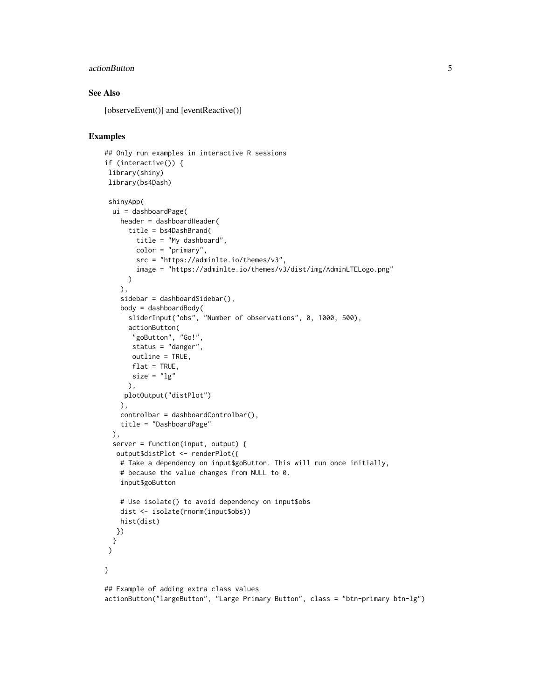#### actionButton 5

#### See Also

[observeEvent()] and [eventReactive()]

```
## Only run examples in interactive R sessions
if (interactive()) {
library(shiny)
library(bs4Dash)
shinyApp(
 ui = dashboardPage(
   header = dashboardHeader(
     title = bs4DashBrand(
       title = "My dashboard",
       color = "primary",
       src = "https://adminlte.io/themes/v3",
       image = "https://adminlte.io/themes/v3/dist/img/AdminLTELogo.png"
     )
   ),
    sidebar = dashboardSidebar(),
   body = dashboardBody(
     sliderInput("obs", "Number of observations", 0, 1000, 500),
     actionButton(
      "goButton", "Go!",
      status = "danger",
      outline = TRUE,
      flat = TRUE,
      size = "lg"),
    plotOutput("distPlot")
   ),
   controlbar = dashboardControlbar(),
   title = "DashboardPage"
 ),
 server = function(input, output) {
  output$distPlot <- renderPlot({
   # Take a dependency on input$goButton. This will run once initially,
   # because the value changes from NULL to 0.
   input$goButton
   # Use isolate() to avoid dependency on input$obs
   dist <- isolate(rnorm(input$obs))
   hist(dist)
  })
 }
)
}
## Example of adding extra class values
actionButton("largeButton", "Large Primary Button", class = "btn-primary btn-lg")
```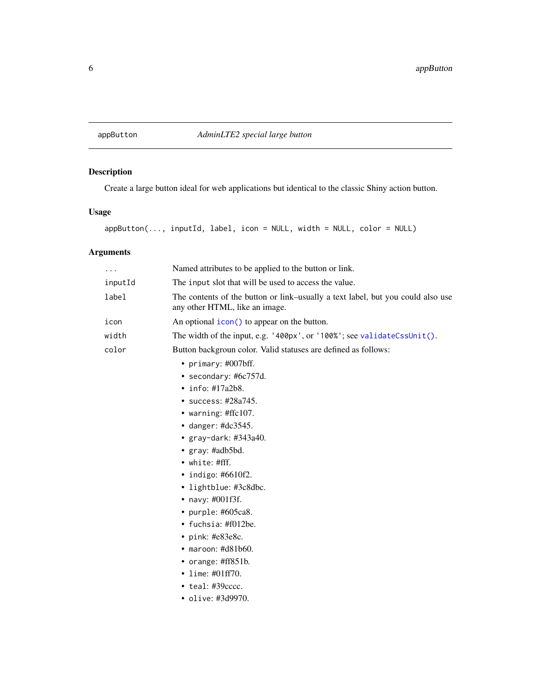<span id="page-5-0"></span>

## Description

Create a large button ideal for web applications but identical to the classic Shiny action button.

#### Usage

```
appButton(..., inputId, label, icon = NULL, width = NULL, color = NULL)
```
# Arguments

| $\cdots$ | Named attributes to be applied to the button or link.                                                             |
|----------|-------------------------------------------------------------------------------------------------------------------|
| inputId  | The input slot that will be used to access the value.                                                             |
| label    | The contents of the button or link-usually a text label, but you could also use<br>any other HTML, like an image. |
| icon     | An optional $\text{icon}()$ to appear on the button.                                                              |
| width    | The width of the input, e.g. '400px', or '100%'; see validateCssUnit().                                           |
| color    | Button backgroun color. Valid statuses are defined as follows:                                                    |
|          | • primary: $\#007$ bff.                                                                                           |
|          | • secondary: #6c757d.                                                                                             |
|          | $\cdot$ info: #17a2b8.                                                                                            |
|          | • success: #28a745.                                                                                               |
|          | • warning: #ffc107.                                                                                               |
|          | $\bullet$ danger: #dc3545.                                                                                        |
|          | • $gray$ -dark: #343a40.                                                                                          |
|          | • $gray: \#adb5bd.$                                                                                               |
|          | • white: #fff.                                                                                                    |
|          | • indigo: $#6610f2$ .                                                                                             |
|          | • lightblue: #3c8dbc.                                                                                             |
|          | • navy: $\#001f3f$ .                                                                                              |
|          | • purple: #605ca8.                                                                                                |
|          | • fuchsia: $\text{\#f012be}.$                                                                                     |
|          | • pink: $#e83e8c$ .                                                                                               |
|          | $\bullet$ maroon: #d81b60.                                                                                        |
|          | • orange: $\#ff851b$ .                                                                                            |
|          | • lime: $\#01ff70$ .                                                                                              |
|          | $\bullet$ teal: #39 $cccc.$                                                                                       |
|          | • olive: #3d9970.                                                                                                 |
|          |                                                                                                                   |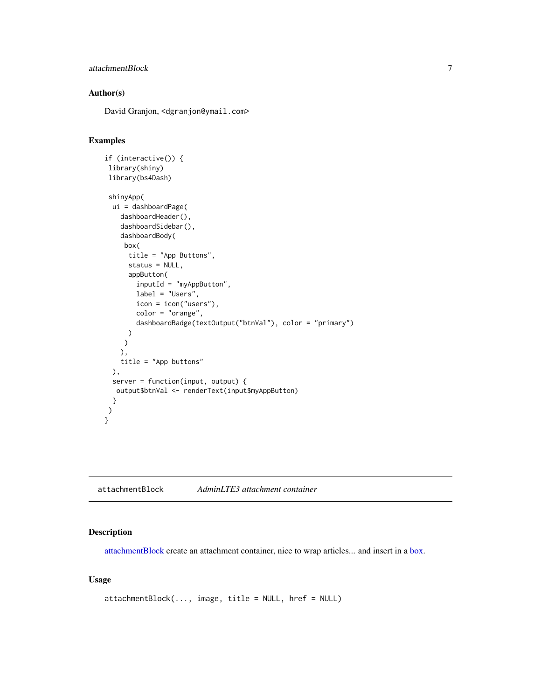#### <span id="page-6-0"></span>attachmentBlock 7

#### Author(s)

David Granjon, <dgranjon@ymail.com>

#### Examples

```
if (interactive()) {
library(shiny)
library(bs4Dash)
shinyApp(
 ui = dashboardPage(
   dashboardHeader(),
   dashboardSidebar(),
   dashboardBody(
    box(
     title = "App Buttons",
     status = NULL,
      appButton(
        inputId = "myAppButton",
       label = "Users",
       icon = icon("users"),
       color = "orange",
       dashboardBadge(textOutput("btnVal"), color = "primary")
     )
    )
   ),
   title = "App buttons"
 ),
 server = function(input, output) {
  output$btnVal <- renderText(input$myAppButton)
 }
 )
}
```
<span id="page-6-1"></span>attachmentBlock *AdminLTE3 attachment container*

#### Description

[attachmentBlock](#page-6-1) create an attachment container, nice to wrap articles... and insert in a [box.](#page-82-1)

#### Usage

```
attachmentBlock(..., image, title = NULL, href = NULL)
```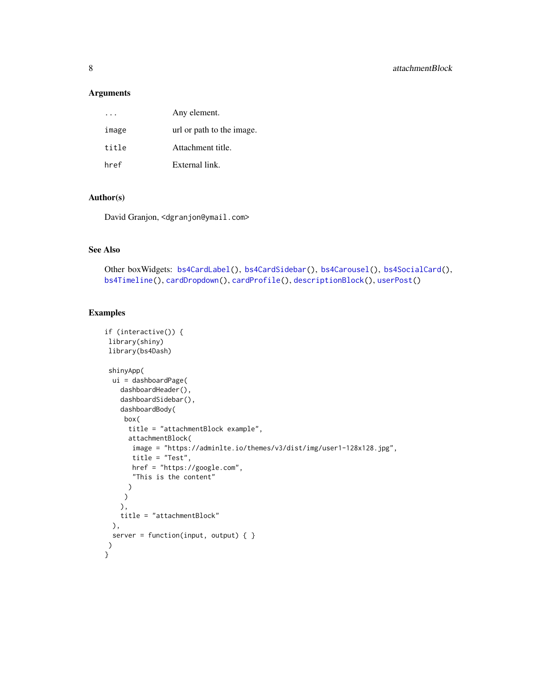#### Arguments

|       | Any element.              |
|-------|---------------------------|
| image | url or path to the image. |
| title | Attachment title.         |
| href  | External link.            |

#### Author(s)

David Granjon, <dgranjon@ymail.com>

#### See Also

```
Other boxWidgets: bs4CardLabel(), bs4CardSidebar(), bs4Carousel(), bs4SocialCard(),
bs4Timeline(), cardDropdown(), cardProfile(), descriptionBlock(), userPost()
```

```
if (interactive()) {
library(shiny)
library(bs4Dash)
shinyApp(
 ui = dashboardPage(
   dashboardHeader(),
   dashboardSidebar(),
   dashboardBody(
    box(
     title = "attachmentBlock example",
     attachmentBlock(
      image = "https://adminlte.io/themes/v3/dist/img/user1-128x128.jpg",
      title = "Test",
      href = "https://google.com",
      "This is the content"
     )
    )
   ),
   title = "attachmentBlock"
 ),
 server = function(input, output) { }
)
}
```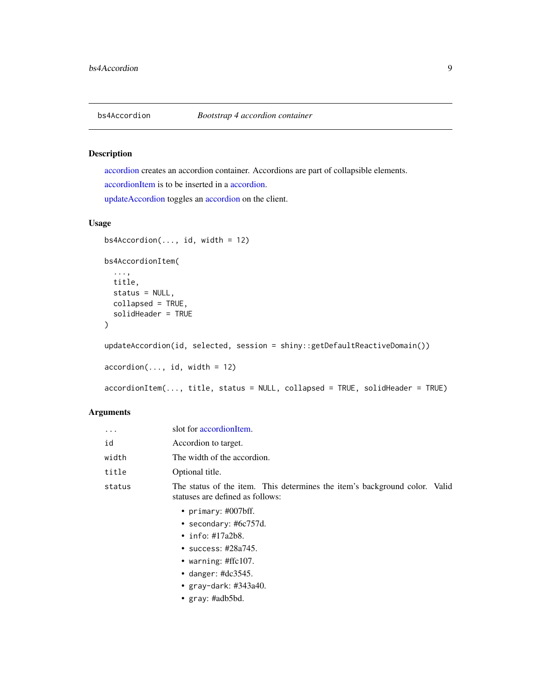<span id="page-8-0"></span>

#### <span id="page-8-1"></span>Description

[accordion](#page-8-1) creates an accordion container. Accordions are part of collapsible elements. [accordionItem](#page-8-1) is to be inserted in a [accordion.](#page-8-1) [updateAccordion](#page-8-1) toggles an [accordion](#page-8-1) on the client.

#### Usage

```
bs4Accordion(..., id, width = 12)bs4AccordionItem(
  ...,
 title,
 status = NULL,
 collapsed = TRUE,
  solidHeader = TRUE
)
updateAccordion(id, selected, session = shiny::getDefaultReactiveDomain())
accordion(..., id, width = 12)accordionItem(..., title, status = NULL, collapsed = TRUE, solidHeader = TRUE)
```
#### Arguments

| $\ddotsc$ | slot for accordionItem.                                                                                        |
|-----------|----------------------------------------------------------------------------------------------------------------|
| id        | Accordion to target.                                                                                           |
| width     | The width of the accordion.                                                                                    |
| title     | Optional title.                                                                                                |
| status    | The status of the item. This determines the item's background color. Valid<br>statuses are defined as follows: |
|           | • primary: $\#007$ bff.                                                                                        |
|           | • secondary: $#6c757d$ .                                                                                       |
|           | $\cdot$ info: #17a2b8.                                                                                         |
|           | • success: $\#28a745$ .                                                                                        |
|           | • warning: $\#$ ffc $107$ .                                                                                    |
|           | • danger: $\text{\#dc}3545$ .                                                                                  |
|           | • $gray-dark: #343a40.$                                                                                        |
|           | • $gray: \#adb5bd.$                                                                                            |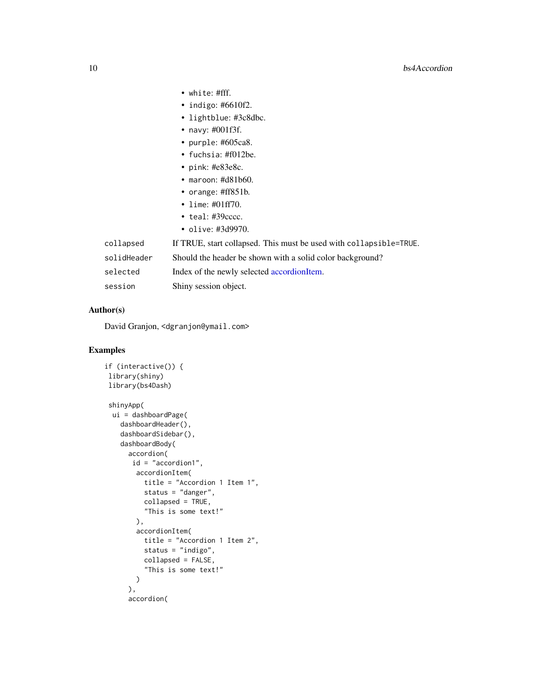- white: #fff.
- indigo: #6610f2.
- lightblue: #3c8dbc.
- navy: #001f3f.
- purple: #605ca8.
- fuchsia: #f012be.
- pink: #e83e8c.
- maroon: #d81b60.
- orange: #ff851b.
- lime: #01ff70.
- teal: #39cccc.
- olive: #3d9970.

| collapsed   | If TRUE, start collapsed. This must be used with collapsible=TRUE. |
|-------------|--------------------------------------------------------------------|
| solidHeader | Should the header be shown with a solid color background?          |
| selected    | Index of the newly selected accordionItem.                         |
| session     | Shiny session object.                                              |

#### Author(s)

David Granjon, <dgranjon@ymail.com>

```
if (interactive()) {
library(shiny)
library(bs4Dash)
shinyApp(
 ui = dashboardPage(
   dashboardHeader(),
   dashboardSidebar(),
   dashboardBody(
     accordion(
     id = "accordion1",
       accordionItem(
         title = "Accordion 1 Item 1",
         status = "danger",
         collapsed = TRUE,
         "This is some text!"
       ),
       accordionItem(
         title = "Accordion 1 Item 2",
         status = "indigo",
         collapsed = FALSE,
         "This is some text!"
       )
     ),
     accordion(
```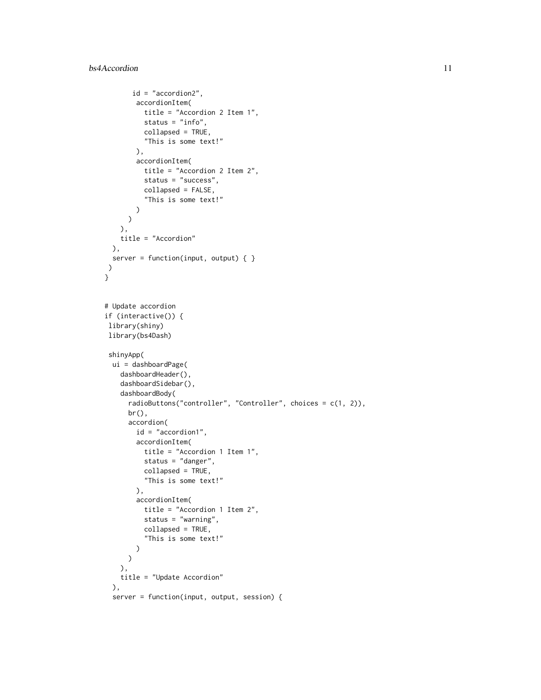```
id = "accordion2",
       accordionItem(
          title = "Accordion 2 Item 1",
          status = "info",
          collapsed = TRUE,
          "This is some text!"
       ),
       accordionItem(
          title = "Accordion 2 Item 2",
          status = "success",
          collapsed = FALSE,
          "This is some text!"
       )
     )
   ),
   title = "Accordion"
 ),
 server = function(input, output) { }
)
}
# Update accordion
if (interactive()) {
library(shiny)
library(bs4Dash)
shinyApp(
 ui = dashboardPage(
   dashboardHeader(),
   dashboardSidebar(),
   dashboardBody(
      radioButtons("controller", "Controller", choices = c(1, 2)),
     br(),
      accordion(
       id = "accordion1",
       accordionItem(
          title = "Accordion 1 Item 1",
          status = "danger",
          collapsed = TRUE,
          "This is some text!"
       ),
       accordionItem(
         title = "Accordion 1 Item 2",
          status = "warning",
         collapsed = TRUE,
          "This is some text!"
       \lambda\mathcal{L}),
   title = "Update Accordion"
 ),
 server = function(input, output, session) {
```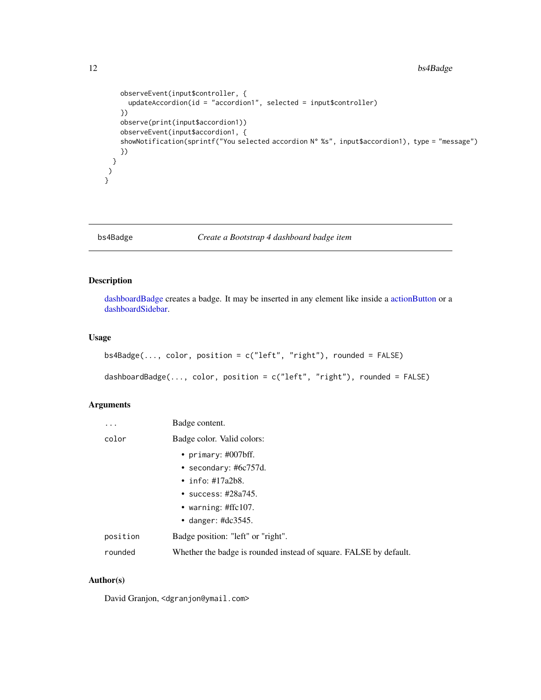```
observeEvent(input$controller, {
     updateAccordion(id = "accordion1", selected = input$controller)
   })
    observe(print(input$accordion1))
   observeEvent(input$accordion1, {
    showNotification(sprintf("You selected accordion N° %s", input$accordion1), type = "message")
    })
 }
)
}
```
#### bs4Badge *Create a Bootstrap 4 dashboard badge item*

#### <span id="page-11-1"></span>Description

[dashboardBadge](#page-11-1) creates a badge. It may be inserted in any element like inside a [actionButton](#page-2-1) or a [dashboardSidebar.](#page-30-1)

#### Usage

```
bs4Badge(..., color, position = c("left", "right"), rounded = FALSE)
dashboardBadge(..., color, position = c("left", "right"), rounded = FALSE)
```
#### Arguments

| .        | Badge content.                                                    |
|----------|-------------------------------------------------------------------|
| color    | Badge color. Valid colors:                                        |
|          | • primary: $\#007$ bff.                                           |
|          | • secondary: $\#6c757d$ .                                         |
|          | • info: $\#17a2b8$ .                                              |
|          | • success: $\#28a745$ .                                           |
|          | • warning: $\#$ ffc $107$ .                                       |
|          | • danger: $\#dc3545$ .                                            |
| position | Badge position: "left" or "right".                                |
| rounded  | Whether the badge is rounded instead of square. FALSE by default. |

#### Author(s)

David Granjon, <dgranjon@ymail.com>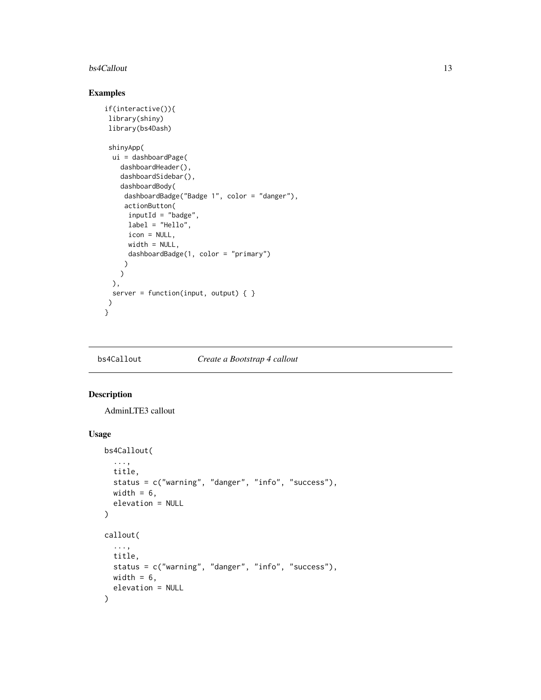#### <span id="page-12-0"></span>bs4Callout 13

#### Examples

```
if(interactive()){
library(shiny)
library(bs4Dash)
shinyApp(
 ui = dashboardPage(
   dashboardHeader(),
   dashboardSidebar(),
    dashboardBody(
    dashboardBadge("Badge 1", color = "danger"),
    actionButton(
     inputId = "badge",
     label = "Hello",
     icon = NULL,
     width = NULL,
      dashboardBadge(1, color = "primary")
    )
   \lambda),
 server = function(input, output) { }
\mathcal{L}}
```
bs4Callout *Create a Bootstrap 4 callout*

#### Description

AdminLTE3 callout

#### Usage

```
bs4Callout(
  ...,
  title,
  status = c("warning", "danger", "info", "success"),
 width = 6,
 elevation = NULL
\mathcal{L}callout(
  ...,
  title,
  status = c("warning", "danger", "info", "success"),
 width = 6,
  elevation = NULL
)
```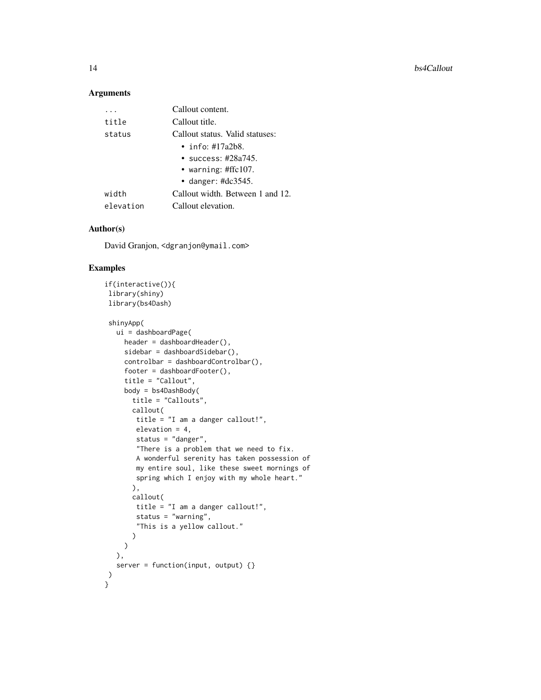#### Arguments

|           | Callout content.                 |
|-----------|----------------------------------|
| title     | Callout title.                   |
| status    | Callout status. Valid statuses:  |
|           | • info: $\#17a2b8$ .             |
|           | $\cdot$ success: #28a745.        |
|           | • warning: #ffc107.              |
|           | • danger: $\text{\#dc}3545$ .    |
| width     | Callout width. Between 1 and 12. |
| elevation | Callout elevation.               |

#### Author(s)

David Granjon, <dgranjon@ymail.com>

```
if(interactive()){
library(shiny)
library(bs4Dash)
shinyApp(
  ui = dashboardPage(
    header = dashboardHeader(),
    sidebar = dashboardSidebar(),
    controlbar = dashboardControlbar(),
    footer = dashboardFooter(),
    title = "Callout",
    body = bs4DashBody(
      title = "Callouts",
      callout(
       title = "I am a danger callout!",
       elevation = 4,
       status = "danger",
       "There is a problem that we need to fix.
       A wonderful serenity has taken possession of
       my entire soul, like these sweet mornings of
       spring which I enjoy with my whole heart."
      ),
      callout(
      title = "I am a danger callout!",
       status = "warning",
       "This is a yellow callout."
      )
    \lambda),
  server = function(input, output) {}
)
}
```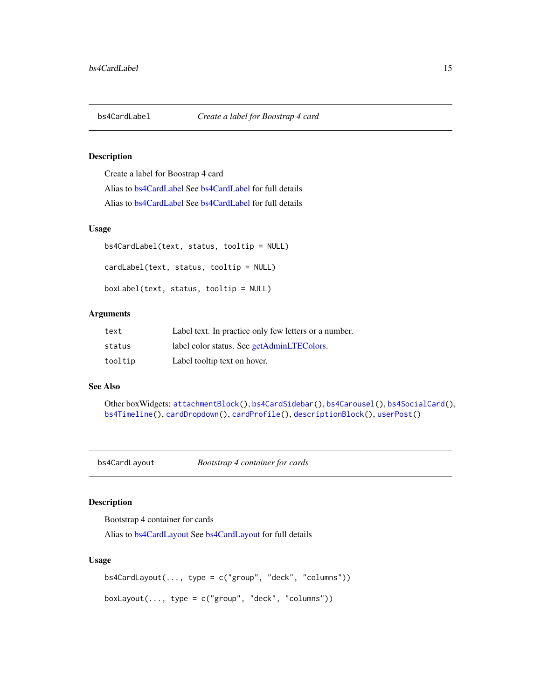<span id="page-14-1"></span><span id="page-14-0"></span>

#### Description

Create a label for Boostrap 4 card

Alias to [bs4CardLabel](#page-14-1) See [bs4CardLabel](#page-14-1) for full details Alias to [bs4CardLabel](#page-14-1) See [bs4CardLabel](#page-14-1) for full details

#### Usage

```
bs4CardLabel(text, status, tooltip = NULL)
cardLabel(text, status, tooltip = NULL)
boxLabel(text, status, tooltip = NULL)
```
#### Arguments

| text    | Label text. In practice only few letters or a number. |
|---------|-------------------------------------------------------|
| status  | label color status. See getAdminLTEColors.            |
| tooltip | Label tooltip text on hover.                          |

#### See Also

```
Other boxWidgets: attachmentBlock(), bs4CardSidebar(), bs4Carousel(), bs4SocialCard(),
bs4Timeline(), cardDropdown(), cardProfile(), descriptionBlock(), userPost()
```
<span id="page-14-2"></span>bs4CardLayout *Bootstrap 4 container for cards*

#### Description

Bootstrap 4 container for cards

Alias to [bs4CardLayout](#page-14-2) See [bs4CardLayout](#page-14-2) for full details

#### Usage

```
bs4CardLayout(..., type = c("group", "deck", "columns"))
boxLayout(..., type = c("group", "deck", "columns"))
```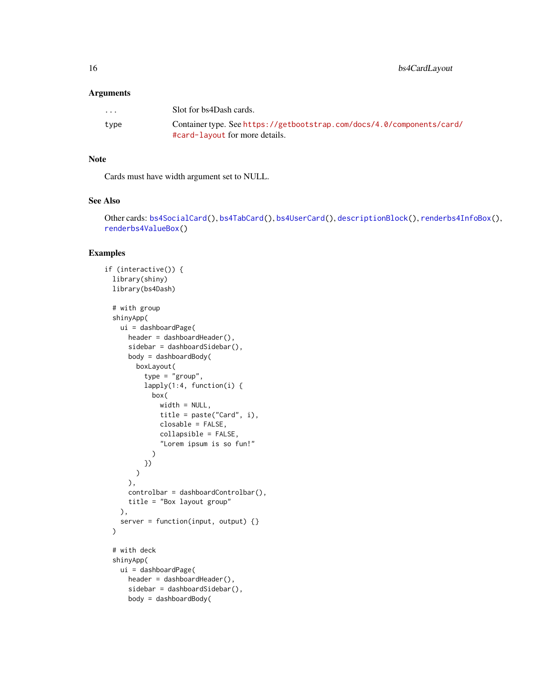#### Arguments

| $\cdot$ $\cdot$ $\cdot$ | Solt for bs4Dash cards.                                                                                  |
|-------------------------|----------------------------------------------------------------------------------------------------------|
| type                    | Container type. See https://getbootstrap.com/docs/4.0/components/card/<br>#card-layout for more details. |

#### Note

Cards must have width argument set to NULL.

#### See Also

Other cards: [bs4SocialCard\(](#page-55-1)), [bs4TabCard\(](#page-61-1)), [bs4UserCard\(](#page-69-1)), [descriptionBlock\(](#page-82-2)), [renderbs4InfoBox\(](#page-101-1)), [renderbs4ValueBox\(](#page-104-1))

```
if (interactive()) {
 library(shiny)
 library(bs4Dash)
 # with group
 shinyApp(
   ui = dashboardPage(
     header = dashboardHeader(),
      sidebar = dashboardSidebar(),
      body = dashboardBody(
       boxLayout(
          type = "group",
         lapply(1:4, function(i) {
            box(
              width = NULL,
              title = paste("Card", i),
              closable = FALSE,
              collapsible = FALSE,
              "Lorem ipsum is so fun!"
            )
         })
       )
      ),
      controlbar = dashboardControlbar(),
      title = "Box layout group"
   ),
   server = function(input, output) {}
 \lambda# with deck
 shinyApp(
   ui = dashboardPage(
     header = dashboardHeader(),
      sidebar = dashboardSidebar(),
      body = dashboardBody(
```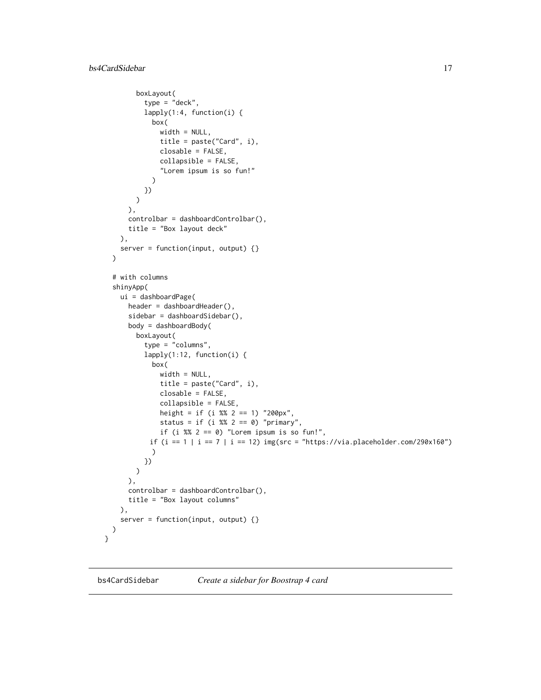```
boxLayout(
          type = "deck",
          lapply(1:4, function(i) {
            box(
              width = NULL,
              title = paste("Card", i),
              closable = FALSE,
              collapsible = FALSE,
              "Lorem ipsum is so fun!"
            )
         })
       )
      ),
      controlbar = dashboardControlbar(),
      title = "Box layout deck"
   ),
   server = function(input, output) {}
 )
 # with columns
 shinyApp(
   ui = dashboardPage(
      header = dashboardHeader(),
      sidebar = dashboardSidebar(),
      body = dashboardBody(
       boxLayout(
          type = "columns",
         lapply(1:12, function(i) {
            box(
              width = NULL,
              title = paste("Card", i),
              closable = FALSE,
              collapsible = FALSE,
              height = if (i %% 2 == 1) "200px",
              status = if (i %% 2 == 0) "primary",
             if (i %% 2 == 0) "Lorem ipsum is so fun!",
           if (i == 1 | i == 7 | i == 12) img(src = "https://via.placeholder.com/290x160")
            )
         })
       )
      ),
      controlbar = dashboardControlbar(),
      title = "Box layout columns"
   ),
    server = function(input, output) {}
 )
}
```
<span id="page-16-1"></span>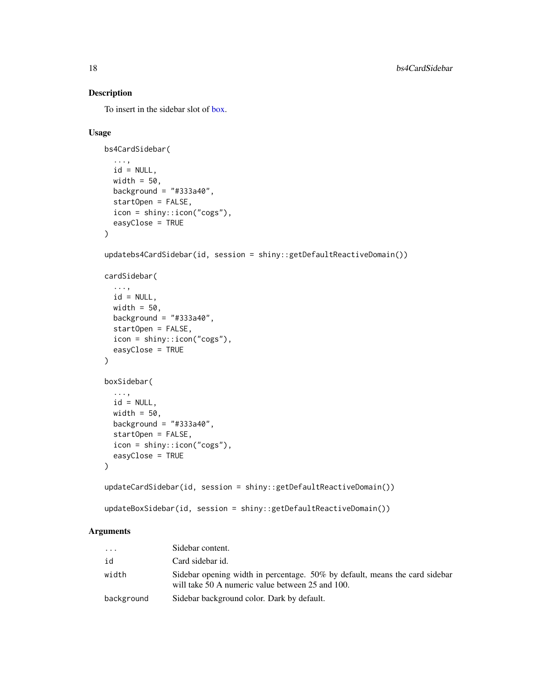#### Description

To insert in the sidebar slot of [box.](#page-82-1)

#### Usage

```
bs4CardSidebar(
  ...,
 id = NULL,width = 50,
 background = "#333a40",
  startOpen = FALSE,
  icon = shiny::icon("cogs"),
  easyClose = TRUE
)
updatebs4CardSidebar(id, session = shiny::getDefaultReactiveDomain())
cardSidebar(
  ...,
 id = NULL,width = 50,
 background = "#333a40",
  startOpen = FALSE,
  icon = shiny::icon("cogs"),
  easyClose = TRUE
)
boxSidebar(
  ...,
  id = NULL,width = 50,
 background = "#333a40",
  startOpen = FALSE,
  icon = shiny::icon("cogs"),
  easyClose = TRUE
\mathcal{L}updateCardSidebar(id, session = shiny::getDefaultReactiveDomain())
updateBoxSidebar(id, session = shiny::getDefaultReactiveDomain())
```
#### Arguments

| .          | Sidebar content.                                                                                                                |
|------------|---------------------------------------------------------------------------------------------------------------------------------|
| id         | Card sidebar id.                                                                                                                |
| width      | Sidebar opening width in percentage. 50% by default, means the card sidebar<br>will take 50 A numeric value between 25 and 100. |
| background | Sidebar background color. Dark by default.                                                                                      |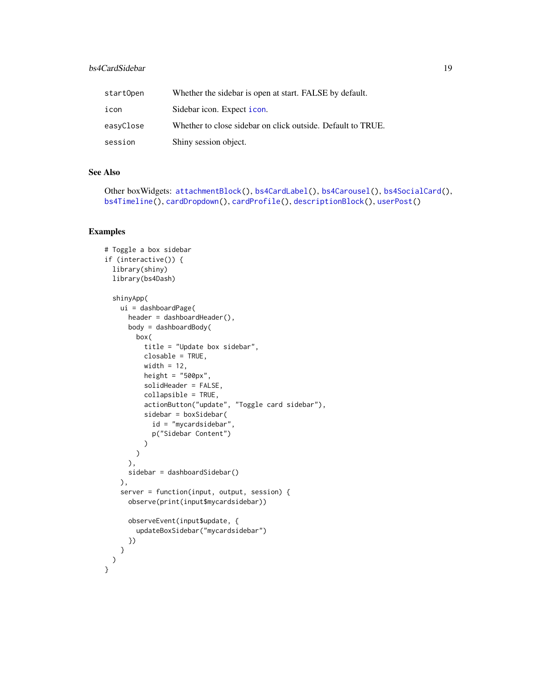#### bs4CardSidebar 19

| startOpen | Whether the sidebar is open at start. FALSE by default.     |
|-----------|-------------------------------------------------------------|
| icon      | Sidebar icon. Expect icon.                                  |
| easyClose | Whether to close sidebar on click outside. Default to TRUE. |
| session   | Shiny session object.                                       |

#### See Also

Other boxWidgets: [attachmentBlock\(](#page-6-1)), [bs4CardLabel\(](#page-14-1)), [bs4Carousel\(](#page-19-1)), [bs4SocialCard\(](#page-55-1)), [bs4Timeline\(](#page-66-1)), [cardDropdown\(](#page-76-1)), [cardProfile\(](#page-77-1)), [descriptionBlock\(](#page-82-2)), [userPost\(](#page-126-1))

```
# Toggle a box sidebar
if (interactive()) {
 library(shiny)
 library(bs4Dash)
 shinyApp(
   ui = dashboardPage(
     header = dashboardHeader(),
     body = dashboardBody(
       box(
         title = "Update box sidebar",
         closable = TRUE,
         width = 12,
         height = "500px",
         solidHeader = FALSE,
         collapsible = TRUE,
         actionButton("update", "Toggle card sidebar"),
          sidebar = boxSidebar(
            id = "mycardsidebar",
           p("Sidebar Content")
         )
       )
     ),
     sidebar = dashboardSidebar()
   ),
    server = function(input, output, session) {
     observe(print(input$mycardsidebar))
     observeEvent(input$update, {
       updateBoxSidebar("mycardsidebar")
     })
   }
 )
}
```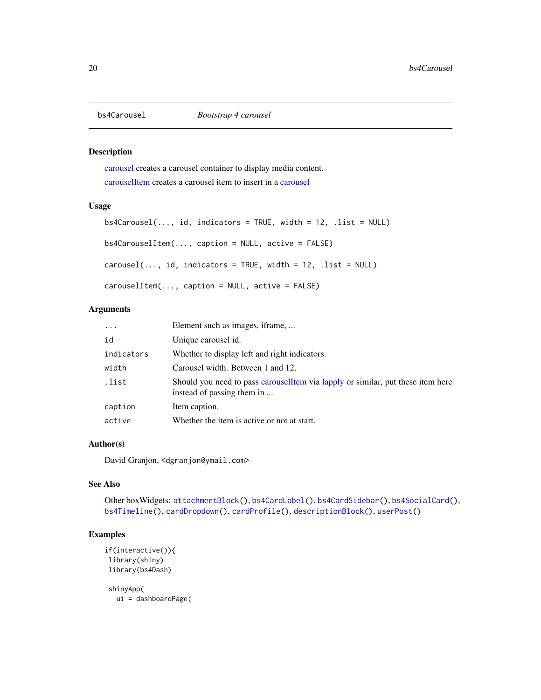<span id="page-19-1"></span><span id="page-19-0"></span>

#### <span id="page-19-2"></span>Description

[carousel](#page-19-2) creates a carousel container to display media content. [carouselItem](#page-19-2) creates a carousel item to insert in a [carousel](#page-19-2)

#### Usage

```
bs4Carousel(..., id, indicators = TRUE, width = 12, .list = NULL)bs4CarouselItem(..., caption = NULL, active = FALSE)
carousel(..., id, indicators = TRUE, width = 12, .list = NULL)carouselItem(..., caption = NULL, active = FALSE)
```
#### Arguments

| $\ddots$   | Element such as images, if rame,                                                                               |
|------------|----------------------------------------------------------------------------------------------------------------|
| id         | Unique carousel id.                                                                                            |
| indicators | Whether to display left and right indicators.                                                                  |
| width      | Carousel width. Between 1 and 12.                                                                              |
| .list      | Should you need to pass carousell tem via lapply or similar, put these item here<br>instead of passing them in |
| caption    | Item caption.                                                                                                  |
| active     | Whether the item is active or not at start.                                                                    |

#### Author(s)

David Granjon, <dgranjon@ymail.com>

#### See Also

Other boxWidgets: [attachmentBlock\(](#page-6-1)), [bs4CardLabel\(](#page-14-1)), [bs4CardSidebar\(](#page-16-1)), [bs4SocialCard\(](#page-55-1)), [bs4Timeline\(](#page-66-1)), [cardDropdown\(](#page-76-1)), [cardProfile\(](#page-77-1)), [descriptionBlock\(](#page-82-2)), [userPost\(](#page-126-1))

#### Examples

```
if(interactive()){
library(shiny)
library(bs4Dash)
```
shinyApp(

ui = dashboardPage(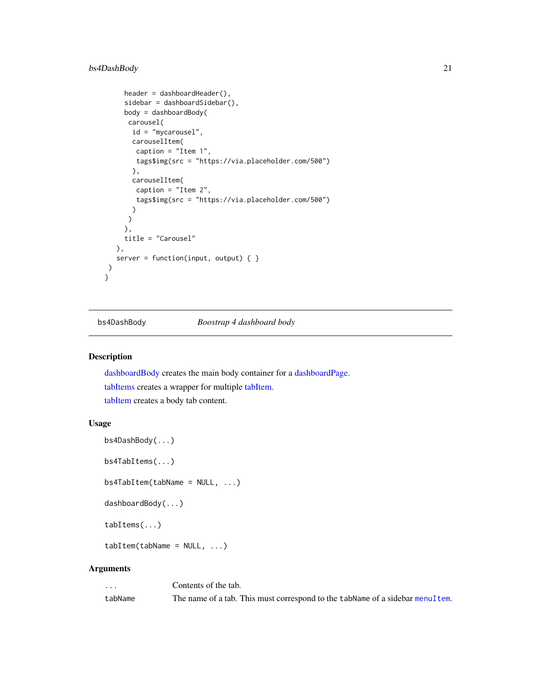#### <span id="page-20-0"></span>bs4DashBody 21

```
header = dashboardHeader(),
    sidebar = dashboardSidebar(),
    body = dashboardBody(
     carousel(
      id = "mycarousel",
      carouselItem(
       caption = "Item 1",
       tags$img(src = "https://via.placeholder.com/500")
      ),
      carouselItem(
       caption = "Item 2",
       tags$img(src = "https://via.placeholder.com/500")
      )
     )
    ),
    title = "Carousel"
  ),
  server = function(input, output) { }
)
}
```
<span id="page-20-2"></span>bs4DashBody *Boostrap 4 dashboard body*

#### <span id="page-20-1"></span>Description

[dashboardBody](#page-20-1) creates the main body container for a [dashboardPage.](#page-27-1) [tabItems](#page-20-1) creates a wrapper for multiple [tabItem.](#page-20-1) [tabItem](#page-20-1) creates a body tab content.

#### Usage

```
bs4DashBody(...)
```
bs4TabItems(...)

bs4TabItem(tabName = NULL, ...)

dashboardBody(...)

tabItems(...)

 $tabItem(tabName = NULL, ...)$ 

#### Arguments

| $\cdots$ | Contents of the tab.                                                           |
|----------|--------------------------------------------------------------------------------|
| tabName  | The name of a tab. This must correspond to the tab Name of a sidebar menultem. |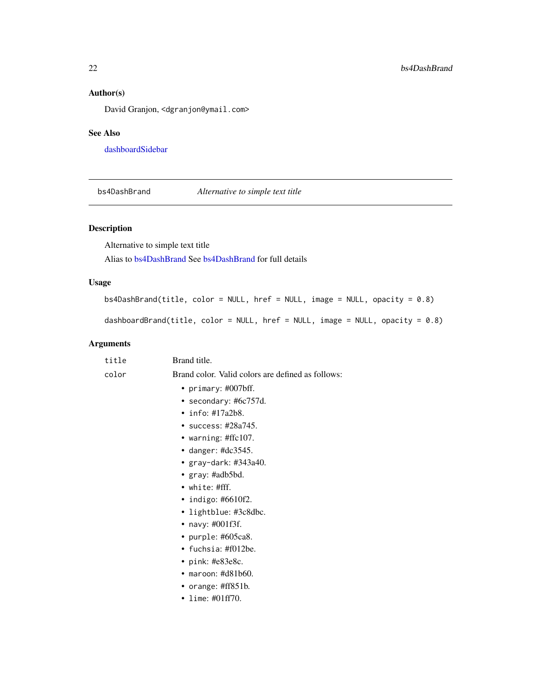#### Author(s)

David Granjon, <dgranjon@ymail.com>

#### See Also

[dashboardSidebar](#page-30-1)

<span id="page-21-1"></span>bs4DashBrand *Alternative to simple text title*

#### <span id="page-21-2"></span>Description

Alternative to simple text title

Alias to [bs4DashBrand](#page-21-1) See [bs4DashBrand](#page-21-1) for full details

#### Usage

```
bs4DashBrand(title, color = NULL, href = NULL, image = NULL, opacity = 0.8)
```
dashboardBrand(title, color = NULL, href = NULL, image = NULL, opacity = 0.8)

#### Arguments

| title | Brand title.                                      |
|-------|---------------------------------------------------|
| color | Brand color. Valid colors are defined as follows: |
|       | • primary: #007bff.                               |
|       | • secondary: #6 $c757d$ .                         |
|       | $\cdot$ info: #17a2b8.                            |
|       | • success: $\#28a745$ .                           |
|       | • warning: $\#$ ffc $107$ .                       |
|       | • danger: $\#dc3545$ .                            |
|       | • gray-dark: #343a40.                             |
|       | • $gray: \#adb5bd.$                               |
|       | $\bullet$ white: #fff.                            |
|       | • indigo: $#6610f2$ .                             |
|       | • lightblue: #3c8dbc.                             |
|       | • navy: #001f3f.                                  |
|       | • purple: #605ca8.                                |
|       | • fuchsia: $\#f012$ be.                           |
|       | • pink: $\text{\#e83e8c}.$                        |
|       | $\bullet$ maroon: #d81b60.                        |
|       | • orange: $\#ff851b$ .                            |
|       | • lime: #01ff70.                                  |
|       |                                                   |

<span id="page-21-0"></span>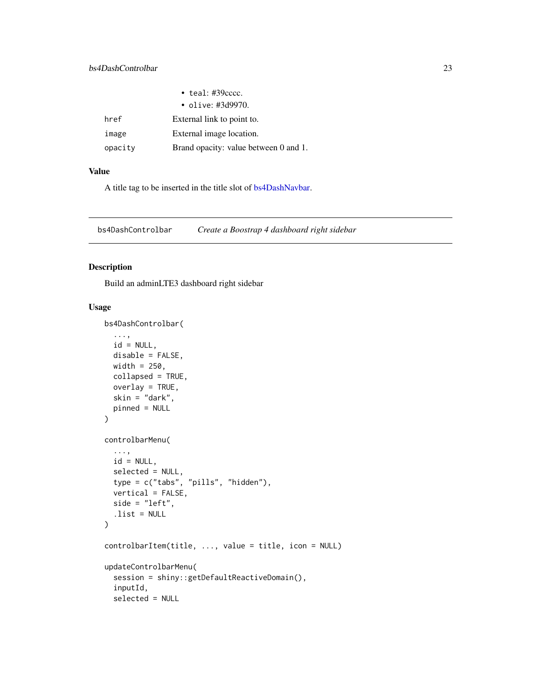<span id="page-22-0"></span>

|         | $\cdot$ teal: #39 $cccc$ .            |
|---------|---------------------------------------|
|         | • olive: #3d9970.                     |
| href    | External link to point to.            |
| image   | External image location.              |
| opacity | Brand opacity: value between 0 and 1. |

#### Value

A title tag to be inserted in the title slot of [bs4DashNavbar.](#page-25-1)

<span id="page-22-1"></span>bs4DashControlbar *Create a Boostrap 4 dashboard right sidebar*

#### Description

Build an adminLTE3 dashboard right sidebar

#### Usage

```
bs4DashControlbar(
  ...,
  id = NULL,disable = FALSE,
 width = 250,
 collapsed = TRUE,
  overlay = TRUE,
  skin = "dark",
 pinned = NULL
\mathcal{L}controlbarMenu(
  ...,
  id = NULL,selected = NULL,
  type = c("tabs", "pills", "hidden"),
  vertical = FALSE,side = "left",
  .list = NULL)
controlbarItem(title, ..., value = title, icon = NULL)
updateControlbarMenu(
  session = shiny::getDefaultReactiveDomain(),
  inputId,
  selected = NULL
```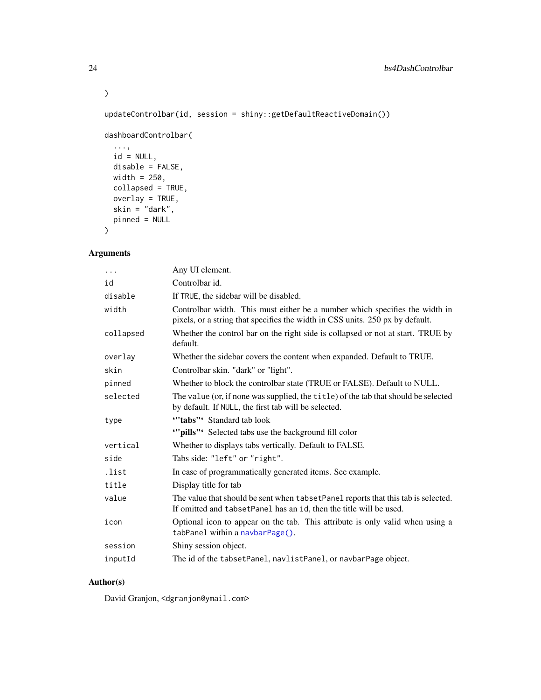updateControlbar(id, session = shiny::getDefaultReactiveDomain())

```
dashboardControlbar(
```

```
...,
id = NULL,disable = FALSE,
width = 250,
collapsed = TRUE,
overlay = TRUE,
skin = "{\text{dark}}",
pinned = NULL
```
#### Arguments

)

| .         | Any UI element.                                                                                                                                              |
|-----------|--------------------------------------------------------------------------------------------------------------------------------------------------------------|
| id        | Controlbar id.                                                                                                                                               |
| disable   | If TRUE, the sidebar will be disabled.                                                                                                                       |
| width     | Controlbar width. This must either be a number which specifies the width in<br>pixels, or a string that specifies the width in CSS units. 250 px by default. |
| collapsed | Whether the control bar on the right side is collapsed or not at start. TRUE by<br>default.                                                                  |
| overlay   | Whether the sidebar covers the content when expanded. Default to TRUE.                                                                                       |
| skin      | Controlbar skin. "dark" or "light".                                                                                                                          |
| pinned    | Whether to block the controlbar state (TRUE or FALSE). Default to NULL.                                                                                      |
| selected  | The value (or, if none was supplied, the title) of the tab that should be selected<br>by default. If NULL, the first tab will be selected.                   |
| type      | "'tabs"' Standard tab look                                                                                                                                   |
|           | ""pills" Selected tabs use the background fill color                                                                                                         |
| vertical  | Whether to displays tabs vertically. Default to FALSE.                                                                                                       |
| side      | Tabs side: "left" or "right".                                                                                                                                |
| .list     | In case of programmatically generated items. See example.                                                                                                    |
| title     | Display title for tab                                                                                                                                        |
| value     | The value that should be sent when tabset Panel reports that this tab is selected.<br>If omitted and tabsetPanel has an id, then the title will be used.     |
| icon      | Optional icon to appear on the tab. This attribute is only valid when using a<br>tabPanel within a navbarPage().                                             |
| session   | Shiny session object.                                                                                                                                        |
| inputId   | The id of the tabsetPanel, navlistPanel, or navbarPage object.                                                                                               |

#### Author(s)

David Granjon, <dgranjon@ymail.com>

 $\mathcal{L}$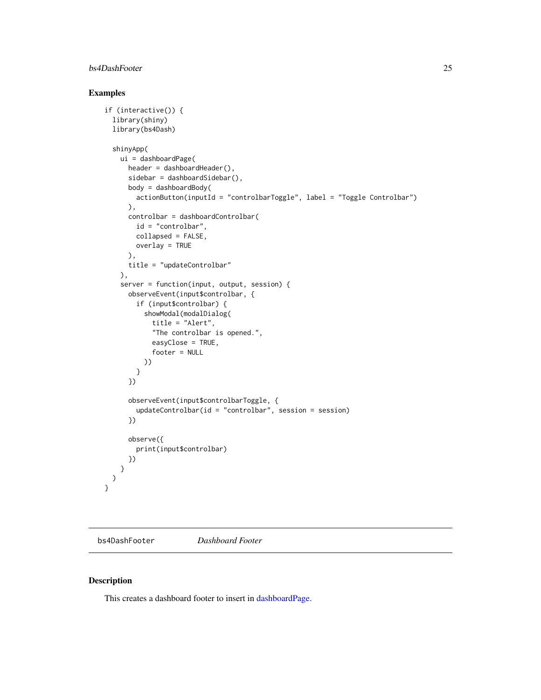#### <span id="page-24-0"></span>bs4DashFooter 25

#### Examples

```
if (interactive()) {
 library(shiny)
 library(bs4Dash)
 shinyApp(
   ui = dashboardPage(
      header = dashboardHeader(),
      sidebar = dashboardSidebar(),
      body = dashboardBody(
       actionButton(inputId = "controlbarToggle", label = "Toggle Controlbar")
      ),
      controlbar = dashboardControlbar(
       id = "controlbar",
       collapsed = FALSE,
       overlay = TRUE
      ),
      title = "updateControlbar"
    ),
    server = function(input, output, session) {
      observeEvent(input$controlbar, {
       if (input$controlbar) {
          showModal(modalDialog(
            title = "Alert",
            "The controlbar is opened.",
            easyClose = TRUE,
            footer = NULL
         ))
       }
      })
      observeEvent(input$controlbarToggle, {
        updateControlbar(id = "controlbar", session = session)
      })
      observe({
       print(input$controlbar)
     })
   }
 \lambda}
```
<span id="page-24-1"></span>bs4DashFooter *Dashboard Footer*

#### Description

This creates a dashboard footer to insert in [dashboardPage.](#page-27-1)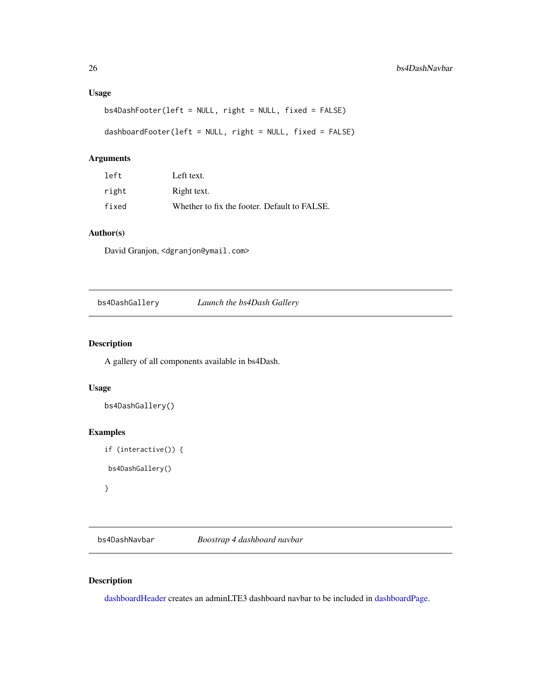#### <span id="page-25-0"></span>Usage

```
bs4DashFooter(left = NULL, right = NULL, fixed = FALSE)
dashboardFooter(left = NULL, right = NULL, fixed = FALSE)
```
#### Arguments

| left  | Left text.                                   |
|-------|----------------------------------------------|
| right | Right text.                                  |
| fixed | Whether to fix the footer. Default to FALSE. |

#### Author(s)

David Granjon, <dgranjon@ymail.com>

bs4DashGallery *Launch the bs4Dash Gallery*

#### Description

A gallery of all components available in bs4Dash.

#### Usage

```
bs4DashGallery()
```
#### Examples

```
if (interactive()) {
bs4DashGallery()
}
```
<span id="page-25-1"></span>bs4DashNavbar *Boostrap 4 dashboard navbar*

#### <span id="page-25-2"></span>Description

[dashboardHeader](#page-25-2) creates an adminLTE3 dashboard navbar to be included in [dashboardPage.](#page-27-1)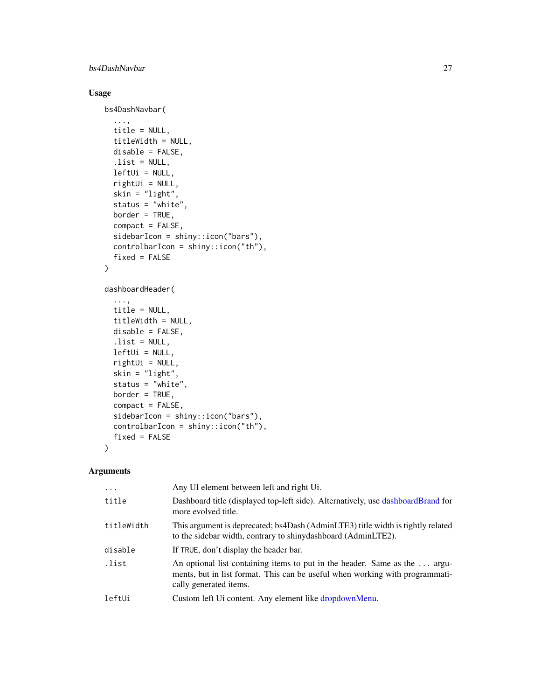#### bs4DashNavbar 27

#### Usage

```
bs4DashNavbar(
  ...,
  title = NULL,
 titleWidth = NULL,
 disable = FALSE,
  .list = NULL,
 leftUi = NULL,
  rightUi = NULL,
  skin = "light",
  status = "white",
 border = TRUE,
  compact = FALSE,sidebarIcon = shiny::icon("bars"),
  controlbarIcon = shiny::icon("th"),
  fixed = FALSE
)
dashboardHeader(
  ...,
 title = NULL,
  titleWidth = NULL,
 disable = FALSE,
  . list = NULL,
 leftUI = NULL,rightUi = NULL,
  skin = "light",
  status = "white",
 border = TRUE,
  compact = FALSE,
  sidebarIcon = shiny::icon("bars"),
  controlbarIcon = shiny::icon("th"),
```
#### Arguments

 $\mathcal{L}$ 

fixed = FALSE

| $\ddotsc$  | Any UI element between left and right Ui.                                                                                                                                            |
|------------|--------------------------------------------------------------------------------------------------------------------------------------------------------------------------------------|
| title      | Dashboard title (displayed top-left side). Alternatively, use dashboardBrand for<br>more evolved title.                                                                              |
| titleWidth | This argument is deprecated; bs4Dash (AdminLTE3) title width is tightly related<br>to the sidebar width, contrary to shinydashboard (AdminLTE2).                                     |
| disable    | If TRUE, don't display the header bar.                                                                                                                                               |
| .list      | An optional list containing items to put in the header. Same as the  argu-<br>ments, but in list format. This can be useful when working with programmati-<br>cally generated items. |
| leftUi     | Custom left Ui content. Any element like dropdownMenu.                                                                                                                               |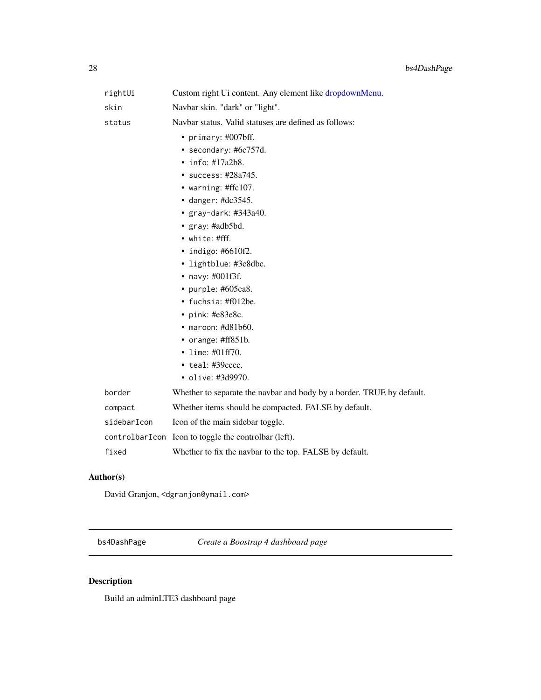<span id="page-27-0"></span>

| rightUi        | Custom right Ui content. Any element like dropdownMenu.               |
|----------------|-----------------------------------------------------------------------|
| skin           | Navbar skin. "dark" or "light".                                       |
| status         | Navbar status. Valid statuses are defined as follows:                 |
|                | • primary: #007bff.                                                   |
|                | • secondary: #6c757d.                                                 |
|                | $\cdot$ info: #17a2b8.                                                |
|                | • success: $\#28a745$ .                                               |
|                | • warning: #ffc107.                                                   |
|                | • danger: $\text{\#dc}3545$ .                                         |
|                | • gray-dark: #343a40.                                                 |
|                | • gray: #adb5bd.                                                      |
|                | $\bullet$ white: #fff.                                                |
|                | $\cdot$ indigo: #6610f2.                                              |
|                | • lightblue: #3c8dbc.                                                 |
|                | • navy: $\#001f3f$ .                                                  |
|                | • purple: #605ca8.                                                    |
|                | • fuchsia: $\text{\#f012be}.$                                         |
|                | • pink: $\text{\#e83e8c.}$                                            |
|                | $\bullet$ maroon: #d81b60.                                            |
|                | • orange: #ff851b.                                                    |
|                | • lime: $\#01ff70$ .                                                  |
|                | • teal: #39cccc.                                                      |
|                | • olive: #3d9970.                                                     |
| border         | Whether to separate the navbar and body by a border. TRUE by default. |
| compact        | Whether items should be compacted. FALSE by default.                  |
| sidebarIcon    | Icon of the main sidebar toggle.                                      |
| controlbarIcon | Icon to toggle the controlbar (left).                                 |
| fixed          | Whether to fix the navbar to the top. FALSE by default.               |

#### Author(s)

David Granjon, <dgranjon@ymail.com>

bs4DashPage *Create a Boostrap 4 dashboard page*

# <span id="page-27-1"></span>Description

Build an adminLTE3 dashboard page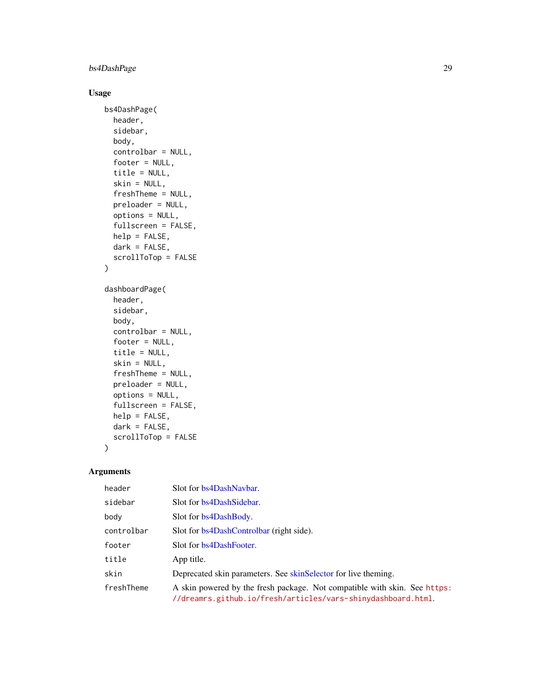#### bs4DashPage 29

#### Usage

```
bs4DashPage(
 header,
  sidebar,
 body,
  controlbar = NULL,
  footer = NULL,
  title = NULL,
  skin = NULL,
  freshTheme = NULL,
  preloader = NULL,
  options = NULL,
  fullscreen = FALSE,
  help = FALSE,
  dark = FALSE,
  scrollToTop = FALSE
)
dashboardPage(
 header,
  sidebar,
 body,
```

```
controlbar = NULL,
footer = NULL,
title = NULL,
skin = NULL,
freshTheme = NULL,
preloader = NULL,
options = NULL,
fullscreen = FALSE,
help = FALSE,
dark = FALSE,scrollToTop = FALSE
```
### Arguments

)

| header     | Slot for bs4DashNaybar.                                                                                                                   |
|------------|-------------------------------------------------------------------------------------------------------------------------------------------|
| sidebar    | Slot for bs4DashSidebar.                                                                                                                  |
| body       | Slot for bs4DashBody.                                                                                                                     |
| controlbar | Slot for bs4DashControlbar (right side).                                                                                                  |
| footer     | Slot for bs4DashFooter.                                                                                                                   |
| title      | App title.                                                                                                                                |
| skin       | Deprecated skin parameters. See skin Selector for live the ming.                                                                          |
| freshTheme | A skin powered by the fresh package. Not compatible with skin. See https:<br>//dreamrs.github.io/fresh/articles/vars-shinydashboard.html. |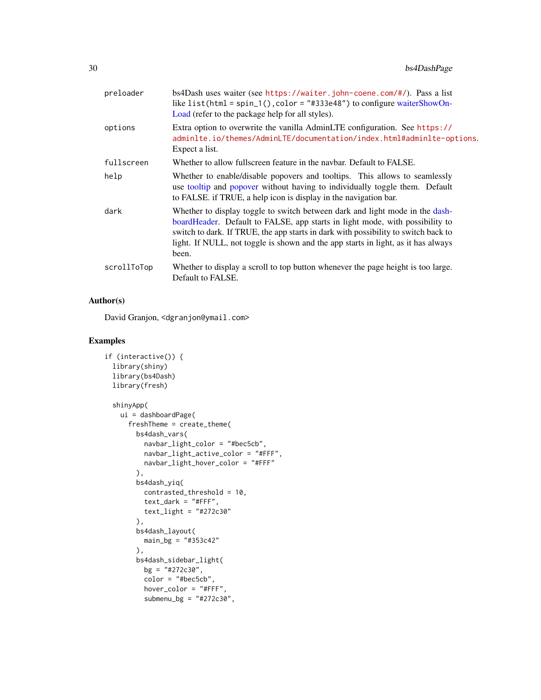| preloader   | bs4Dash uses waiter (see https://waiter.john-coene.com/#/). Pass a list<br>like list(html = spin_1(), color = $"#333e48"$ ) to configure waiterShowOn-<br>Load (refer to the package help for all styles).                                                                                                                                       |
|-------------|--------------------------------------------------------------------------------------------------------------------------------------------------------------------------------------------------------------------------------------------------------------------------------------------------------------------------------------------------|
| options     | Extra option to overwrite the vanilla AdminLTE configuration. See https://<br>adminlte.io/themes/AdminLTE/documentation/index.html#adminlte-options.<br>Expect a list.                                                                                                                                                                           |
| fullscreen  | Whether to allow fullscreen feature in the navbar. Default to FALSE.                                                                                                                                                                                                                                                                             |
| help        | Whether to enable/disable popovers and tooltips. This allows to seamlessly<br>use tooltip and popover without having to individually toggle them. Default<br>to FALSE. if TRUE, a help icon is display in the navigation bar.                                                                                                                    |
| dark        | Whether to display toggle to switch between dark and light mode in the dash-<br>boardHeader. Default to FALSE, app starts in light mode, with possibility to<br>switch to dark. If TRUE, the app starts in dark with possibility to switch back to<br>light. If NULL, not toggle is shown and the app starts in light, as it has always<br>been. |
| scrollToTop | Whether to display a scroll to top button whenever the page height is too large.<br>Default to FALSE.                                                                                                                                                                                                                                            |
|             |                                                                                                                                                                                                                                                                                                                                                  |

#### Author(s)

David Granjon, <dgranjon@ymail.com>

```
if (interactive()) {
 library(shiny)
 library(bs4Dash)
 library(fresh)
 shinyApp(
   ui = dashboardPage(
      freshTheme = create_theme(
       bs4dash_vars(
          navbar_light_color = "#bec5cb",
          navbar_light_active_color = "#FFF",
         navbar_light_hover_color = "#FFF"
       ),
       bs4dash_yiq(
          contrasted_threshold = 10,
          text_{{\text{dark}}} = "#FFF",
         text_light = "#272c30"
       ),
       bs4dash_layout(
         main_bg = "#353c42"
       ),
       bs4dash_sidebar_light(
          bg = "#272c30",color = "#bec5cb",
          hover_color = "#FFF",
          submenu_bg = "#272c30",
```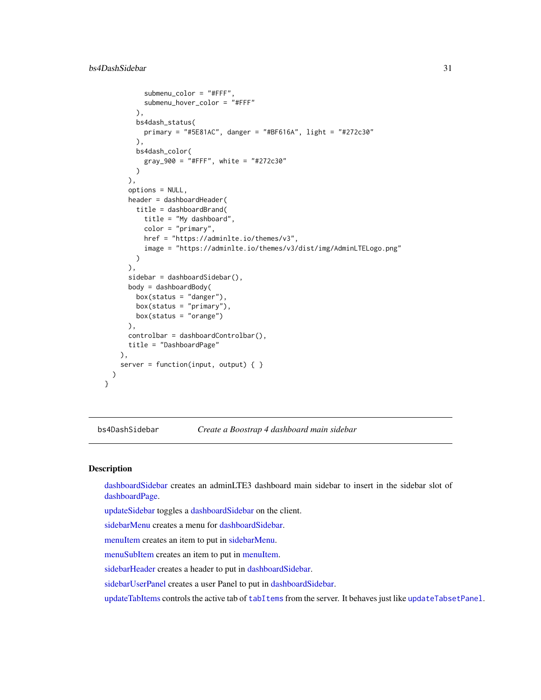```
submenu_color = "#FFF",
        submenu_hover_color = "#FFF"
      ),
      bs4dash_status(
        primary = "#5E81AC", danger = "#BF616A", light = "#272c30"
      ),
      bs4dash_color(
        gray_900 = "#FFF", white = "#272c30"
      \lambda),
    options = NULL,
    header = dashboardHeader(
      title = dashboardBrand(
        title = "My dashboard",
        color = "primary",
        href = "https://adminlte.io/themes/v3",
        image = "https://adminlte.io/themes/v3/dist/img/AdminLTELogo.png"
      )
    ),
    sidebar = dashboardSidebar(),
    body = dashboardBody(
      box(status = "danger"),
      box(status = "primary"),
      box(status = "orange")
    ),
    controlbar = dashboardControlbar(),
    title = "DashboardPage"
 ),
  server = function(input, output) { }
)
```
<span id="page-30-2"></span>bs4DashSidebar *Create a Boostrap 4 dashboard main sidebar*

#### <span id="page-30-1"></span>Description

}

[dashboardSidebar](#page-30-1) creates an adminLTE3 dashboard main sidebar to insert in the sidebar slot of [dashboardPage.](#page-27-1)

[updateSidebar](#page-30-1) toggles a [dashboardSidebar](#page-30-1) on the client.

[sidebarMenu](#page-30-1) creates a menu for [dashboardSidebar.](#page-30-1)

[menuItem](#page-30-1) creates an item to put in [sidebarMenu.](#page-30-1)

[menuSubItem](#page-30-1) creates an item to put in [menuItem.](#page-30-1)

[sidebarHeader](#page-30-1) creates a header to put in [dashboardSidebar.](#page-30-1)

[sidebarUserPanel](#page-30-1) creates a user Panel to put in [dashboardSidebar.](#page-30-1)

[updateTabItems](#page-30-1) controls the active tab of [tabItems](#page-20-1) from the server. It behaves just like [updateTabsetPanel](#page-0-0).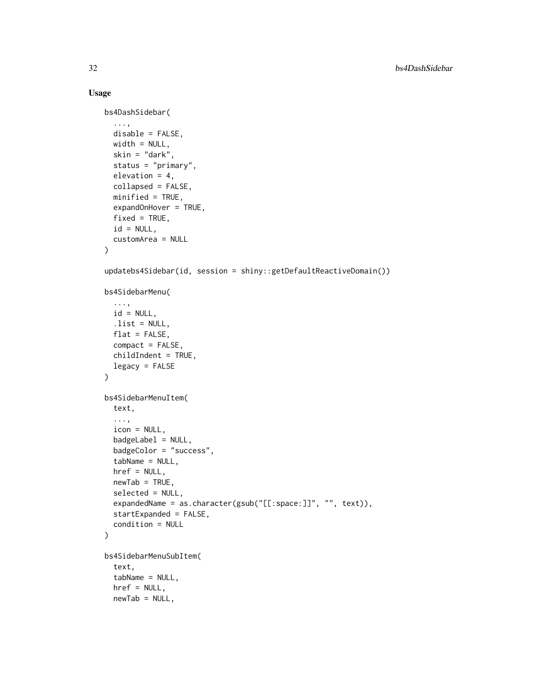#### Usage

```
bs4DashSidebar(
  ...,
 disable = FALSE,
 width = NULL,
  skin = "dark",
  status = "primary",
 elevation = 4,
  collapsed = FALSE,
 minified = TRUE,
  expandOnHover = TRUE,
 fixed = TRUE,id = NULL,customArea = NULL
\lambdaupdatebs4Sidebar(id, session = shiny::getDefaultReactiveDomain())
bs4SidebarMenu(
  ...,
 id = NULL,.list = NULL,
 flat = FALSE,compact = FALSE,childIndent = TRUE,
  legacy = FALSE
\lambdabs4SidebarMenuItem(
  text,
  ...,
  icon = NULL,
  badgeLabel = NULL,
  badgeColor = "success",
  tabName = NULL,
  href = NULL,
 newTab = TRUE,selected = NULL,
  expandedName = as.character(gsub("[[:space:]]", "", text)),
  startExpanded = FALSE,
  condition = NULL
\lambdabs4SidebarMenuSubItem(
  text,
  tabName = NULL,
  href = NULL,
 newTab = NULL,
```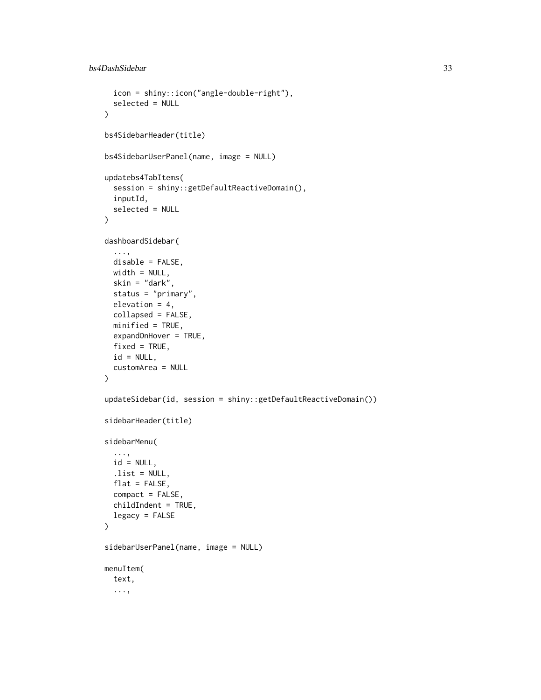```
icon = shiny::icon("angle-double-right"),
  selected = NULL
\lambdabs4SidebarHeader(title)
bs4SidebarUserPanel(name, image = NULL)
updatebs4TabItems(
  session = shiny::getDefaultReactiveDomain(),
  inputId,
  selected = NULL
)
dashboardSidebar(
  ...,
 disable = FALSE,
 width = NULL,
 skin = "dark",
  status = "primary",
  elevation = 4,
  collapsed = FALSE,
 minified = TRUE,
  expandOnHover = TRUE,
  fixed = TRUE,id = NULL,customArea = NULL
\mathcal{E}updateSidebar(id, session = shiny::getDefaultReactiveDomain())
sidebarHeader(title)
sidebarMenu(
  ...,
 id = NULL,.list = NULL,
 flat = FALSE,compact = FALSE,childIndent = TRUE,
  legacy = FALSE
\mathcal{L}sidebarUserPanel(name, image = NULL)
menuItem(
  text,
  ...,
```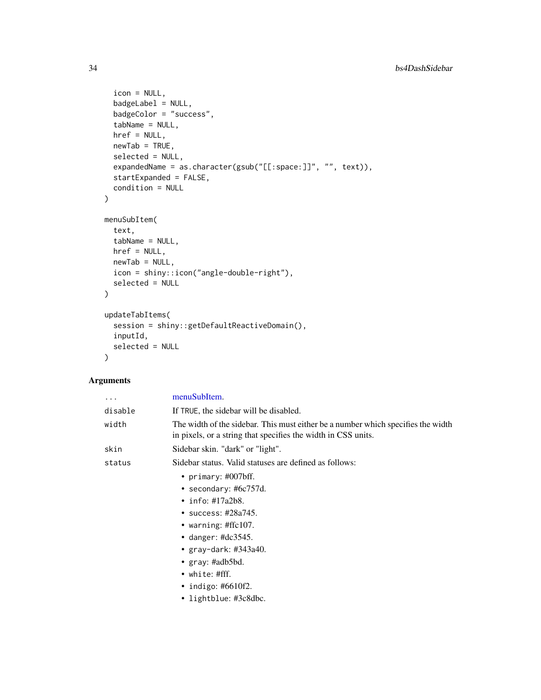```
icon = NULL,
  badgeLabel = NULL,
  badgeColor = "success",
  tabName = NULL,
  href = NULL,
  newTab = TRUE,selected = NULL,
  expandedName = as.character(gsub("[[:space:]]", "", text)),
  startExpanded = FALSE,
  condition = NULL
\mathcal{L}menuSubItem(
  text,
  tabName = NULL,
  href = NULL,
  newTab = NULL,
  icon = shiny::icon("angle-double-right"),
  selected = NULL
\mathcal{L}updateTabItems(
  session = shiny::getDefaultReactiveDomain(),
  inputId,
  selected = NULL
\lambda
```
#### Arguments

| $\cdots$ | menuSubItem.                                                                                                                                      |
|----------|---------------------------------------------------------------------------------------------------------------------------------------------------|
| disable  | If TRUE, the sidebar will be disabled.                                                                                                            |
| width    | The width of the sidebar. This must either be a number which specifies the width<br>in pixels, or a string that specifies the width in CSS units. |
| skin     | Sidebar skin. "dark" or "light".                                                                                                                  |
| status   | Sidebar status. Valid statuses are defined as follows:                                                                                            |
|          | • primary: $\#007$ bff.                                                                                                                           |
|          | • secondary: $#6c757d$ .                                                                                                                          |
|          | • info: $\#17a2b8$ .                                                                                                                              |
|          | • success: $\#28a745$ .                                                                                                                           |
|          | • warning: #ffc107.                                                                                                                               |
|          | • danger: $\#dc3545$ .                                                                                                                            |
|          | • gray-dark: #343a40.                                                                                                                             |
|          | • $gray: \#adb5bd.$                                                                                                                               |
|          | $\bullet$ white: #fff.                                                                                                                            |
|          | • indigo: #6610f2.                                                                                                                                |
|          | • lightblue: #3c8dbc.                                                                                                                             |
|          |                                                                                                                                                   |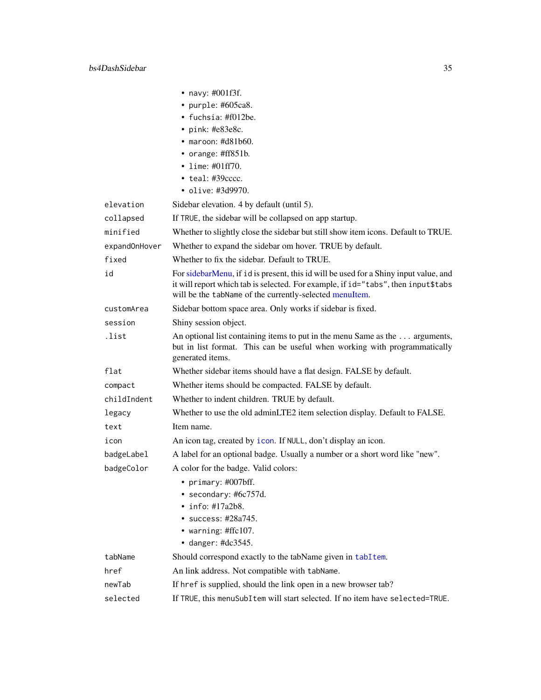|               | • navy: $\#001f3f$ .                                                                                                                                                                                                                 |
|---------------|--------------------------------------------------------------------------------------------------------------------------------------------------------------------------------------------------------------------------------------|
|               | • purple: #605ca8.                                                                                                                                                                                                                   |
|               | • fuchsia: $\text{\#f012be}.$                                                                                                                                                                                                        |
|               | • pink: #e83e8c.                                                                                                                                                                                                                     |
|               | $\bullet$ maroon: #d81b60.                                                                                                                                                                                                           |
|               | • orange: $\#ff851b$ .                                                                                                                                                                                                               |
|               | • lime: $\#01ff70$ .                                                                                                                                                                                                                 |
|               | $\bullet$ teal: #39 $cccc.$                                                                                                                                                                                                          |
|               | • olive: #3d9970.                                                                                                                                                                                                                    |
| elevation     | Sidebar elevation. 4 by default (until 5).                                                                                                                                                                                           |
| collapsed     | If TRUE, the sidebar will be collapsed on app startup.                                                                                                                                                                               |
| minified      | Whether to slightly close the sidebar but still show item icons. Default to TRUE.                                                                                                                                                    |
| expandOnHover | Whether to expand the sidebar om hover. TRUE by default.                                                                                                                                                                             |
| fixed         | Whether to fix the sidebar. Default to TRUE.                                                                                                                                                                                         |
| id            | For sidebarMenu, if id is present, this id will be used for a Shiny input value, and<br>it will report which tab is selected. For example, if id="tabs", then input\$tabs<br>will be the tabName of the currently-selected menuItem. |
| customArea    | Sidebar bottom space area. Only works if sidebar is fixed.                                                                                                                                                                           |
| session       | Shiny session object.                                                                                                                                                                                                                |
| .list         | An optional list containing items to put in the menu Same as the  arguments,<br>but in list format. This can be useful when working with programmatically<br>generated items.                                                        |
| flat          | Whether sidebar items should have a flat design. FALSE by default.                                                                                                                                                                   |
| compact       | Whether items should be compacted. FALSE by default.                                                                                                                                                                                 |
| childIndent   | Whether to indent children. TRUE by default.                                                                                                                                                                                         |
| legacy        | Whether to use the old adminLTE2 item selection display. Default to FALSE.                                                                                                                                                           |
| text          | Item name.                                                                                                                                                                                                                           |
| icon          | An icon tag, created by icon. If NULL, don't display an icon.                                                                                                                                                                        |
| badgeLabel    | A label for an optional badge. Usually a number or a short word like "new".                                                                                                                                                          |
| badgeColor    | A color for the badge. Valid colors:                                                                                                                                                                                                 |
|               | primary: #007bff.                                                                                                                                                                                                                    |
|               | • secondary: #6c757d.                                                                                                                                                                                                                |
|               | $\cdot$ info: #17a2b8.                                                                                                                                                                                                               |
|               | $\cdot$ success: #28a745.                                                                                                                                                                                                            |
|               | • warning: #ffc107.                                                                                                                                                                                                                  |
|               | $\bullet$ danger: #dc3545.                                                                                                                                                                                                           |
| tabName       | Should correspond exactly to the tabName given in tabItem.                                                                                                                                                                           |
| href          | An link address. Not compatible with tabName.                                                                                                                                                                                        |
| newTab        | If href is supplied, should the link open in a new browser tab?                                                                                                                                                                      |
| selected      | If TRUE, this menuSubItem will start selected. If no item have selected=TRUE.                                                                                                                                                        |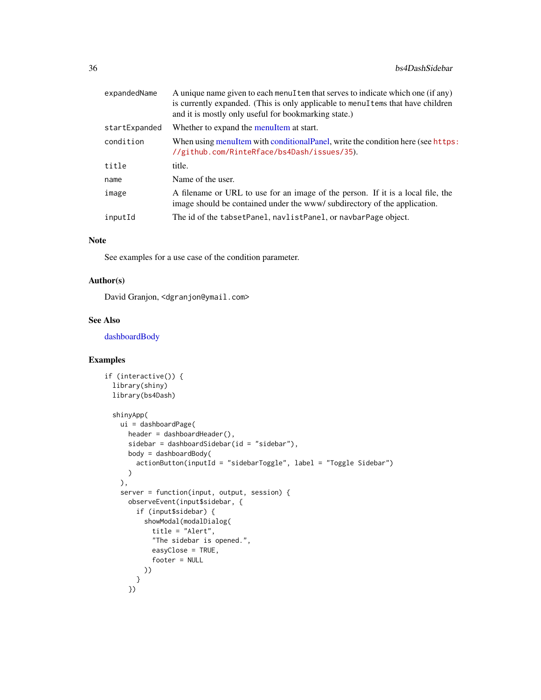| expandedName  | A unique name given to each menuItem that serves to indicate which one (if any)<br>is currently expanded. (This is only applicable to menulations that have children<br>and it is mostly only useful for bookmarking state.) |
|---------------|------------------------------------------------------------------------------------------------------------------------------------------------------------------------------------------------------------------------------|
| startExpanded | Whether to expand the menuItem at start.                                                                                                                                                                                     |
| condition     | When using menuItem with conditionalPanel, write the condition here (see https:<br>//github.com/RinteRface/bs4Dash/issues/35).                                                                                               |
| title         | title.                                                                                                                                                                                                                       |
| name          | Name of the user.                                                                                                                                                                                                            |
| image         | A filename or URL to use for an image of the person. If it is a local file, the<br>image should be contained under the www/subdirectory of the application.                                                                  |
| inputId       | The id of the tabset Panel, navlist Panel, or navbar Page object.                                                                                                                                                            |

#### Note

See examples for a use case of the condition parameter.

#### Author(s)

David Granjon, <dgranjon@ymail.com>

#### See Also

[dashboardBody](#page-20-1)

```
if (interactive()) {
  library(shiny)
  library(bs4Dash)
  shinyApp(
   ui = dashboardPage(
      header = dashboardHeader(),
      sidebar = dashboardSidebar(id = "sidebar"),
     body = dashboardBody(
        actionButton(inputId = "sidebarToggle", label = "Toggle Sidebar")
      )
   ),
    server = function(input, output, session) {
     observeEvent(input$sidebar, {
       if (input$sidebar) {
          showModal(modalDialog(
            title = "Alert",
            "The sidebar is opened.",
            easyClose = TRUE,
            footer = NULL
         ))
       }
      })
```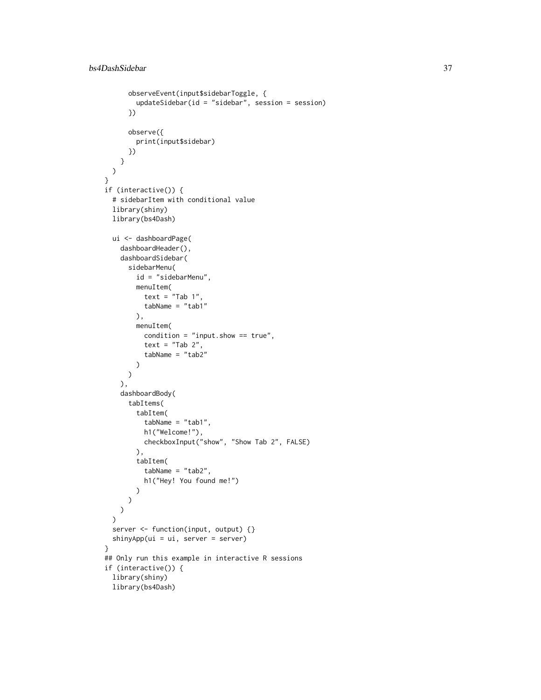```
observeEvent(input$sidebarToggle, {
        updateSidebar(id = "sidebar", session = session)
      })
      observe({
       print(input$sidebar)
      })
   }
 )
}
if (interactive()) {
  # sidebarItem with conditional value
  library(shiny)
  library(bs4Dash)
  ui <- dashboardPage(
    dashboardHeader(),
    dashboardSidebar(
      sidebarMenu(
        id = "sidebarMenu",
        menuItem(
          text = "Tab 1",tabName = "tab1"),
        menuItem(
          condition = "input.show == true",
          text = "Tab 2",tabName = "tab2"
        )
      )
   ),
    dashboardBody(
      tabItems(
        tabItem(
          tabName = "tab1",
          h1("Welcome!"),
          checkboxInput("show", "Show Tab 2", FALSE)
        ),
        tabItem(
          tabName = "tab2",
          h1("Hey! You found me!")
        )
     )
   )
  \mathcal{L}server <- function(input, output) {}
  shinyApp(ui = ui, server = server)
}
## Only run this example in interactive R sessions
if (interactive()) {
  library(shiny)
  library(bs4Dash)
```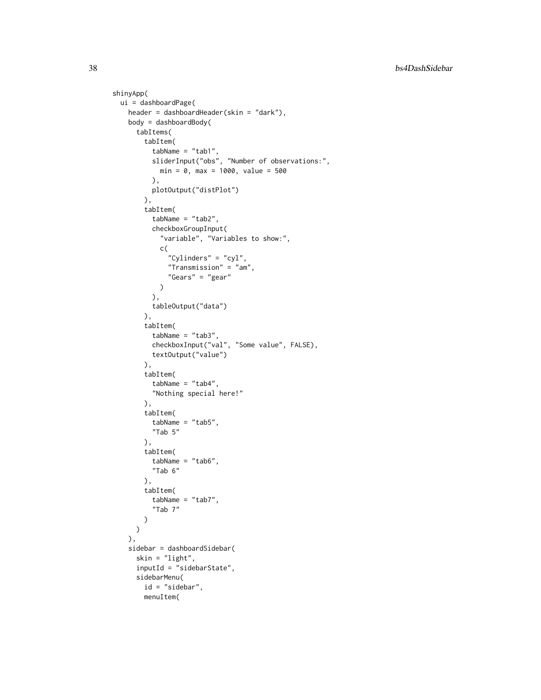```
shinyApp(
 ui = dashboardPage(
    header = dashboardHeader(skin = "dark"),
    body = dashboardBody(
     tabItems(
       tabItem(
          tabName = "tab1",sliderInput("obs", "Number of observations:",
           min = 0, max = 1000, value = 500
         ),
         plotOutput("distPlot")
       ),
        tabItem(
          tabName = "tab2",checkboxGroupInput(
            "variable", "Variables to show:",
           c(
              "Cylinders" = "cyl",
              "Transmission" = "am",
              "Gears" = "gear"
           )
          ),
          tableOutput("data")
        ),
        tabItem(
          tabName = "tab3",checkboxInput("val", "Some value", FALSE),
         textOutput("value")
       ),
       tabItem(
         tabName = "tab4",
          "Nothing special here!"
       ),
       tabItem(
         tabName = "tab5",
         "Tab 5"
       ),
        tabItem(
         tabName = "tab6",
          "Tab 6"
       ),
       tabItem(
         tabName = "tab7",
          "Tab 7"
       )
     )
    ),
    sidebar = dashboardSidebar(
     skin = "light",
     inputId = "sidebarState",
     sidebarMenu(
       id = "sidebar",
       menuItem(
```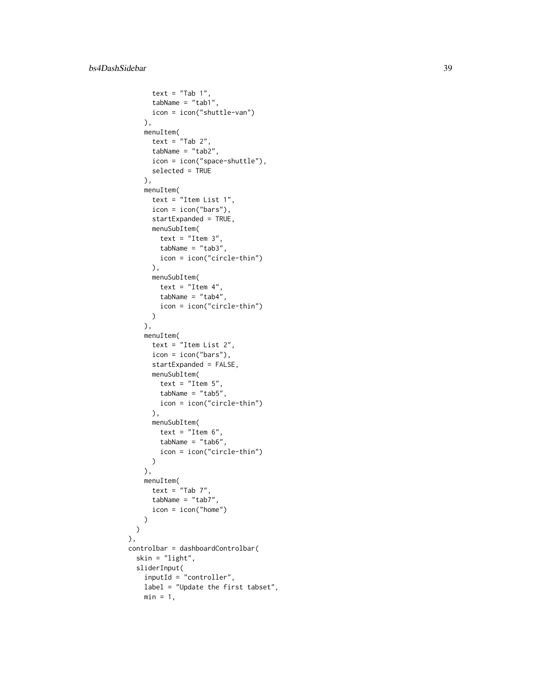```
text = "Tab 1",tabName = "tab1",icon = icon("shuttle-van")
   ),
   menuItem(
     text = "Tab 2",tabName = "tab2",
      icon = icon("space-shuttle"),
     selected = TRUE
   ),
   menuItem(
      text = "Item List 1",
      icon = icon("bars"),
      startExpanded = TRUE,
     menuSubItem(
       text = "Item 3",tabName = "tab3",
       icon = icon("circle-thin")
     ),
     menuSubItem(
       text = "Item 4",tabName = "tab4",
       icon = icon("circle-thin")
     )
    ),
   menuItem(
      text = "Item List 2",
      icon = icon("bars"),
      startExpanded = FALSE,
     menuSubItem(
       text = "Item 5",tabName = "tab5",icon = icon("circle-thin")
     ),
     menuSubItem(
       text = "Item 6",tabName = "tab6",
       icon = icon("circle-thin")
     )
   ),
   menuItem(
     text = "Tab 7",tabName = "tab7"icon = icon("home")
   )
 )
),
controlbar = dashboardControlbar(
 skin = "light",
 sliderInput(
   inputId = "controller",
   label = "Update the first tabset",
   min = 1,
```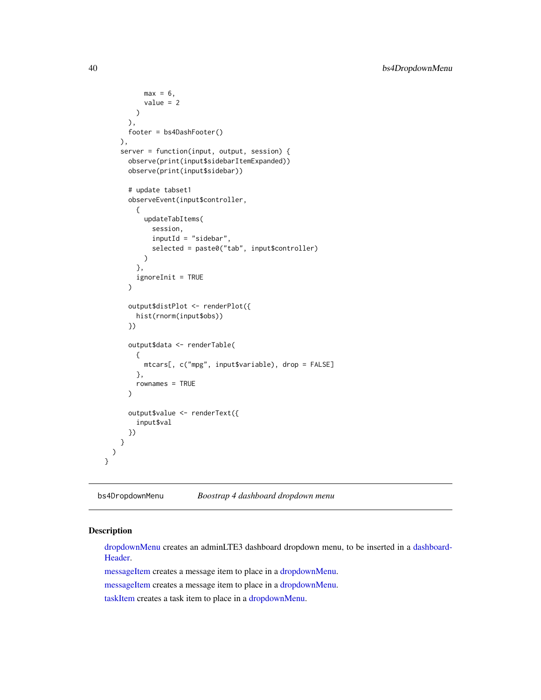```
max = 6,
        value = 2
     )
    ),
    footer = bs4DashFooter()
  ),
  server = function(input, output, session) {
    observe(print(input$sidebarItemExpanded))
    observe(print(input$sidebar))
    # update tabset1
    observeEvent(input$controller,
      {
        updateTabItems(
          session,
          inputId = "sidebar",
          selected = paste0("tab", input$controller)
        )
      },
      ignoreInit = TRUE
    \mathcal{L}output$distPlot <- renderPlot({
      hist(rnorm(input$obs))
    })
    output$data <- renderTable(
      {
        mtcars[, c("mpg", input$variable), drop = FALSE]
      },
      rownames = TRUE
    )
    output$value <- renderText({
      input$val
    })
 }
)
```
bs4DropdownMenu *Boostrap 4 dashboard dropdown menu*

# <span id="page-39-0"></span>Description

}

[dropdownMenu](#page-39-0) creates an adminLTE3 dashboard dropdown menu, to be inserted in a [dashboard-](#page-25-0)[Header.](#page-25-0)

[messageItem](#page-39-0) creates a message item to place in a [dropdownMenu.](#page-39-0)

[messageItem](#page-39-0) creates a message item to place in a [dropdownMenu.](#page-39-0)

[taskItem](#page-39-0) creates a task item to place in a [dropdownMenu.](#page-39-0)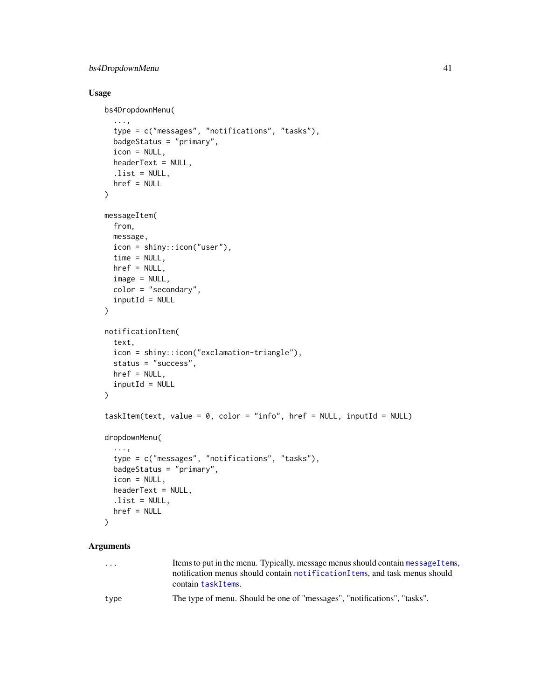# bs4DropdownMenu 41

# Usage

```
bs4DropdownMenu(
  ...,
  type = c("messages", "notifications", "tasks"),
 badgeStatus = "primary",
  icon = NULL,
 headerText = NULL,
  .list = NULL,
 href = NULL
\lambdamessageItem(
 from,
 message,
  icon = shiny::icon("user"),
 time = NULL,
 href = NULL,
  image = NULL,
  color = "secondary",
  inputId = NULL\mathcal{L}notificationItem(
 text,
  icon = shiny::icon("exclamation-triangle"),
  status = "success",
 href = NULL,
  inputId = NULL)
taskItem(text, value = 0, color = "info", href = NULL, inputId = NULL)
dropdownMenu(
  ...,
  type = c("messages", "notifications", "tasks"),
 badgeStatus = "primary",
  icon = NULL,
 headerText = NULL,
 .list = NULL,
 href = NULL
\lambda
```
#### Arguments

| $\cdots$ | Items to put in the menu. Typically, message menus should contain message I tems, |
|----------|-----------------------------------------------------------------------------------|
|          | notification menus should contain notification I tems, and task menus should      |
|          | contain taskItems.                                                                |
| type     | The type of menu. Should be one of "messages", "notifications", "tasks".          |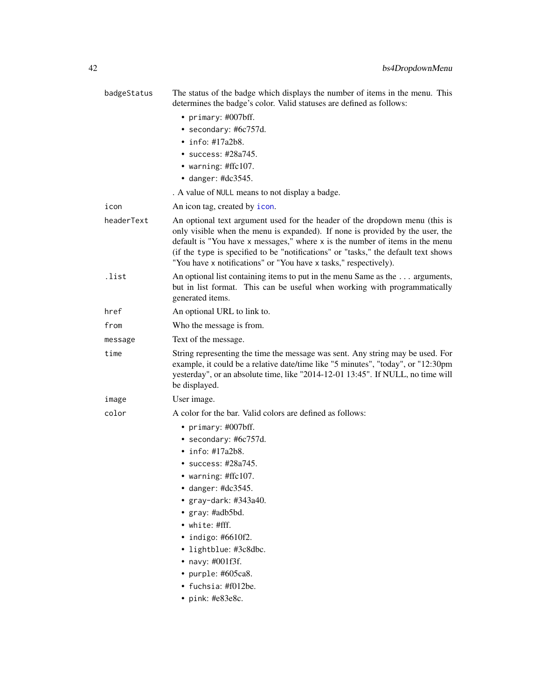| badgeStatus | The status of the badge which displays the number of items in the menu. This<br>determines the badge's color. Valid statuses are defined as follows:                                                                                                                                                                                                                                                   |
|-------------|--------------------------------------------------------------------------------------------------------------------------------------------------------------------------------------------------------------------------------------------------------------------------------------------------------------------------------------------------------------------------------------------------------|
|             | • primary: #007bff.                                                                                                                                                                                                                                                                                                                                                                                    |
|             | • secondary: #6c757d.                                                                                                                                                                                                                                                                                                                                                                                  |
|             | $\cdot$ info: #17a2b8.                                                                                                                                                                                                                                                                                                                                                                                 |
|             | • success: #28a745.                                                                                                                                                                                                                                                                                                                                                                                    |
|             | • warning: $\#$ ffc $107$ .                                                                                                                                                                                                                                                                                                                                                                            |
|             | $\bullet$ danger: #dc3545.                                                                                                                                                                                                                                                                                                                                                                             |
|             | . A value of NULL means to not display a badge.                                                                                                                                                                                                                                                                                                                                                        |
| icon        | An icon tag, created by icon.                                                                                                                                                                                                                                                                                                                                                                          |
| headerText  | An optional text argument used for the header of the dropdown menu (this is<br>only visible when the menu is expanded). If none is provided by the user, the<br>default is "You have x messages," where x is the number of items in the menu<br>(if the type is specified to be "notifications" or "tasks," the default text shows<br>"You have x notifications" or "You have x tasks," respectively). |
| .list       | An optional list containing items to put in the menu Same as the  arguments,<br>but in list format. This can be useful when working with programmatically<br>generated items.                                                                                                                                                                                                                          |
| href        | An optional URL to link to.                                                                                                                                                                                                                                                                                                                                                                            |
| from        | Who the message is from.                                                                                                                                                                                                                                                                                                                                                                               |
| message     | Text of the message.                                                                                                                                                                                                                                                                                                                                                                                   |
| time        | String representing the time the message was sent. Any string may be used. For<br>example, it could be a relative date/time like "5 minutes", "today", or "12:30pm<br>yesterday", or an absolute time, like "2014-12-01 13:45". If NULL, no time will<br>be displayed.                                                                                                                                 |
| image       | User image.                                                                                                                                                                                                                                                                                                                                                                                            |
| color       | A color for the bar. Valid colors are defined as follows:                                                                                                                                                                                                                                                                                                                                              |
|             | • primary: $\#007$ bff.                                                                                                                                                                                                                                                                                                                                                                                |
|             | • secondary: #6c757d.                                                                                                                                                                                                                                                                                                                                                                                  |
|             | $\cdot$ info: #17a2b8.                                                                                                                                                                                                                                                                                                                                                                                 |
|             | • success: $\#28a745$ .                                                                                                                                                                                                                                                                                                                                                                                |
|             | • warning: #ffc107.                                                                                                                                                                                                                                                                                                                                                                                    |
|             | $\bullet$ danger: #dc3545.                                                                                                                                                                                                                                                                                                                                                                             |
|             | • $gray-dark: #343a40.$                                                                                                                                                                                                                                                                                                                                                                                |
|             | • gray: #adb5bd.                                                                                                                                                                                                                                                                                                                                                                                       |
|             | $\bullet$ white: #fff.                                                                                                                                                                                                                                                                                                                                                                                 |
|             | $\bullet$ indigo: #6610f2.                                                                                                                                                                                                                                                                                                                                                                             |
|             | • lightblue: #3c8dbc.                                                                                                                                                                                                                                                                                                                                                                                  |
|             | • navy: $\#001f3f$ .<br>• purple: #605ca8.                                                                                                                                                                                                                                                                                                                                                             |
|             | • fuchsia: #f012be.                                                                                                                                                                                                                                                                                                                                                                                    |
|             | $\cdot$ pink: #e83e8c.                                                                                                                                                                                                                                                                                                                                                                                 |
|             |                                                                                                                                                                                                                                                                                                                                                                                                        |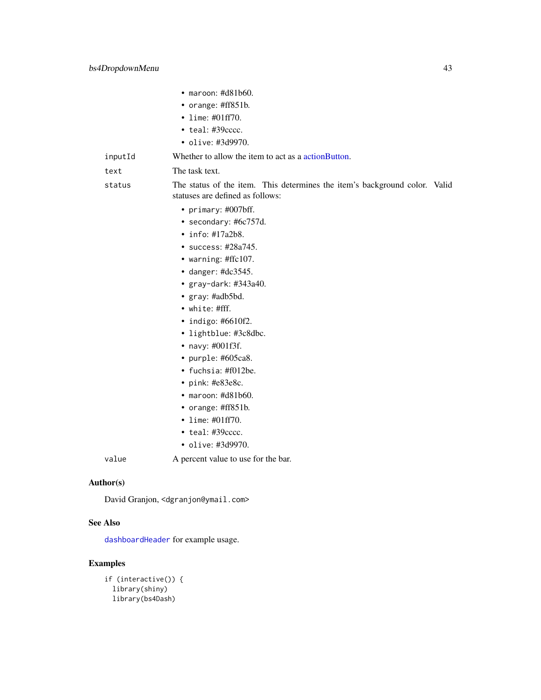|           | $\bullet$ maroon: #d81b60.                                                                                     |
|-----------|----------------------------------------------------------------------------------------------------------------|
|           | • orange: #ff851b.                                                                                             |
|           | • lime: $\#01ff70$ .                                                                                           |
|           | $\cdot$ teal: #39 $cccc$ .                                                                                     |
|           | • olive: #3d9970.                                                                                              |
| inputId   | Whether to allow the item to act as a action Button.                                                           |
| text      | The task text.                                                                                                 |
| status    | The status of the item. This determines the item's background color. Valid<br>statuses are defined as follows: |
|           | • primary: #007bff.                                                                                            |
|           | • secondary: #6c757d.                                                                                          |
|           | $\cdot$ info: #17a2b8.                                                                                         |
|           | • success: #28a745.                                                                                            |
|           | • warning: #ffc107.                                                                                            |
|           | $\bullet$ danger: #dc3545.                                                                                     |
|           | • gray-dark: #343a40.                                                                                          |
|           | • gray: #adb5bd.                                                                                               |
|           | $\bullet$ white: #fff.                                                                                         |
|           | $\bullet$ indigo: #6610f2.                                                                                     |
|           | • lightblue: #3c8dbc.                                                                                          |
|           | $\bullet$ navy: #001f3f.                                                                                       |
|           | • purple: $#605ca8$ .                                                                                          |
|           | • fuchsia: #f012be.                                                                                            |
|           | $\bullet$ pink: #e83e8c.                                                                                       |
|           | $\bullet$ maroon: #d81b60.                                                                                     |
|           | • orange: #ff851b.                                                                                             |
|           | • lime: $\#01ff70$ .                                                                                           |
|           | $\cdot$ teal: #39 $cccc$ .                                                                                     |
|           | • olive: #3d9970.                                                                                              |
| value     | A percent value to use for the bar.                                                                            |
| Author(s) |                                                                                                                |
|           | David Granjon, <dgranjon@ymail.com></dgranjon@ymail.com>                                                       |

### See Also

[dashboardHeader](#page-25-0) for example usage.

```
if (interactive()) {
 library(shiny)
 library(bs4Dash)
```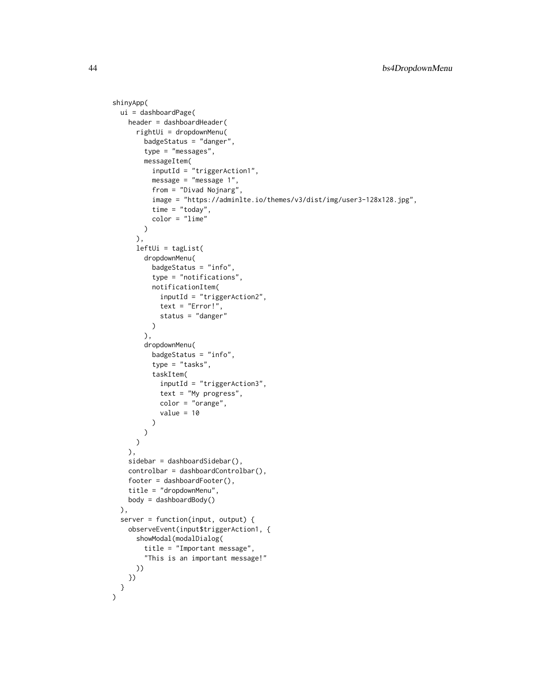```
shinyApp(
 ui = dashboardPage(
    header = dashboardHeader(
      rightUi = dropdownMenu(
        badgeStatus = "danger",
        type = "messages",
        messageItem(
          inputId = "triggerAction1",
          message = "message 1",
          from = "Divad Nojnarg",
          image = "https://adminlte.io/themes/v3/dist/img/user3-128x128.jpg",
          time = "today",
          color = "lime"
        )
      ),
      leftUi = tagList(
        dropdownMenu(
          badgeStatus = "info",
          type = "notifications",
          notificationItem(
            inputId = "triggerAction2",
            text = "Error!",
            status = "danger"
          \mathcal{L}),
        dropdownMenu(
          badgeStatus = "info",
          type = "tasks",
          taskItem(
            inputId = "triggerAction3",
            text = "My progress",
            color = "orange",
            value = 10\lambda)
      )
    ),
    sidebar = dashboardSidebar(),
    controlbar = dashboardControlbar(),
    footer = dashboardFooter(),
    title = "dropdownMenu",
    body = dashboardBody()
  ),
  server = function(input, output) {
    observeEvent(input$triggerAction1, {
      showModal(modalDialog(
        title = "Important message",
        "This is an important message!"
      ))
    })
 }
\mathcal{L}
```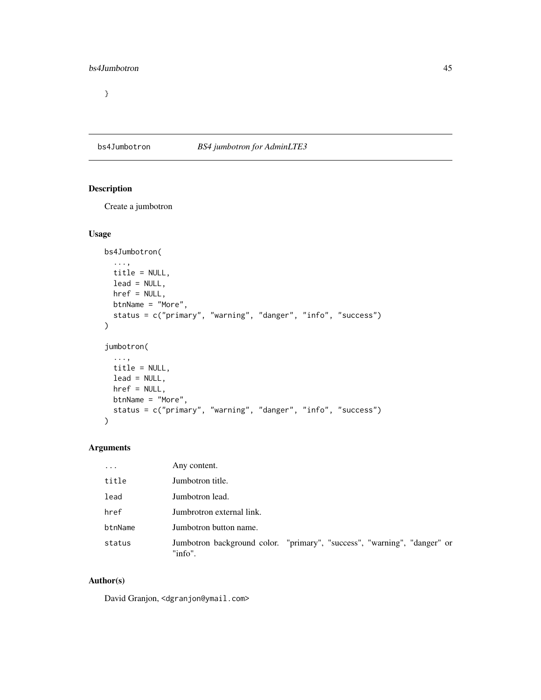}

# bs4Jumbotron *BS4 jumbotron for AdminLTE3*

# Description

Create a jumbotron

### Usage

```
bs4Jumbotron(
  ...,
 title = NULL,
 lead = NULL,
 href = NULL,
 btnName = "More",
 status = c("primary", "warning", "danger", "info", "success")
\mathcal{L}jumbotron(
  ...,
 title = NULL,
 lead = NULL,
 href = NULL,
 btnName = "More",
 status = c("primary", "warning", "danger", "info", "success")
)
```
# Arguments

| $\ddots$ | Any content.                                                                        |
|----------|-------------------------------------------------------------------------------------|
| title    | Jumbotron title.                                                                    |
| lead     | Jumbotron lead.                                                                     |
| href     | Jumbrotron external link.                                                           |
| btnName  | Jumbotron button name.                                                              |
| status   | Jumbotron background color. "primary", "success", "warning", "danger" or<br>"info". |

# Author(s)

David Granjon, <dgranjon@ymail.com>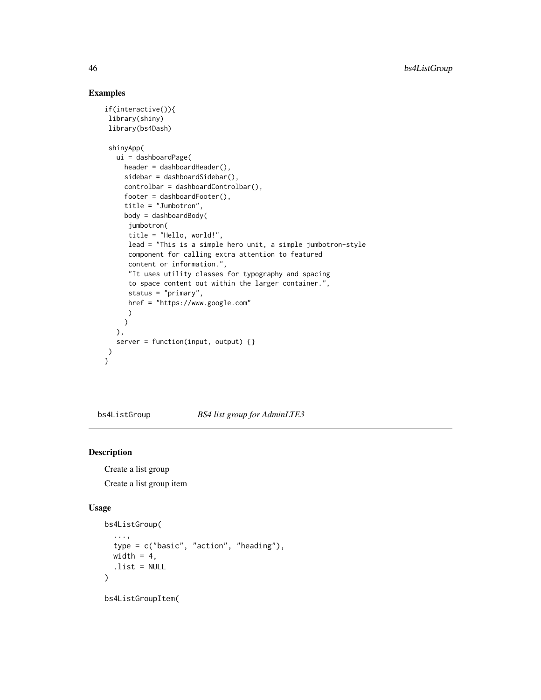# Examples

```
if(interactive()){
library(shiny)
library(bs4Dash)
shinyApp(
  ui = dashboardPage(
    header = dashboardHeader(),
    sidebar = dashboardSidebar(),
    controlbar = dashboardControlbar(),
    footer = dashboardFooter(),
    title = "Jumbotron",
    body = dashboardBody(
     jumbotron(
     title = "Hello, world!",
     lead = "This is a simple hero unit, a simple jumbotron-style
     component for calling extra attention to featured
     content or information.",
     "It uses utility classes for typography and spacing
     to space content out within the larger container.",
     status = "primary",
     href = "https://www.google.com"
     )
    )
  ),
  server = function(input, output) {}
)
}
```
bs4ListGroup *BS4 list group for AdminLTE3*

# Description

Create a list group Create a list group item

#### Usage

```
bs4ListGroup(
  ...,
  type = c("basic", "action", "heading"),
  width = 4,
  .list = NULL
\lambda
```
bs4ListGroupItem(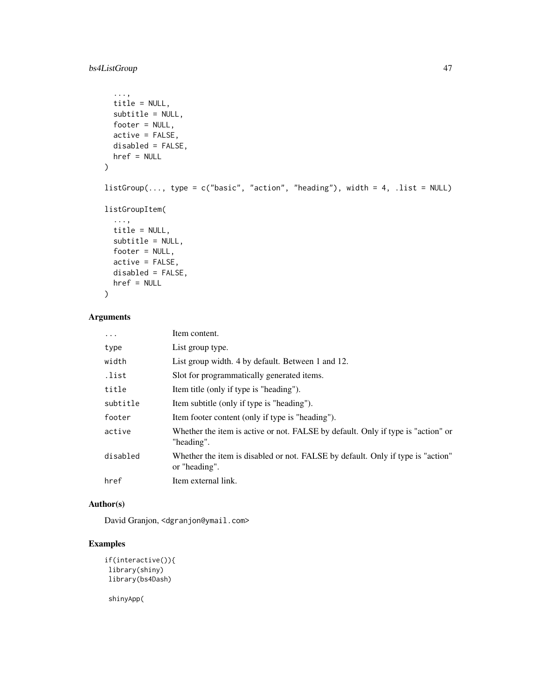# bs4ListGroup 47

```
...,
 title = NULL,
 subtitle = NULL,
 footer = NULL,
 active = FALSE,
 disabled = FALSE,
 href = NULL
\mathcal{L}listGroup(\ldots, type = c("basic", "action", "heading"), width = 4, .list = NULL)listGroupItem(
  ...,
 title = NULL,
 subtitle = NULL,
 footer = NULL,
 active = FALSE,
 disabled = FALSE,
 href = NULL
\mathcal{L}
```
# Arguments

| .        | Item content.                                                                                    |
|----------|--------------------------------------------------------------------------------------------------|
| type     | List group type.                                                                                 |
| width    | List group width. 4 by default. Between 1 and 12.                                                |
| .list    | Slot for programmatically generated items.                                                       |
| title    | Item title (only if type is "heading").                                                          |
| subtitle | Item subtitle (only if type is "heading").                                                       |
| footer   | Item footer content (only if type is "heading").                                                 |
| active   | Whether the item is active or not. FALSE by default. Only if type is "action" or<br>"heading".   |
| disabled | Whether the item is disabled or not. FALSE by default. Only if type is "action"<br>or "heading". |
| href     | Item external link.                                                                              |

# Author(s)

David Granjon, <dgranjon@ymail.com>

# Examples

```
if(interactive()){
library(shiny)
library(bs4Dash)
```
shinyApp(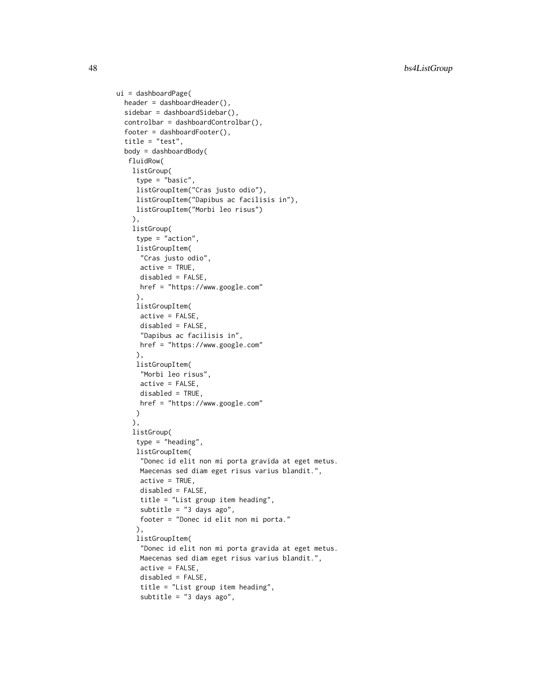```
ui = dashboardPage(
  header = dashboardHeader(),
  sidebar = dashboardSidebar(),
  controlbar = dashboardControlbar(),
  footer = dashboardFooter(),
  title = "test",
  body = dashboardBody(
  fluidRow(
   listGroup(
    type = "basic",
    listGroupItem("Cras justo odio"),
    listGroupItem("Dapibus ac facilisis in"),
    listGroupItem("Morbi leo risus")
    ),
    listGroup(
    type = "action",
    listGroupItem(
     "Cras justo odio",
     active = TRUE,
     disabled = FALSE,
     href = "https://www.google.com"
     ),
    listGroupItem(
     active = FALSE,
     disabled = FALSE,
     "Dapibus ac facilisis in",
     href = "https://www.google.com"
    ),
    listGroupItem(
     "Morbi leo risus",
     active = FALSE,
     disabled = TRUE,
     href = "https://www.google.com"
    )
    ),
    listGroup(
    type = "heading",
     listGroupItem(
     "Donec id elit non mi porta gravida at eget metus.
     Maecenas sed diam eget risus varius blandit.",
     active = TRUE,disabled = FALSE,
     title = "List group item heading",
     subtitle = "3 days ago",
     footer = "Donec id elit non mi porta."
     ),
     listGroupItem(
      "Donec id elit non mi porta gravida at eget metus.
     Maecenas sed diam eget risus varius blandit.",
     active = FALSE,disabled = FALSE,
      title = "List group item heading",
      subtitle = "3 days ago",
```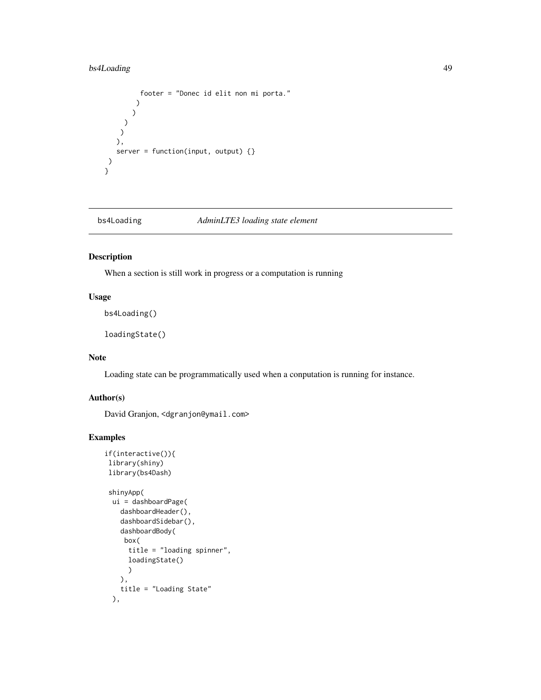# bs4Loading 49

```
footer = "Donec id elit non mi porta."
        )
       )
    )
    )
   ),
  server = function(input, output) {}
)
}
```
bs4Loading *AdminLTE3 loading state element*

# Description

When a section is still work in progress or a computation is running

# Usage

bs4Loading()

loadingState()

### Note

Loading state can be programmatically used when a conputation is running for instance.

# Author(s)

David Granjon, <dgranjon@ymail.com>

```
if(interactive()){
library(shiny)
library(bs4Dash)
shinyApp(
 ui = dashboardPage(
   dashboardHeader(),
   dashboardSidebar(),
   dashboardBody(
    box(
     title = "loading spinner",
     loadingState()
     )
   ),
   title = "Loading State"
 ),
```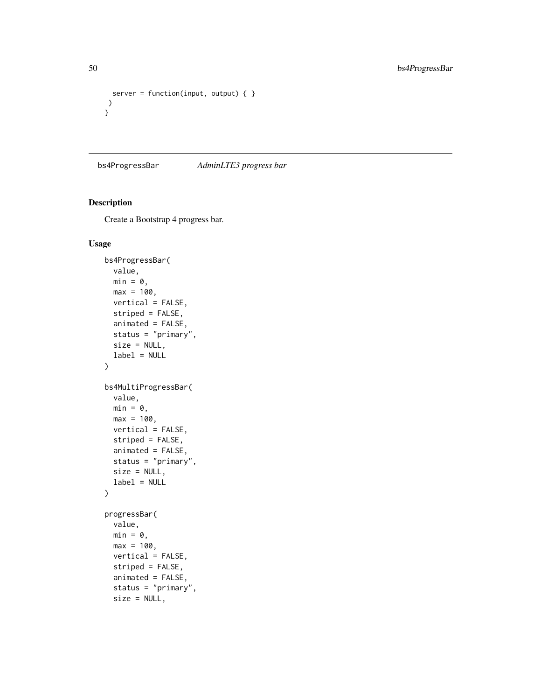```
server = function(input, output) \{ \})
}
```
bs4ProgressBar *AdminLTE3 progress bar*

# Description

Create a Bootstrap 4 progress bar.

### Usage

```
bs4ProgressBar(
  value,
 min = 0,max = 100,vertical = FALSE,
  striped = FALSE,
  animated = FALSE,
  status = "primary",
  size = NULL,
  label = NULL
\lambdabs4MultiProgressBar(
  value,
 min = 0,
 max = 100,vertical = FALSE,
  striped = FALSE,
  animated = FALSE,
  status = "primary",
  size = NULL,
 label = NULL)
progressBar(
 value,
 min = 0,max = 100,
 vertical = FALSE,
  striped = FALSE,
  animated = FALSE,
  status = "primary",
  size = NULL,
```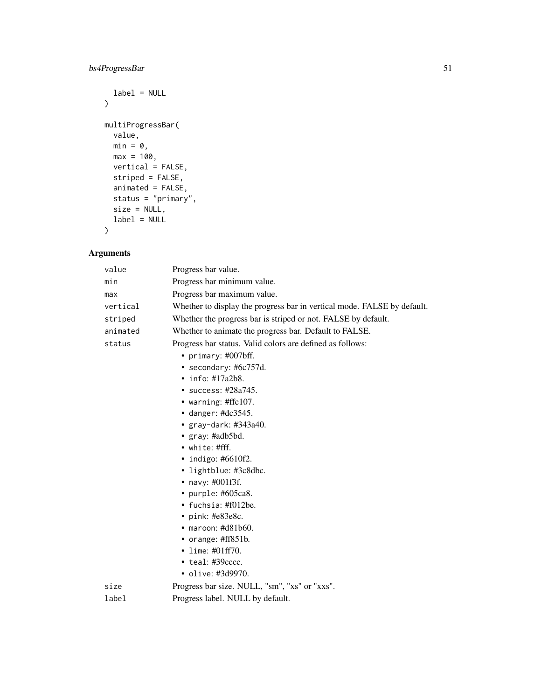# bs4ProgressBar 51

```
label = NULL\mathcal{L}multiProgressBar(
  value,
 min = 0,max = 100,vertical = FALSE,
  striped = FALSE,
  animated = FALSE,
  status = "primary",
  size = NULL,
  label = NULL
)
```
# Arguments

| value    | Progress bar value.                                                     |
|----------|-------------------------------------------------------------------------|
| min      | Progress bar minimum value.                                             |
| max      | Progress bar maximum value.                                             |
| vertical | Whether to display the progress bar in vertical mode. FALSE by default. |
| striped  | Whether the progress bar is striped or not. FALSE by default.           |
| animated | Whether to animate the progress bar. Default to FALSE.                  |
| status   | Progress bar status. Valid colors are defined as follows:               |
|          | • primary: $\#007$ bff.                                                 |
|          | • secondary: $\#6c757d$ .                                               |
|          | $\cdot$ info: #17a2b8.                                                  |
|          | • success: #28a745.                                                     |
|          | • warning: $\#$ ffc $107$ .                                             |
|          | • danger: $\text{\#dc}3545$ .                                           |
|          | • $gray$ -dark: #343a40.                                                |
|          | • $gray: \#adb5bd.$                                                     |
|          | $\bullet$ white: #fff.                                                  |
|          | • indigo: $#6610f2$ .                                                   |
|          | • lightblue: #3c8dbc.                                                   |
|          | • navy: $\#001f3f$ .                                                    |
|          | • purple: #605ca8.                                                      |
|          | • fuchsia: $\text{\#f012be}.$                                           |
|          | $\cdot$ pink: #e83e8c.                                                  |
|          | $\bullet$ maroon: #d81b60.                                              |
|          | • orange: $\#ff851b$ .                                                  |
|          | • lime: $\#01ff70$ .                                                    |
|          | $\bullet$ teal: #39 $cccc.$                                             |
|          | • olive: #3d9970.                                                       |
| size     | Progress bar size. NULL, "sm", "xs" or "xxs".                           |
| label    | Progress label. NULL by default.                                        |
|          |                                                                         |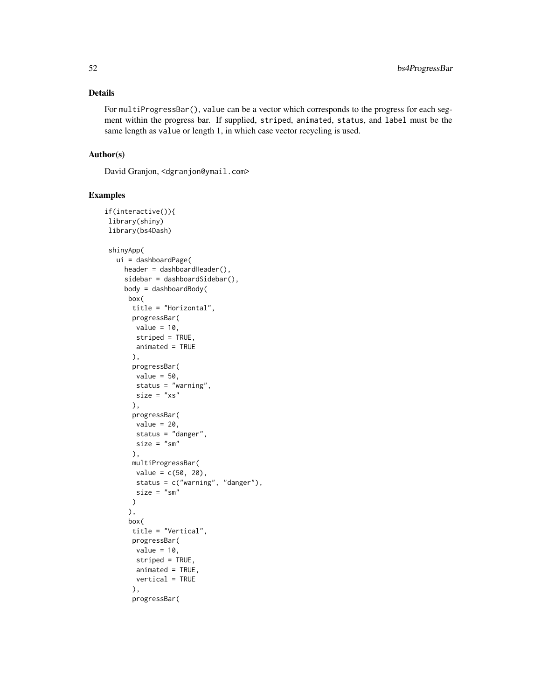### Details

For multiProgressBar(), value can be a vector which corresponds to the progress for each segment within the progress bar. If supplied, striped, animated, status, and label must be the same length as value or length 1, in which case vector recycling is used.

# Author(s)

David Granjon, <dgranjon@ymail.com>

```
if(interactive()){
library(shiny)
library(bs4Dash)
shinyApp(
  ui = dashboardPage(
    header = dashboardHeader(),
    sidebar = dashboardSidebar(),
    body = dashboardBody(
     box(
      title = "Horizontal",
      progressBar(
       value = 10,
       striped = TRUE,
       animated = TRUE
       ),
       progressBar(
       value = 50,
       status = "warning",
       size = "xs"),
       progressBar(
       value = 20,
       status = "danger",
       size = "sm"),
       multiProgressBar(
       value = c(50, 20),
       status = c("warning", "danger"),
       size = "sm"\lambda),
     box(
       title = "Vertical",
       progressBar(
       value = 10,
       striped = TRUE,
       animated = TRUE,
       vertical = TRUE
       ),
       progressBar(
```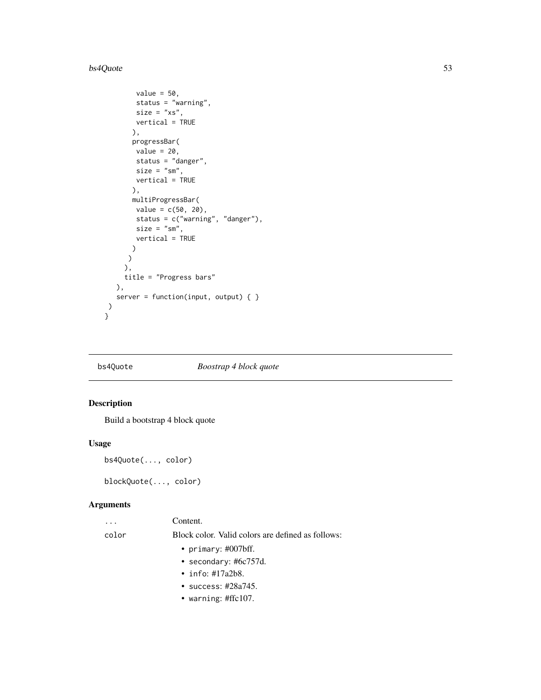#### bs4Quote 53

```
value = 50,
       status = "warning",
       size = "xs",vertical = TRUE
      ),
      progressBar(
      value = 20,
      status = "danger",
      size = "sm",vertical = TRUE
      ),
      multiProgressBar(
      value = c(50, 20),status = c("warning", "danger"),
      size = "sm",vertical = TRUE
      )
    )
    ),
    title = "Progress bars"
  ),
  server = function(input, output) \{ \})
```
}

# bs4Quote *Boostrap 4 block quote*

### Description

Build a bootstrap 4 block quote

### Usage

bs4Quote(..., color)

blockQuote(..., color)

# Arguments

|       | Content.                                          |
|-------|---------------------------------------------------|
| color | Block color. Valid colors are defined as follows: |
|       | • primary: $\#007$ bff.                           |
|       | • secondary: $\#6c757d$ .                         |
|       | • info: $\#17a2b8$ .                              |
|       | $\bullet$ success: #28a745.                       |
|       |                                                   |

• warning: #ffc107.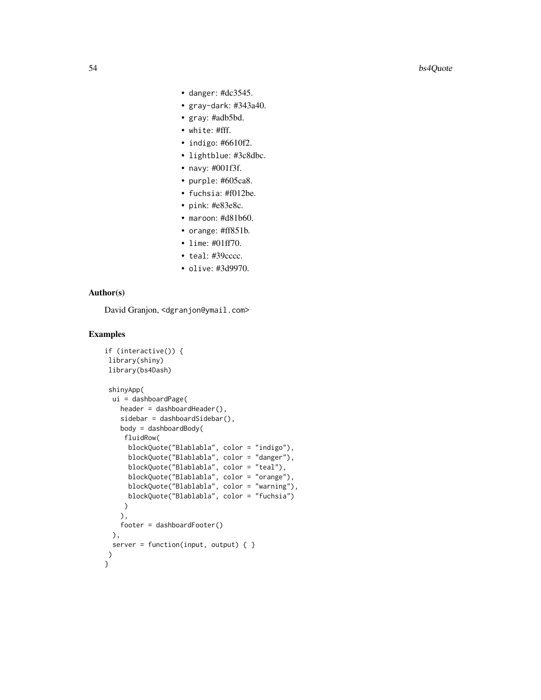- danger: #dc3545.
- gray-dark: #343a40.
- gray: #adb5bd.
- white: #fff.
- indigo: #6610f2.
- lightblue: #3c8dbc.
- navy: #001f3f.
- purple: #605ca8.
- fuchsia: #f012be.
- pink: #e83e8c.
- maroon: #d81b60.
- orange: #ff851b.
- lime: #01ff70.
- teal: #39cccc.
- olive: #3d9970.

# Author(s)

David Granjon, <dgranjon@ymail.com>

```
if (interactive()) {
library(shiny)
library(bs4Dash)
shinyApp(
 ui = dashboardPage(
   header = dashboardHeader(),
   sidebar = dashboardSidebar(),
   body = dashboardBody(
    fluidRow(
     blockQuote("Blablabla", color = "indigo"),
      blockQuote("Blablabla", color = "danger"),
      blockQuote("Blablabla", color = "teal"),
     blockQuote("Blablabla", color = "orange"),
     blockQuote("Blablabla", color = "warning"),
     blockQuote("Blablabla", color = "fuchsia")
    )
   ),
   footer = dashboardFooter()
 ),
 server = function(input, output) { }
)
}
```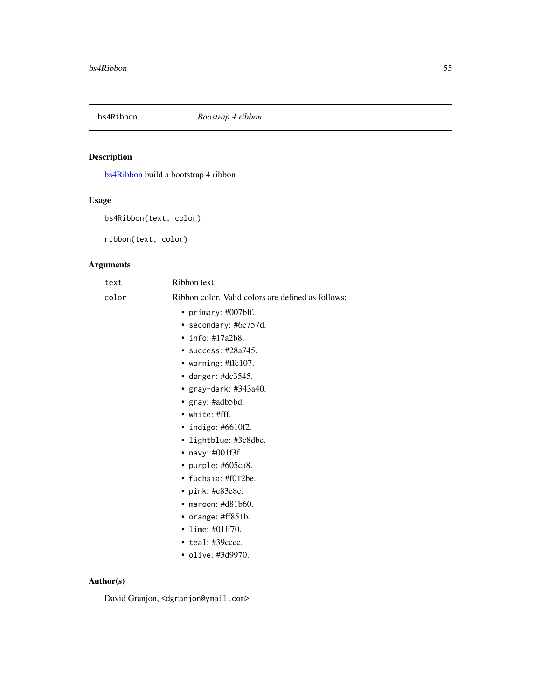<span id="page-54-0"></span>

# Description

[bs4Ribbon](#page-54-0) build a bootstrap 4 ribbon

# Usage

```
bs4Ribbon(text, color)
```
ribbon(text, color)

# Arguments

| text   | Ribbon text.                                       |
|--------|----------------------------------------------------|
| color  | Ribbon color. Valid colors are defined as follows: |
|        | • primary: $\#007$ bff.                            |
|        | • secondary: #6c757d.                              |
|        | • info: $\#17a2b8$ .                               |
|        | • success: $\#28a745$ .                            |
|        | • warning: #ffc107.                                |
|        | • danger: $\text{\#dc}3545$ .                      |
|        | • $gray$ -dark: #343a40.                           |
|        | • $gray: \#adb5bd.$                                |
|        | $\bullet$ white: #fff.                             |
|        | • indigo: #6610f2.                                 |
|        | • lightblue: #3c8dbc.                              |
|        | • navy: $\#001f3f$ .                               |
|        | • purple: #605ca8.                                 |
|        | • fuchsia: $\#f012$ be.                            |
|        | • pink: #e83e8c.                                   |
|        | $\bullet$ maroon: #d81b60.                         |
|        | • orange: $\#ff851b$ .                             |
|        | • lime: $\#01ff70$ .                               |
|        | $\cdot$ teal: #39 $cccc$ .                         |
|        | • olive: #3d9970.                                  |
| hor(s) |                                                    |

# Author(s)

David Granjon, <dgranjon@ymail.com>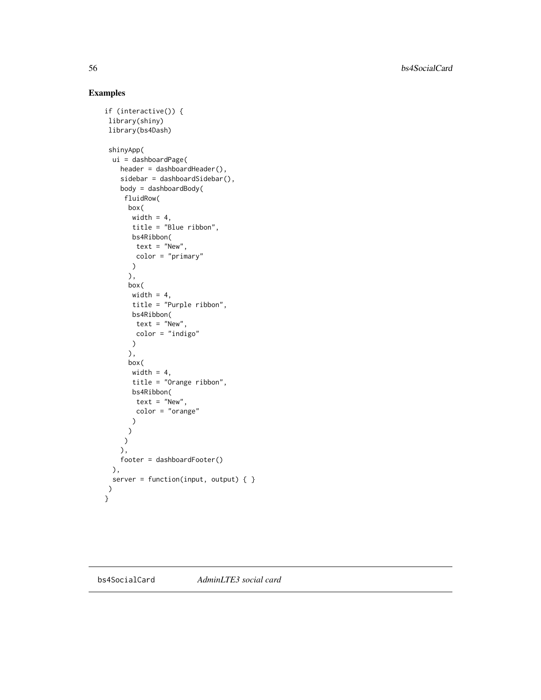56 bs4SocialCard

```
if (interactive()) {
library(shiny)
library(bs4Dash)
shinyApp(
 ui = dashboardPage(
   header = dashboardHeader(),
   sidebar = dashboardSidebar(),
   body = dashboardBody(
    fluidRow(
     box(
      width = 4,
      title = "Blue ribbon",
      bs4Ribbon(
       text = "New",
       color = "primary"
      )
     ),
     box(
      width = 4,
      title = "Purple ribbon",
      bs4Ribbon(
       text = "New",
       color = "indigo"
      )
     ),
     box(
      width = 4,
      title = "Orange ribbon",
      bs4Ribbon(
       text = "New",
       color = "orange"
      )
     )
    )
   ),
   footer = dashboardFooter()
 ),
 server = function(input, output) { }
)
}
```
<span id="page-55-1"></span><span id="page-55-0"></span>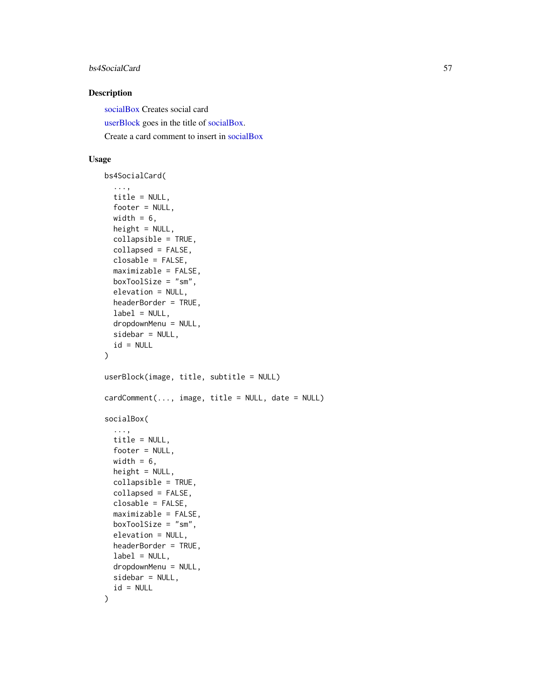### bs4SocialCard 57

# Description

[socialBox](#page-55-0) Creates social card [userBlock](#page-55-0) goes in the title of [socialBox.](#page-55-0) Create a card comment to insert in [socialBox](#page-55-0)

# Usage

```
bs4SocialCard(
  ...,
  title = NULL,
  footer = NULL,width = 6,
  height = NULL,collapsible = TRUE,
  collapsed = FALSE,
  closable = FALSE,
  maximizable = FALSE,
  boxToolSize = "sm",
  elevation = NULL,
  headerBorder = TRUE,
  label = NULL,dropdownMenu = NULL,
  sidebar = NULL,
  id = NULL)
userBlock(image, title, subtitle = NULL)
cardComment(..., image, title = NULL, date = NULL)
socialBox(
  ...,
  title = NULL,
  footer = NULL,width = 6,
  height = NULL,collapsible = TRUE,
  collapsed = FALSE,
  closable = FALSE,
  maximizable = FALSE,
  boxToolSize = "sm",
  elevation = NULL,
  headerBorder = TRUE,
  label = NULL,dropdownMenu = NULL,
  sidebar = NULL,
  id = NULL)
```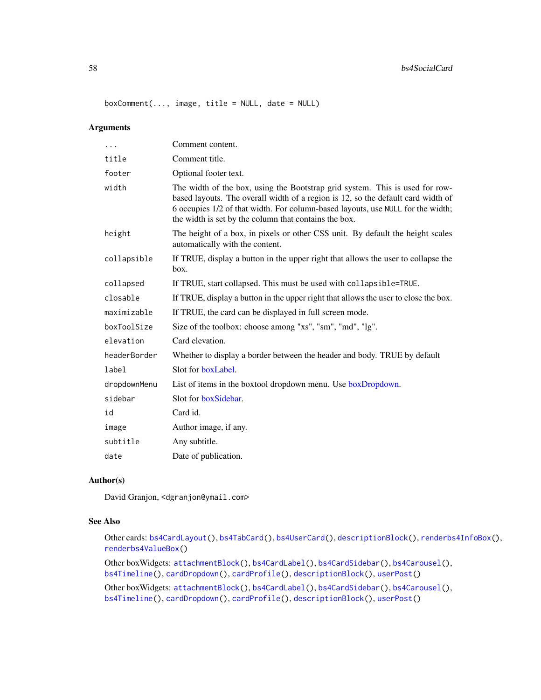#### 58 bs4SocialCard

 $boxComment(..., image, title = NULL, date = NULL)$ 

### Arguments

| The width of the box, using the Bootstrap grid system. This is used for row-<br>based layouts. The overall width of a region is 12, so the default card width of<br>6 occupies 1/2 of that width. For column-based layouts, use NULL for the width;<br>The height of a box, in pixels or other CSS unit. By default the height scales |
|---------------------------------------------------------------------------------------------------------------------------------------------------------------------------------------------------------------------------------------------------------------------------------------------------------------------------------------|
|                                                                                                                                                                                                                                                                                                                                       |
|                                                                                                                                                                                                                                                                                                                                       |
|                                                                                                                                                                                                                                                                                                                                       |
|                                                                                                                                                                                                                                                                                                                                       |
| If TRUE, display a button in the upper right that allows the user to collapse the                                                                                                                                                                                                                                                     |
| If TRUE, start collapsed. This must be used with collapsible=TRUE.                                                                                                                                                                                                                                                                    |
| If TRUE, display a button in the upper right that allows the user to close the box.                                                                                                                                                                                                                                                   |
|                                                                                                                                                                                                                                                                                                                                       |
|                                                                                                                                                                                                                                                                                                                                       |
|                                                                                                                                                                                                                                                                                                                                       |
| Whether to display a border between the header and body. TRUE by default                                                                                                                                                                                                                                                              |
|                                                                                                                                                                                                                                                                                                                                       |
|                                                                                                                                                                                                                                                                                                                                       |
|                                                                                                                                                                                                                                                                                                                                       |
|                                                                                                                                                                                                                                                                                                                                       |
|                                                                                                                                                                                                                                                                                                                                       |
|                                                                                                                                                                                                                                                                                                                                       |
|                                                                                                                                                                                                                                                                                                                                       |
|                                                                                                                                                                                                                                                                                                                                       |

# Author(s)

David Granjon, <dgranjon@ymail.com>

# See Also

Other cards: [bs4CardLayout\(](#page-14-1)), [bs4TabCard\(](#page-61-0)), [bs4UserCard\(](#page-69-0)), [descriptionBlock\(](#page-82-0)), [renderbs4InfoBox\(](#page-101-0)), [renderbs4ValueBox\(](#page-104-0))

Other boxWidgets: [attachmentBlock\(](#page-6-0)), [bs4CardLabel\(](#page-14-2)), [bs4CardSidebar\(](#page-16-1)), [bs4Carousel\(](#page-19-0)), [bs4Timeline\(](#page-66-0)), [cardDropdown\(](#page-76-1)), [cardProfile\(](#page-77-0)), [descriptionBlock\(](#page-82-0)), [userPost\(](#page-126-0))

Other boxWidgets: [attachmentBlock\(](#page-6-0)), [bs4CardLabel\(](#page-14-2)), [bs4CardSidebar\(](#page-16-1)), [bs4Carousel\(](#page-19-0)), [bs4Timeline\(](#page-66-0)), [cardDropdown\(](#page-76-1)), [cardProfile\(](#page-77-0)), [descriptionBlock\(](#page-82-0)), [userPost\(](#page-126-0))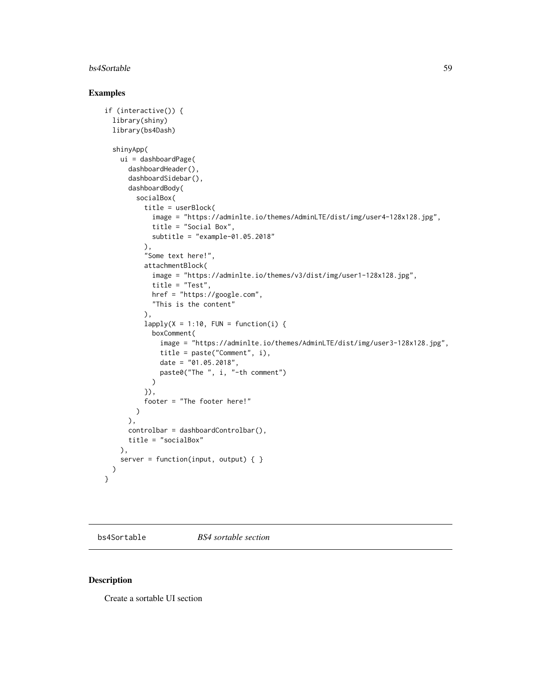#### bs4Sortable 59

### Examples

```
if (interactive()) {
 library(shiny)
 library(bs4Dash)
 shinyApp(
   ui = dashboardPage(
     dashboardHeader(),
     dashboardSidebar(),
     dashboardBody(
       socialBox(
          title = userBlock(
            image = "https://adminlte.io/themes/AdminLTE/dist/img/user4-128x128.jpg",
            title = "Social Box",
            subtitle = "example-01.05.2018"
          ),
          "Some text here!",
          attachmentBlock(
            image = "https://adminlte.io/themes/v3/dist/img/user1-128x128.jpg",
            title = "Test",
           href = "https://google.com",
            "This is the content"
         ),
         lapply(X = 1:10, FUN = function(i)boxComment(
              image = "https://adminlte.io/themes/AdminLTE/dist/img/user3-128x128.jpg",
             title = paste("Comment", i),
             date = "01.05.2018",
             paste0("The ", i, "-th comment")
            )
          }),
          footer = "The footer here!"
       )
     ),
     controlbar = dashboardControlbar(),
     title = "socialBox"
   ),
   server = function(input, output) \{ \})
}
```
bs4Sortable *BS4 sortable section*

# Description

Create a sortable UI section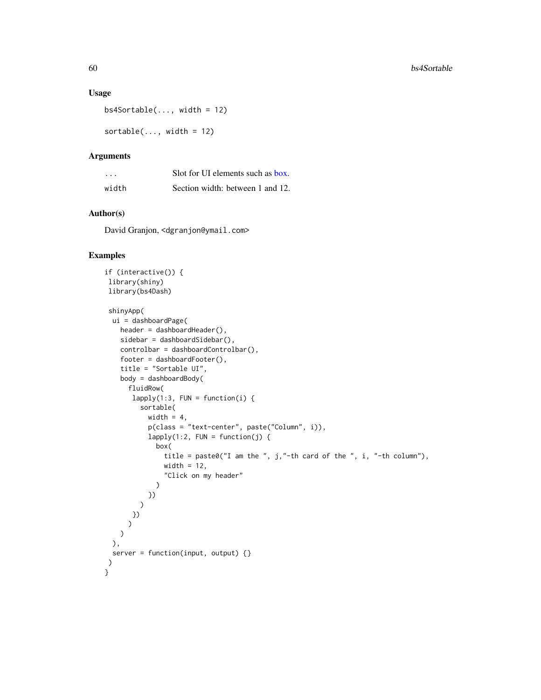### Usage

 $bs4Sortable(..., width = 12)$ 

 $sortedle(..., width = 12)$ 

### Arguments

| .     | Solt for UI elements such as box. |
|-------|-----------------------------------|
| width | Section width: between 1 and 12.  |

# Author(s)

David Granjon, <dgranjon@ymail.com>

```
if (interactive()) {
library(shiny)
library(bs4Dash)
shinyApp(
 ui = dashboardPage(
   header = dashboardHeader(),
   sidebar = dashboardSidebar(),
   controlbar = dashboardControlbar(),
    footer = dashboardFooter(),
   title = "Sortable UI",
   body = dashboardBody(
     fluidRow(
      lapply(1:3, FUN = function(i)sortable(
          width = 4,
          p(class = "text-center", paste("Column", i)),
          lapply(1:2, FUN = function(j) {
            box(
              title = paste0("I am the ", j,"-th card of the ", i, "-th column"),
              width = 12,
               "Click on my header"
            )
          })
        )
      })
      )
    )
 ),
 server = function(input, output) {}
)
}
```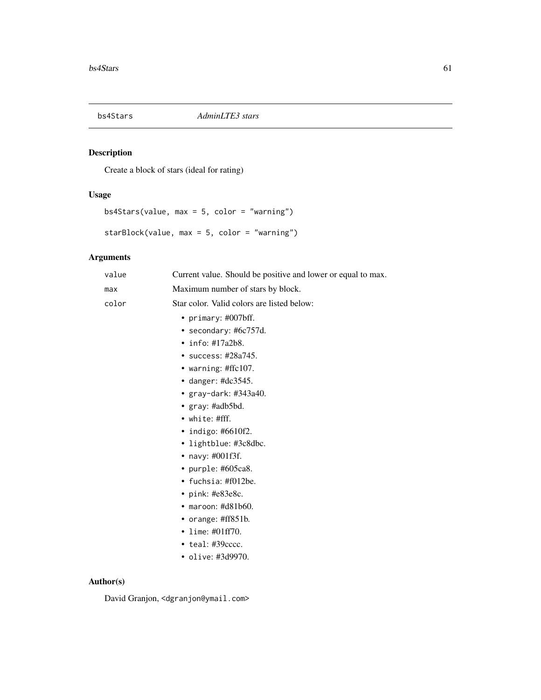# Description

Create a block of stars (ideal for rating)

# Usage

bs4Stars(value, max = 5, color = "warning")

starBlock(value, max = 5, color = "warning")

# Arguments

| value | Current value. Should be positive and lower or equal to max. |
|-------|--------------------------------------------------------------|
| max   | Maximum number of stars by block.                            |
| color | Star color. Valid colors are listed below:                   |
|       | • primary: $\#007$ bff.                                      |
|       | • secondary: #6 $c757d$ .                                    |
|       | • info: #17a2b8.                                             |
|       | • success: $\#28a745$ .                                      |
|       | • warning: $\#$ ffc $107$ .                                  |
|       | • danger: $\text{\#dc}3545$ .                                |
|       | • $gray$ -dark: #343a40.                                     |
|       | • $gray: \#adb5bd.$                                          |
|       | $\bullet$ white: #fff.                                       |
|       | • indigo: #6610f2.                                           |
|       | · lightblue: #3c8dbc.                                        |
|       | • navy: $\#001f3f$ .                                         |
|       | • purple: $#605ca8$ .                                        |
|       | • fuchsia: #f012be.                                          |
|       | • pink: $#e83e8c$ .                                          |
|       | $\bullet$ maroon: #d81b60.                                   |
|       | • orange: #ff851b.                                           |
|       | • lime: $\#01ff70$ .                                         |
|       | $\cdot$ teal: #39 $cccc$ .                                   |
|       | • olive: #3d9970.                                            |
|       |                                                              |

# Author(s)

David Granjon, <dgranjon@ymail.com>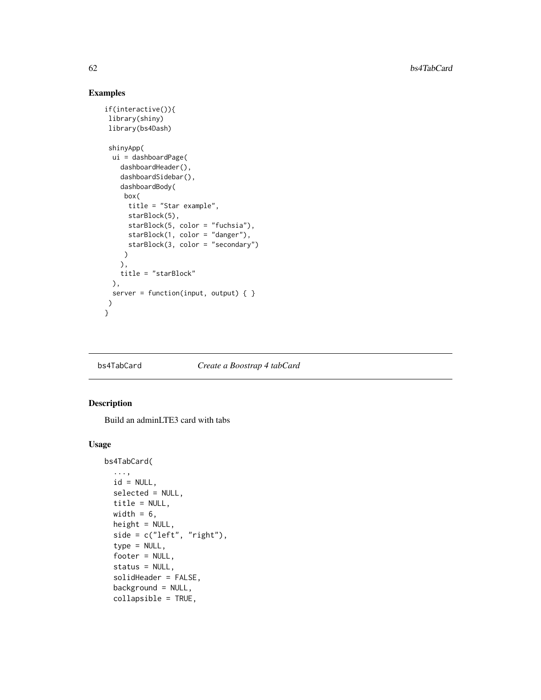# Examples

```
if(interactive()){
library(shiny)
library(bs4Dash)
shinyApp(
 ui = dashboardPage(
   dashboardHeader(),
   dashboardSidebar(),
   dashboardBody(
    box(
     title = "Star example",
     starBlock(5),
     starBlock(5, color = "fuchsia"),
     starBlock(1, color = "danger"),
     starBlock(3, color = "secondary")
    )
   ),
   title = "starBlock"
 ),
 server = function(input, output) \{ \})
}
```
#### <span id="page-61-0"></span>bs4TabCard *Create a Boostrap 4 tabCard*

### <span id="page-61-1"></span>Description

Build an adminLTE3 card with tabs

### Usage

```
bs4TabCard(
  ...,
 id = NULL,selected = NULL,
  title = NULL,
 width = 6,
 height = NULL,side = c("left", "right"),type = NULL,footer = NULL,
  status = NULL,
  solidHeader = FALSE,
  background = NULL,
  collapsible = TRUE,
```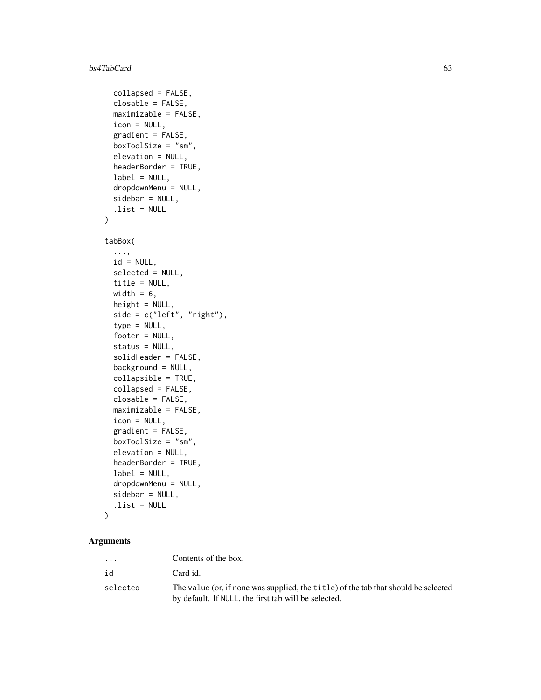#### bs4TabCard 63

```
collapsed = FALSE,
  closable = FALSE,
 maximizable = FALSE,
  icon = NULL,
  gradient = FALSE,
 boxToolSize = "sm",
  elevation = NULL,
 headerBorder = TRUE,
  label = NULL,dropdownMenu = NULL,
  sidebar = NULL,
  .list = NULL
)
```

```
tabBox(
```

```
...,
 id = NULL,selected = NULL,
 title = NULL,
 width = 6.
 height = NULL,side = c("left", "right"),type = NULL,
  footer = NULL,
  status = NULL,
  solidHeader = FALSE,
 background = NULL,
  collapsible = TRUE,
  collapsed = FALSE,
 closable = FALSE,
 maximizable = FALSE,
  icon = NULL,
  gradient = FALSE,
 boxToolSize = "sm",
  elevation = NULL,
 headerBorder = TRUE,
  label = NULL,dropdownMenu = NULL,
  sidebar = NULL,
  .list = NULL
\mathcal{L}
```
# Arguments

| $\cdots$ | Contents of the box.                                                                                                                       |
|----------|--------------------------------------------------------------------------------------------------------------------------------------------|
| id       | Card id.                                                                                                                                   |
| selected | The value (or, if none was supplied, the title) of the tab that should be selected<br>by default. If NULL, the first tab will be selected. |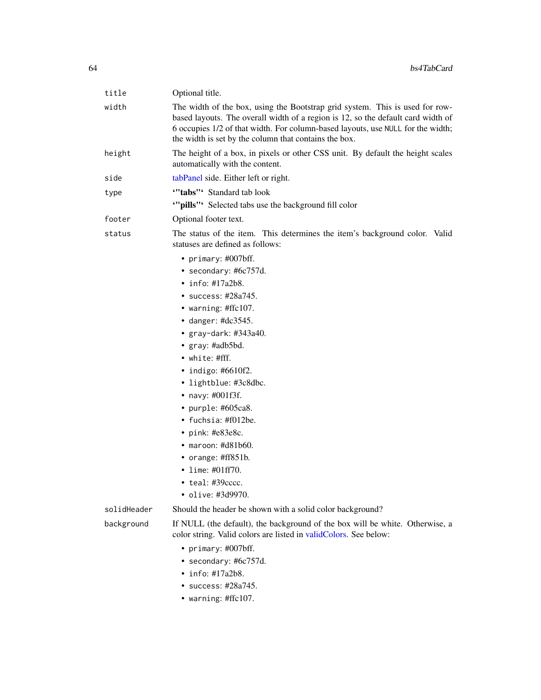| title       | Optional title.                                                                                                                                                                                                                                                                                              |
|-------------|--------------------------------------------------------------------------------------------------------------------------------------------------------------------------------------------------------------------------------------------------------------------------------------------------------------|
| width       | The width of the box, using the Bootstrap grid system. This is used for row-<br>based layouts. The overall width of a region is 12, so the default card width of<br>6 occupies 1/2 of that width. For column-based layouts, use NULL for the width;<br>the width is set by the column that contains the box. |
| height      | The height of a box, in pixels or other CSS unit. By default the height scales<br>automatically with the content.                                                                                                                                                                                            |
| side        | tabPanel side. Either left or right.                                                                                                                                                                                                                                                                         |
| type        | "'tabs"' Standard tab look                                                                                                                                                                                                                                                                                   |
|             | "pills" Selected tabs use the background fill color                                                                                                                                                                                                                                                          |
| footer      | Optional footer text.                                                                                                                                                                                                                                                                                        |
| status      | The status of the item. This determines the item's background color. Valid<br>statuses are defined as follows:                                                                                                                                                                                               |
|             | • primary: #007bff.                                                                                                                                                                                                                                                                                          |
|             | • secondary: #6c757d.                                                                                                                                                                                                                                                                                        |
|             | $\cdot$ info: #17a2b8.                                                                                                                                                                                                                                                                                       |
|             | • success: #28a745.                                                                                                                                                                                                                                                                                          |
|             | • warning: #ffc107.                                                                                                                                                                                                                                                                                          |
|             | • danger: $\#dc3545$ .                                                                                                                                                                                                                                                                                       |
|             | • $gray$ -dark: #343a40.                                                                                                                                                                                                                                                                                     |
|             | • $gray: \#adb5bd.$                                                                                                                                                                                                                                                                                          |
|             | • white: #fff.                                                                                                                                                                                                                                                                                               |
|             | • indigo: $#6610f2$ .                                                                                                                                                                                                                                                                                        |
|             | • lightblue: #3c8dbc.                                                                                                                                                                                                                                                                                        |
|             | • navy: #001f3f.                                                                                                                                                                                                                                                                                             |
|             | • purple: #605ca8.                                                                                                                                                                                                                                                                                           |
|             | • fuchsia: #f012be.                                                                                                                                                                                                                                                                                          |
|             | • pink: $#e83e8c$ .                                                                                                                                                                                                                                                                                          |
|             | $\bullet$ maroon: #d81b60.                                                                                                                                                                                                                                                                                   |
|             | • orange: $\#ff851b$ .<br>• lime: $\#01ff70$ .                                                                                                                                                                                                                                                               |
|             | • teal: #39cccc.                                                                                                                                                                                                                                                                                             |
|             | • olive: #3d9970.                                                                                                                                                                                                                                                                                            |
| solidHeader | Should the header be shown with a solid color background?                                                                                                                                                                                                                                                    |
|             | If NULL (the default), the background of the box will be white. Otherwise, a                                                                                                                                                                                                                                 |
| background  | color string. Valid colors are listed in validColors. See below:                                                                                                                                                                                                                                             |
|             | • primary: #007bff.                                                                                                                                                                                                                                                                                          |
|             | • secondary: #6c757d.                                                                                                                                                                                                                                                                                        |
|             | $\cdot$ info: #17a2b8.                                                                                                                                                                                                                                                                                       |
|             | $\cdot$ success: #28a745.                                                                                                                                                                                                                                                                                    |
|             | • warning: $\#$ ffc $107$ .                                                                                                                                                                                                                                                                                  |
|             |                                                                                                                                                                                                                                                                                                              |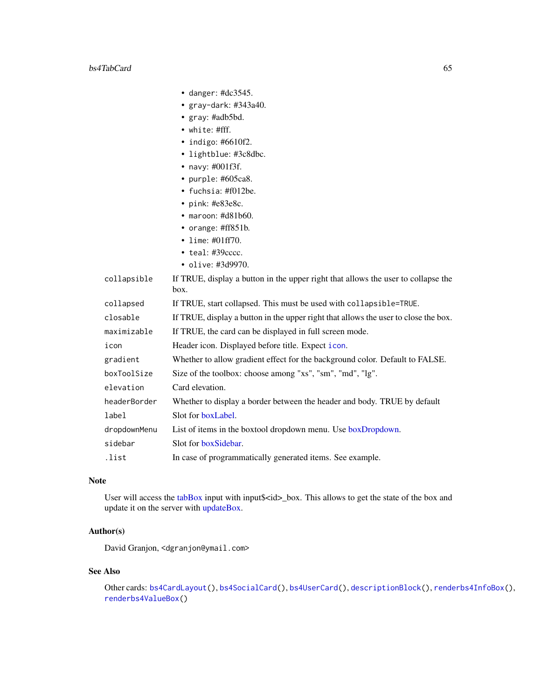|              | $\bullet$ danger: #dc3545.                                                                |
|--------------|-------------------------------------------------------------------------------------------|
|              | • gray-dark: $\#343a40$ .                                                                 |
|              | • gray: #adb5bd.                                                                          |
|              | • white: #fff.                                                                            |
|              | $\bullet$ indigo: #6610f2.                                                                |
|              | • lightblue: #3c8dbc.                                                                     |
|              | • navy: $\#001f3f$ .                                                                      |
|              | • purple: #605ca8.                                                                        |
|              | • fuchsia: $\text{\#f012be}.$                                                             |
|              | • pink: $#e83e8c$ .                                                                       |
|              | $\bullet$ maroon: #d81b60.                                                                |
|              | • orange: #ff851b.                                                                        |
|              | • lime: $\#01ff70$ .                                                                      |
|              | $\bullet$ teal: #39 $cccc$ .                                                              |
|              | • olive: #3d9970.                                                                         |
| collapsible  | If TRUE, display a button in the upper right that allows the user to collapse the<br>box. |
| collapsed    | If TRUE, start collapsed. This must be used with collapsible=TRUE.                        |
| closable     | If TRUE, display a button in the upper right that allows the user to close the box.       |
| maximizable  | If TRUE, the card can be displayed in full screen mode.                                   |
| icon         | Header icon. Displayed before title. Expect icon.                                         |
| gradient     | Whether to allow gradient effect for the background color. Default to FALSE.              |
| boxToolSize  | Size of the toolbox: choose among "xs", "sm", "md", "lg".                                 |
| elevation    | Card elevation.                                                                           |
| headerBorder | Whether to display a border between the header and body. TRUE by default                  |
| label        | Slot for boxLabel.                                                                        |
| dropdownMenu | List of items in the boxtool dropdown menu. Use boxDropdown.                              |
| sidebar      | Slot for boxSidebar.                                                                      |
| .list        | In case of programmatically generated items. See example.                                 |

# Note

User will access the [tabBox](#page-61-1) input with input\$<id>\_box. This allows to get the state of the box and update it on the server with [updateBox.](#page-82-1)

# Author(s)

David Granjon, <dgranjon@ymail.com>

# See Also

Other cards: [bs4CardLayout\(](#page-14-1)), [bs4SocialCard\(](#page-55-1)), [bs4UserCard\(](#page-69-0)), [descriptionBlock\(](#page-82-0)), [renderbs4InfoBox\(](#page-101-0)), [renderbs4ValueBox\(](#page-104-0))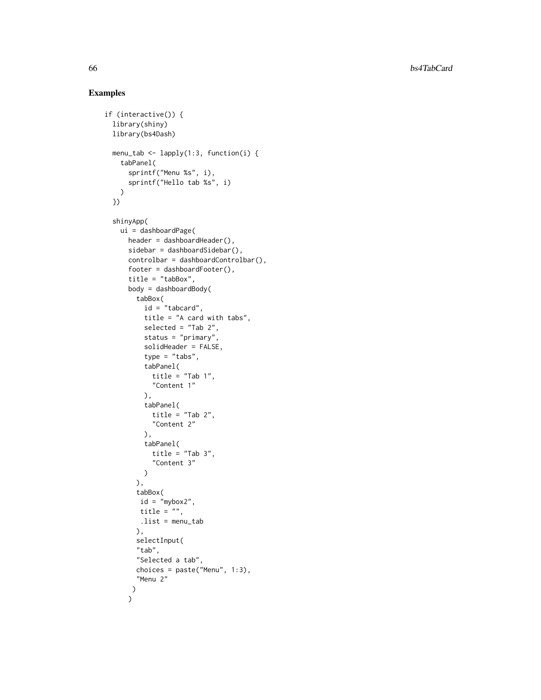```
if (interactive()) {
  library(shiny)
  library(bs4Dash)
  menu_tab <- lapply(1:3, function(i) {
    tabPanel(
      sprintf("Menu %s", i),
      sprintf("Hello tab %s", i)
   \lambda})
  shinyApp(
   ui = dashboardPage(
     header = dashboardHeader(),
      sidebar = dashboardSidebar(),
      controlbar = dashboardControlbar(),
      footer = dashboardFooter(),
      title = "tabBox",
      body = dashboardBody(
       tabBox(
          id = "tabcard",
          title = "A card with tabs",
          selected = "Tab 2",
          status = "primary",
          solidHeader = FALSE,
          type = "tabs",
          tabPanel(
           title = "Tab 1",
            "Content 1"
          ),
          tabPanel(
           title = "Tab 2","Content 2"
          ),
          tabPanel(
           title = "Tab 3","Content 3"
          )
        ),
        tabBox(
         id = "mybox2",title = "",
         .list = menu_tab
        ),
        selectInput(
        "tab",
        "Selected a tab",
        choices = paste("Menu", 1:3),
        "Menu 2"
       )
      \mathcal{L}
```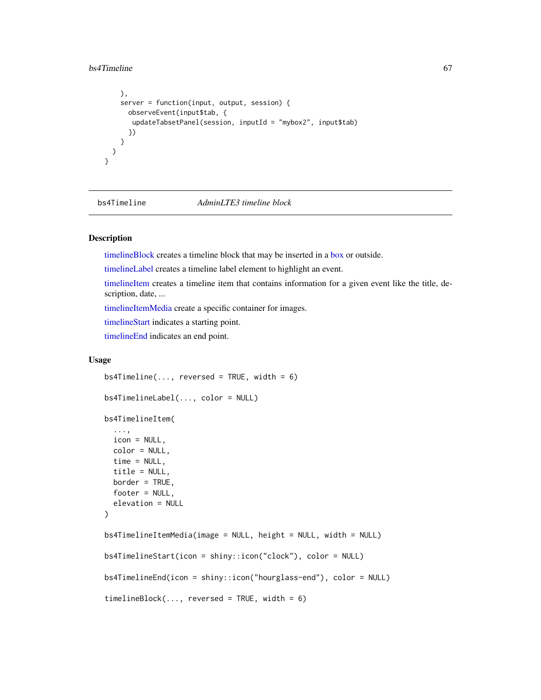#### bs4Timeline 67

```
),
    server = function(input, output, session) {
      observeEvent(input$tab, {
       updateTabsetPanel(session, inputId = "mybox2", input$tab)
      })
   }
 \rightarrow}
```
bs4Timeline *AdminLTE3 timeline block*

# <span id="page-66-1"></span>Description

[timelineBlock](#page-66-1) creates a timeline block that may be inserted in a [box](#page-82-1) or outside.

[timelineLabel](#page-66-1) creates a timeline label element to highlight an event.

[timelineItem](#page-66-1) creates a timeline item that contains information for a given event like the title, description, date, ...

[timelineItemMedia](#page-66-1) create a specific container for images.

[timelineStart](#page-66-1) indicates a starting point.

[timelineEnd](#page-66-1) indicates an end point.

#### Usage

```
bs4Timeline(..., reversed = TRUE, width = 6)bs4TimelineLabel(..., color = NULL)
bs4TimelineItem(
  ...,
  icon = NULL,
  color = NULL,
  time = NULL,
  title = NULL,
 border = TRUE,
  footer = NULL,
  elevation = NULL
)
bs4TimelineItemMedia(image = NULL, height = NULL, width = NULL)
bs4TimelineStart(icon = shiny::icon("clock"), color = NULL)
bs4TimelineEnd(icon = shiny::icon("hourglass-end"), color = NULL)
timeBlock(..., reversed = TRUE, width = 6)
```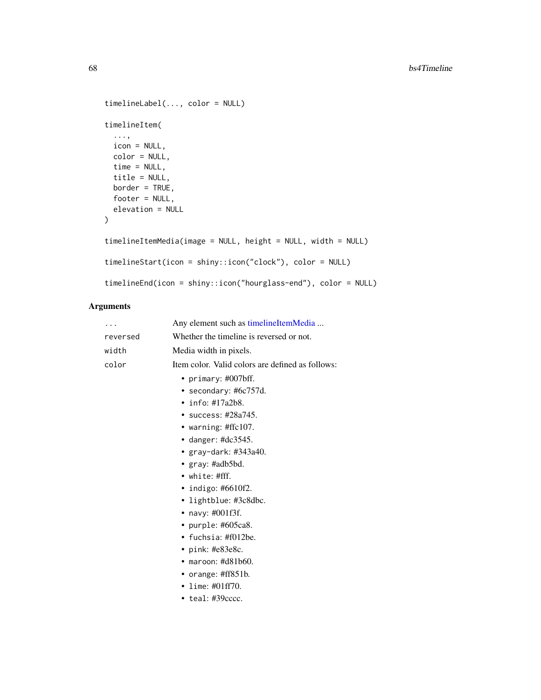```
timelineLabel(..., color = NULL)
timelineItem(
  ...,
 icon = NULL,
 color = NULL,
 time = NULL,
 title = NULL,
 border = TRUE,
 footer = NULL,
 elevation = NULL
)
timelineItemMedia(image = NULL, height = NULL, width = NULL)
timelineStart(icon = shiny::icon("clock"), color = NULL)
timelineEnd(icon = shiny::icon("hourglass-end"), color = NULL)
```
# Arguments

| $\cdots$ | Any element such as timelineItemMedia            |
|----------|--------------------------------------------------|
| reversed | Whether the timeline is reversed or not.         |
| width    | Media width in pixels.                           |
| color    | Item color. Valid colors are defined as follows: |
|          | • primary: $\#007$ bff.                          |
|          | • secondary: #6c757d.<br>$\cdot$ info: #17a2b8.  |
|          | $\cdot$ success: #28a745.                        |
|          |                                                  |
|          | • warning: $\#\text{ffc107}$ .                   |
|          | • danger: $\#dc3545$ .                           |
|          | • $gray$ -dark: #343a40.                         |
|          | • $gray: \#adb5bd.$                              |
|          | $\bullet$ white: #fff.                           |
|          | • indigo: #6610f2.                               |
|          | • lightblue: #3c8dbc.                            |
|          | • navy: $\#001f3f$ .                             |
|          | • purple: $#605ca8$ .                            |
|          | • fuchsia: $\#f012$ be.                          |
|          | • pink: $#e83e8c$ .                              |
|          | $\bullet$ maroon: #d81b60.                       |
|          | • orange: $\#ff851b$ .                           |
|          | • lime: #01ff70.                                 |
|          | $\bullet$ teal: #39 $cccc$ .                     |
|          |                                                  |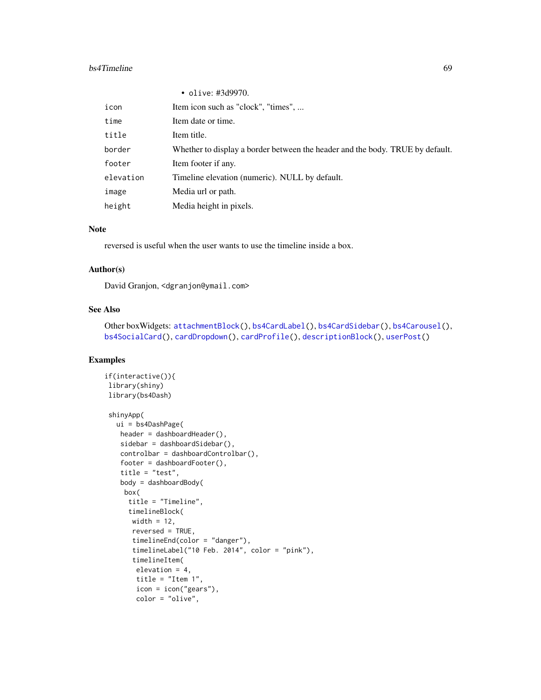#### bs4Timeline 69

|           | • olive: #3d9970.                                                             |
|-----------|-------------------------------------------------------------------------------|
| icon      | Item icon such as "clock", "times",                                           |
| time      | Item date or time.                                                            |
| title     | Item title.                                                                   |
| border    | Whether to display a border between the header and the body. TRUE by default. |
| footer    | Item footer if any.                                                           |
| elevation | Timeline elevation (numeric). NULL by default.                                |
| image     | Media url or path.                                                            |
| height    | Media height in pixels.                                                       |

## Note

reversed is useful when the user wants to use the timeline inside a box.

### Author(s)

David Granjon, <dgranjon@ymail.com>

#### See Also

Other boxWidgets: [attachmentBlock\(](#page-6-0)), [bs4CardLabel\(](#page-14-2)), [bs4CardSidebar\(](#page-16-1)), [bs4Carousel\(](#page-19-0)), [bs4SocialCard\(](#page-55-1)), [cardDropdown\(](#page-76-1)), [cardProfile\(](#page-77-0)), [descriptionBlock\(](#page-82-0)), [userPost\(](#page-126-0))

```
if(interactive()){
library(shiny)
library(bs4Dash)
shinyApp(
  ui = bs4DashPage(
   header = dashboardHeader(),
   sidebar = dashboardSidebar(),
   controlbar = dashboardControlbar(),
   footer = dashboardFooter(),
   title = "test",
   body = dashboardBody(
    box(
     title = "Timeline",
     timelineBlock(
      width = 12,
      reversed = TRUE,
      timelineEnd(color = "danger"),
      timelineLabel("10 Feb. 2014", color = "pink"),
      timelineItem(
       elevation = 4,
       title = "Item 1",
       icon = icon("gears"),
       color = "olive",
```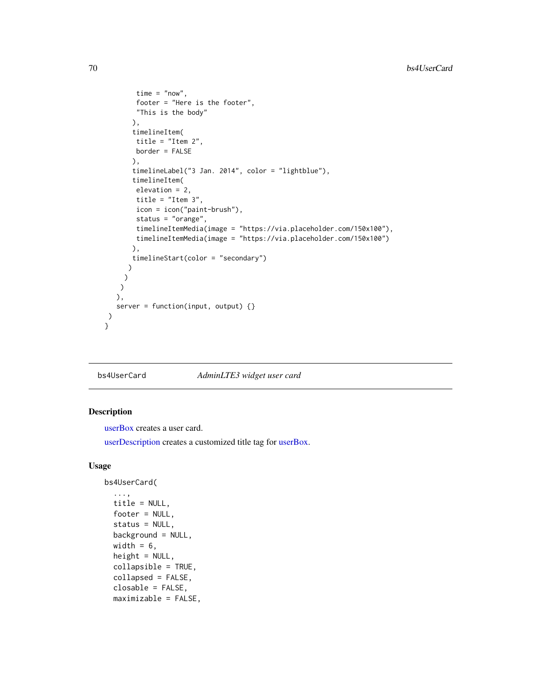```
time = "now",
      footer = "Here is the footer",
       "This is the body"
      ),
      timelineItem(
      title = "Item 2",
      border = FALSE
      ),
      timelineLabel("3 Jan. 2014", color = "lightblue"),
      timelineItem(
      elevation = 2,
      title = "Item 3",
       icon = icon("paint-brush"),
       status = "orange",
       timelineItemMedia(image = "https://via.placeholder.com/150x100"),
       timelineItemMedia(image = "https://via.placeholder.com/150x100")
      ),
      timelineStart(color = "secondary")
    )
   )
  )
 ),
  server = function(input, output) {}
)
```
<span id="page-69-0"></span>bs4UserCard *AdminLTE3 widget user card*

#### <span id="page-69-1"></span>Description

}

[userBox](#page-69-1) creates a user card.

[userDescription](#page-69-1) creates a customized title tag for [userBox.](#page-69-1)

### Usage

```
bs4UserCard(
  ...,
  title = NULL,
  footer = NULL,
  status = NULL,
  background = NULL,
  width = 6,
  height = NULL,collapsible = TRUE,
  collapsed = FALSE,
  closable = FALSE,
  maximizable = FALSE,
```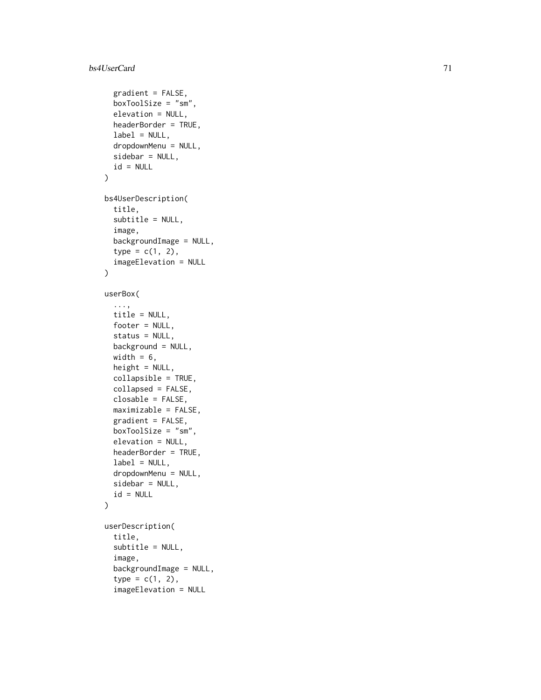#### bs4UserCard 71

```
gradient = FALSE,
  boxToolSize = "sm",
  elevation = NULL,
  headerBorder = TRUE,
  label = NULL,dropdownMenu = NULL,
  sidebar = NULL,
  id = NULL\lambdabs4UserDescription(
  title,
  subtitle = NULL,
  image,
  backgroundImage = NULL,
  type = c(1, 2),
  imageElevation = NULL
\mathcal{L}userBox(
  ...,
  title = NULL,
  footer = NULL,
  status = NULL,
 background = NULL,
  width = 6,
  height = NULL,collapsible = TRUE,
  collapsed = FALSE,
  closable = FALSE,
  maximizable = FALSE,
  gradient = FALSE,
  boxToolSize = "sm",
  elevation = NULL,
  headerBorder = TRUE,
  label = NULL,dropdownMenu = NULL,
  sidebar = NULL,
  id = NULL\mathcal{L}userDescription(
  title,
  subtitle = NULL,
  image,
  backgroundImage = NULL,
  type = c(1, 2),
  imageElevation = NULL
```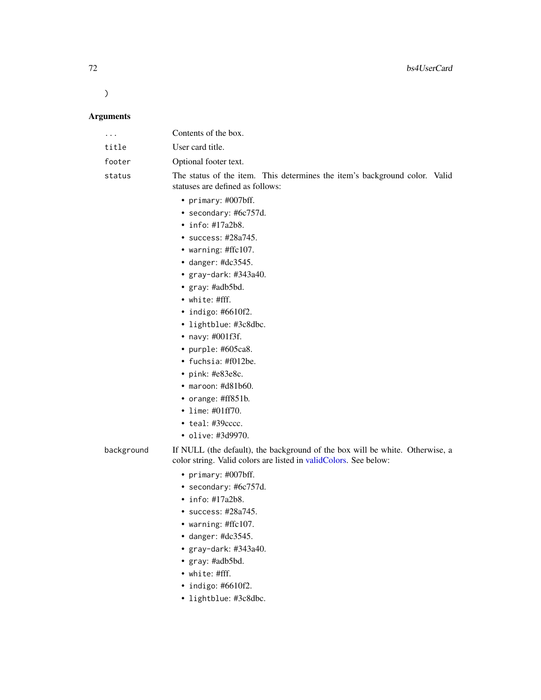$\lambda$ 

# Arguments

| $\cdots$   | Contents of the box.                                                                                                                                                                                                                                                                                                                                                                                                                      |
|------------|-------------------------------------------------------------------------------------------------------------------------------------------------------------------------------------------------------------------------------------------------------------------------------------------------------------------------------------------------------------------------------------------------------------------------------------------|
| title      | User card title.                                                                                                                                                                                                                                                                                                                                                                                                                          |
| footer     | Optional footer text.                                                                                                                                                                                                                                                                                                                                                                                                                     |
| status     | The status of the item. This determines the item's background color. Valid<br>statuses are defined as follows:                                                                                                                                                                                                                                                                                                                            |
|            | • primary: #007bff.<br>• secondary: #6c757d.<br>$\cdot$ info: #17a2b8.<br>• success: $\#28a745$ .<br>• warning: #ffc107.<br>• danger: $\#dc3545$ .<br>• $gray$ -dark: #343a40.<br>• $gray: \#adb5bd.$<br>$\bullet$ white: #fff.<br>$\bullet$ indigo: #6610f2.<br>• lightblue: #3c8dbc.<br>• navy: $\#001f3f$ .<br>• purple: $#605ca8$ .<br>• fuchsia: #f012be.<br>• pink: $#e83e8c$ .<br>$\bullet$ maroon: #d81b60.<br>• orange: #ff851b. |
|            | • lime: $\#01ff70$ .<br>$\bullet$ teal: #39 $cccc$ .<br>• olive: #3d9970.                                                                                                                                                                                                                                                                                                                                                                 |
| background | If NULL (the default), the background of the box will be white. Otherwise, a<br>color string. Valid colors are listed in validColors. See below:                                                                                                                                                                                                                                                                                          |
|            | • primary: #007bff.<br>• secondary: $#6c757d$ .                                                                                                                                                                                                                                                                                                                                                                                           |

- info: #17a2b8.
- success: #28a745.
- warning: #ffc107.
- danger: #dc3545.
- gray-dark: #343a40.
- gray: #adb5bd.
- white: #fff.
- indigo: #6610f2.
- lightblue: #3c8dbc.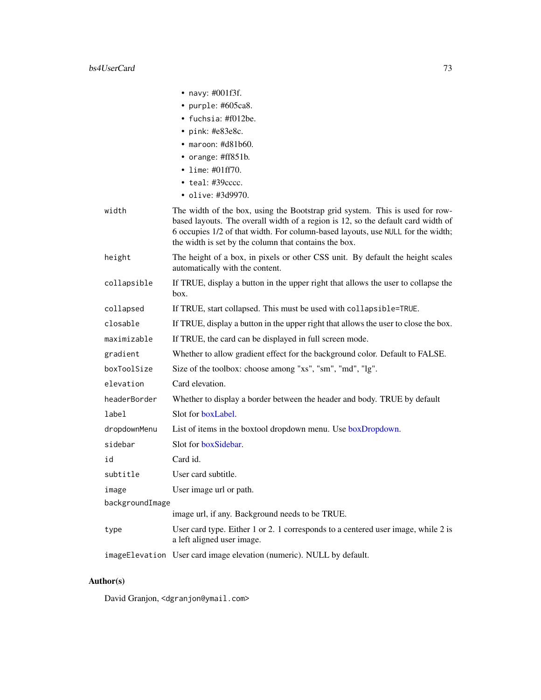|                 | • navy: $\#001f3f$ .                                                                                                                                                                                                                                                                                         |
|-----------------|--------------------------------------------------------------------------------------------------------------------------------------------------------------------------------------------------------------------------------------------------------------------------------------------------------------|
|                 | • purple: #605ca8.                                                                                                                                                                                                                                                                                           |
|                 | • fuchsia: #f012be.                                                                                                                                                                                                                                                                                          |
|                 | $\cdot$ pink: #e83e8c.                                                                                                                                                                                                                                                                                       |
|                 | $\bullet$ maroon: #d81b60.                                                                                                                                                                                                                                                                                   |
|                 | • orange: $\#ff851b$ .                                                                                                                                                                                                                                                                                       |
|                 | • lime: $\#01ff70$ .                                                                                                                                                                                                                                                                                         |
|                 | $\bullet$ teal: #39 $cccc.$<br>• olive: #3d9970.                                                                                                                                                                                                                                                             |
|                 |                                                                                                                                                                                                                                                                                                              |
| width           | The width of the box, using the Bootstrap grid system. This is used for row-<br>based layouts. The overall width of a region is 12, so the default card width of<br>6 occupies 1/2 of that width. For column-based layouts, use NULL for the width;<br>the width is set by the column that contains the box. |
| height          | The height of a box, in pixels or other CSS unit. By default the height scales<br>automatically with the content.                                                                                                                                                                                            |
| collapsible     | If TRUE, display a button in the upper right that allows the user to collapse the<br>box.                                                                                                                                                                                                                    |
| collapsed       | If TRUE, start collapsed. This must be used with collapsible=TRUE.                                                                                                                                                                                                                                           |
| closable        | If TRUE, display a button in the upper right that allows the user to close the box.                                                                                                                                                                                                                          |
| maximizable     | If TRUE, the card can be displayed in full screen mode.                                                                                                                                                                                                                                                      |
| gradient        | Whether to allow gradient effect for the background color. Default to FALSE.                                                                                                                                                                                                                                 |
| boxToolSize     | Size of the toolbox: choose among "xs", "sm", "md", "lg".                                                                                                                                                                                                                                                    |
| elevation       | Card elevation.                                                                                                                                                                                                                                                                                              |
| headerBorder    | Whether to display a border between the header and body. TRUE by default                                                                                                                                                                                                                                     |
| label           | Slot for boxLabel.                                                                                                                                                                                                                                                                                           |
| dropdownMenu    | List of items in the boxtool dropdown menu. Use boxDropdown.                                                                                                                                                                                                                                                 |
| sidebar         | Slot for boxSidebar.                                                                                                                                                                                                                                                                                         |
| id              | Card id.                                                                                                                                                                                                                                                                                                     |
| subtitle        | User card subtitle.                                                                                                                                                                                                                                                                                          |
| image           | User image url or path.                                                                                                                                                                                                                                                                                      |
| backgroundImage |                                                                                                                                                                                                                                                                                                              |
|                 | image url, if any. Background needs to be TRUE.                                                                                                                                                                                                                                                              |
| type            | User card type. Either 1 or 2. 1 corresponds to a centered user image, while 2 is<br>a left aligned user image.                                                                                                                                                                                              |
|                 | imageElevation User card image elevation (numeric). NULL by default.                                                                                                                                                                                                                                         |

# Author(s)

David Granjon, <dgranjon@ymail.com>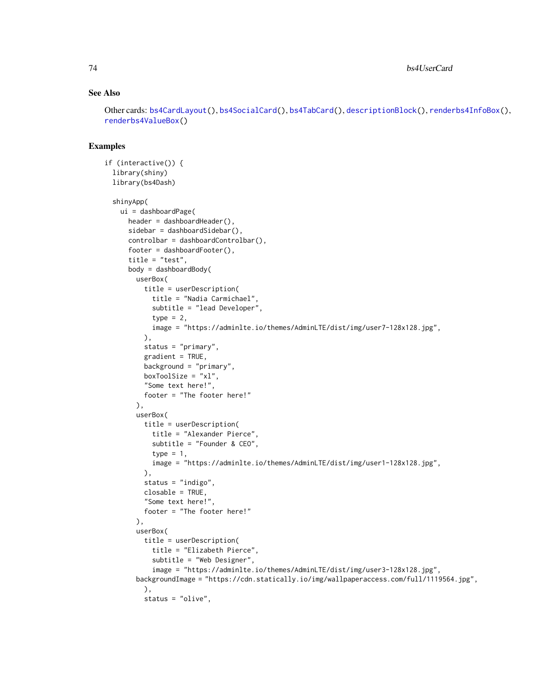#### See Also

Other cards: [bs4CardLayout\(](#page-14-1)), [bs4SocialCard\(](#page-55-0)), [bs4TabCard\(](#page-61-0)), [descriptionBlock\(](#page-82-0)), [renderbs4InfoBox\(](#page-101-0)), [renderbs4ValueBox\(](#page-104-0))

```
if (interactive()) {
 library(shiny)
 library(bs4Dash)
 shinyApp(
   ui = dashboardPage(
     header = dashboardHeader(),
     sidebar = dashboardSidebar(),
     controlbar = dashboardControlbar(),
     footer = dashboardFooter(),
     title = "test",
     body = dashboardBody(
       userBox(
          title = userDescription(
            title = "Nadia Carmichael",
            subtitle = "lead Developer",
            type = 2,
           image = "https://adminlte.io/themes/AdminLTE/dist/img/user7-128x128.jpg",
          ),
          status = "primary",
          gradient = TRUE,
         background = "primary",
         boxToolSize = "xl",
          "Some text here!",
         footer = "The footer here!"
        ),
        userBox(
          title = userDescription(
            title = "Alexander Pierce",
            subtitle = "Founder & CEO",
           type = 1,
           image = "https://adminlte.io/themes/AdminLTE/dist/img/user1-128x128.jpg",
         ),
         status = "indigo",
         closable = TRUE,
         "Some text here!",
         footer = "The footer here!"
        ),
        userBox(
         title = userDescription(
            title = "Elizabeth Pierce",
            subtitle = "Web Designer",
            image = "https://adminlte.io/themes/AdminLTE/dist/img/user3-128x128.jpg",
        backgroundImage = "https://cdn.statically.io/img/wallpaperaccess.com/full/1119564.jpg",
         ),
         status = "olive",
```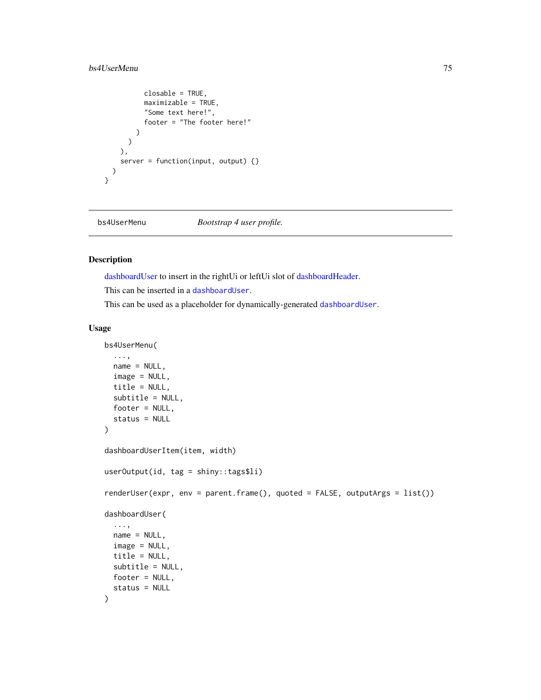## bs4UserMenu 75

```
closable = TRUE,
          maximizable = TRUE,
           "Some text here!",
          footer = "The footer here!"
        )
      )
    ),
    server = function(input, output) {}
  \mathcal{L}}
```
bs4UserMenu *Bootstrap 4 user profile.*

#### <span id="page-74-0"></span>Description

[dashboardUser](#page-74-0) to insert in the rightUi or leftUi slot of [dashboardHeader.](#page-25-0)

This can be inserted in a [dashboardUser](#page-74-0).

This can be used as a placeholder for dynamically-generated [dashboardUser](#page-74-0).

#### Usage

```
bs4UserMenu(
  ...,
  name = NULL,image = NULL,
  title = NULL,
  subtitle = NULL,
  footer = NULL,
  status = NULL
)
dashboardUserItem(item, width)
userOutput(id, tag = shiny::tags$li)
renderUser(expr, env = parent.frame(), quoted = FALSE, outputArgs = list())
dashboardUser(
  ...,
  name = NULL,
  image = NULL,
  title = NULL,
  subtitle = NULL,
 footer = NULL,
  status = NULL
)
```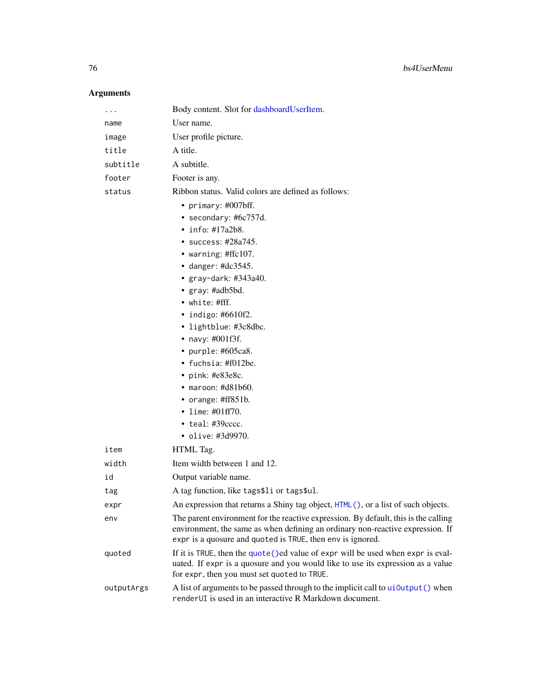# Arguments

| .          | Body content. Slot for dashboardUserItem.                                                                                                                                                                                           |
|------------|-------------------------------------------------------------------------------------------------------------------------------------------------------------------------------------------------------------------------------------|
| name       | User name.                                                                                                                                                                                                                          |
| image      | User profile picture.                                                                                                                                                                                                               |
| title      | A title.                                                                                                                                                                                                                            |
| subtitle   | A subtitle.                                                                                                                                                                                                                         |
| footer     | Footer is any.                                                                                                                                                                                                                      |
| status     | Ribbon status. Valid colors are defined as follows:                                                                                                                                                                                 |
|            | • primary: #007bff.                                                                                                                                                                                                                 |
|            | • secondary: #6c757d.                                                                                                                                                                                                               |
|            | $\cdot$ info: #17a2b8.                                                                                                                                                                                                              |
|            | • success: $\#28a745$ .                                                                                                                                                                                                             |
|            | • warning: #ffc107.                                                                                                                                                                                                                 |
|            | • danger: #dc3545.                                                                                                                                                                                                                  |
|            | • gray-dark: $\#343a40$ .                                                                                                                                                                                                           |
|            | • gray: #adb5bd.                                                                                                                                                                                                                    |
|            | • white: #fff.                                                                                                                                                                                                                      |
|            | $\cdot$ indigo: #6610f2.                                                                                                                                                                                                            |
|            | • lightblue: #3c8dbc.                                                                                                                                                                                                               |
|            | • navy: #001f3f.                                                                                                                                                                                                                    |
|            | • purple: #605ca8.                                                                                                                                                                                                                  |
|            | • fuchsia: $\text{\#f012be}.$                                                                                                                                                                                                       |
|            | $\cdot$ pink: #e83e8c.                                                                                                                                                                                                              |
|            | $\bullet$ maroon: #d81b60.                                                                                                                                                                                                          |
|            | • orange: $\#ff851b$ .                                                                                                                                                                                                              |
|            | • lime: $\#01ff70$ .<br>$\bullet$ teal: #39 $cccc.$                                                                                                                                                                                 |
|            | · olive: #3d9970.                                                                                                                                                                                                                   |
| item       | HTML Tag.                                                                                                                                                                                                                           |
|            |                                                                                                                                                                                                                                     |
| width      | Item width between 1 and 12.                                                                                                                                                                                                        |
| id         | Output variable name.                                                                                                                                                                                                               |
| tag        | A tag function, like tags\$1i or tags\$ul.                                                                                                                                                                                          |
| expr       | An expression that returns a Shiny tag object, HTML(), or a list of such objects.                                                                                                                                                   |
| env        | The parent environment for the reactive expression. By default, this is the calling<br>environment, the same as when defining an ordinary non-reactive expression. If<br>expr is a quosure and quoted is TRUE, then env is ignored. |
| quoted     | If it is TRUE, then the quote () ed value of expr will be used when expr is eval-<br>uated. If expr is a quosure and you would like to use its expression as a value<br>for expr, then you must set quoted to TRUE.                 |
| outputArgs | A list of arguments to be passed through to the implicit call to ui0utput () when<br>renderUI is used in an interactive R Markdown document.                                                                                        |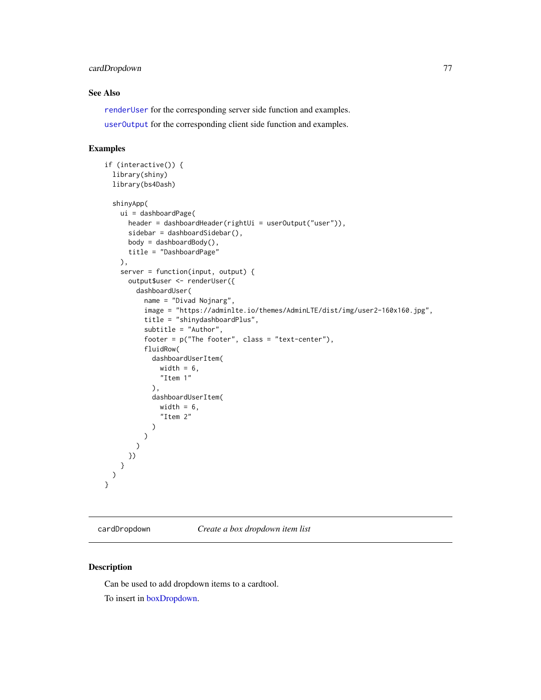## cardDropdown 77

## See Also

[renderUser](#page-74-0) for the corresponding server side function and examples. [userOutput](#page-74-0) for the corresponding client side function and examples.

#### Examples

```
if (interactive()) {
 library(shiny)
 library(bs4Dash)
 shinyApp(
   ui = dashboardPage(
     header = dashboardHeader(rightUi = userOutput("user")),
      sidebar = dashboardSidebar(),
      body = dashboardBody(),
      title = "DashboardPage"
   ),
   server = function(input, output) {
      output$user <- renderUser({
       dashboardUser(
          name = "Divad Nojnarg",
          image = "https://adminlte.io/themes/AdminLTE/dist/img/user2-160x160.jpg",
          title = "shinydashboardPlus",
          subtitle = "Author",
          footer = p("The footer", class = "text-center"),
          fluidRow(
            dashboardUserItem(
              width = 6,
              "Item 1"
            ),
            dashboardUserItem(
              width = 6,
              "Item 2"
            )
         )
       \lambda})
    }
 )
}
```
<span id="page-76-1"></span>cardDropdown *Create a box dropdown item list*

#### <span id="page-76-0"></span>Description

Can be used to add dropdown items to a cardtool.

To insert in [boxDropdown.](#page-76-0)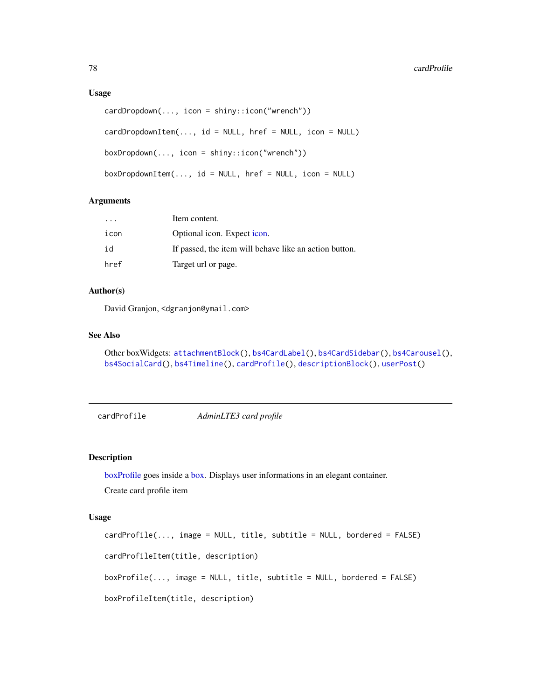#### Usage

```
cardDropdown(..., icon = shiny::icon("wrench"))
cardDropdownItem(..., id = NULL, href = NULL, icon = NULL)
boxDropdown(..., icon = shiny::icon("wrench"))
boxDropdownItem(..., id = NULL, href = NULL, icon = NULL)
```
#### Arguments

| $\cdot$ $\cdot$ $\cdot$ | Item content.                                          |
|-------------------------|--------------------------------------------------------|
| icon                    | Optional icon. Expect icon.                            |
| id                      | If passed, the item will behave like an action button. |
| href                    | Target url or page.                                    |

## Author(s)

David Granjon, <dgranjon@ymail.com>

## See Also

```
Other boxWidgets: attachmentBlock(), bs4CardLabel(), bs4CardSidebar(), bs4Carousel(),
bs4SocialCard(), bs4Timeline(), cardProfile(), descriptionBlock(), userPost()
```
<span id="page-77-0"></span>cardProfile *AdminLTE3 card profile*

## <span id="page-77-1"></span>Description

[boxProfile](#page-77-1) goes inside a [box.](#page-82-1) Displays user informations in an elegant container. Create card profile item

#### Usage

```
cardProfile(..., image = NULL, title, subtitle = NULL, bordered = FALSE)
cardProfileItem(title, description)
boxProfile(..., image = NULL, title, subtitle = NULL, bordered = FALSE)
boxProfileItem(title, description)
```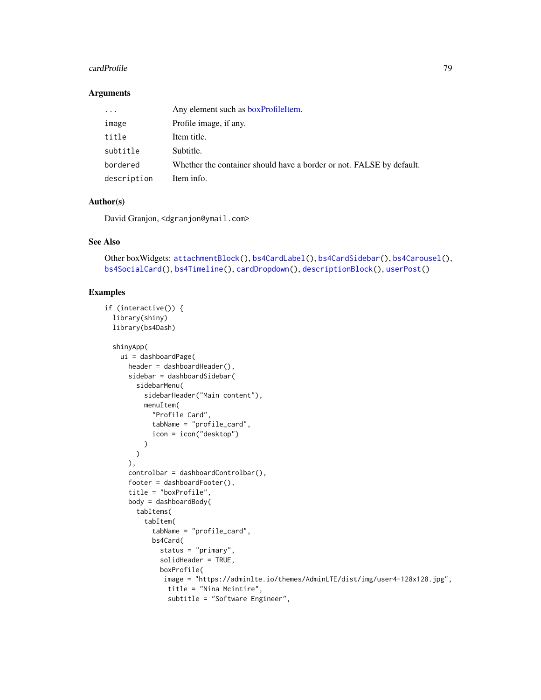#### cardProfile 79

#### Arguments

| .           | Any element such as boxProfileItem.                                  |
|-------------|----------------------------------------------------------------------|
| image       | Profile image, if any.                                               |
| title       | Item title.                                                          |
| subtitle    | Subtitle.                                                            |
| bordered    | Whether the container should have a border or not. FALSE by default. |
| description | Item info.                                                           |

## Author(s)

David Granjon, <dgranjon@ymail.com>

#### See Also

```
Other boxWidgets: attachmentBlock(), bs4CardLabel(), bs4CardSidebar(), bs4Carousel(),
bs4SocialCard(), bs4Timeline(), cardDropdown(), descriptionBlock(), userPost()
```

```
if (interactive()) {
  library(shiny)
  library(bs4Dash)
```

```
shinyApp(
 ui = dashboardPage(
   header = dashboardHeader(),
    sidebar = dashboardSidebar(
     sidebarMenu(
       sidebarHeader("Main content"),
       menuItem(
          "Profile Card",
          tabName = "profile_card",
         icon = icon("desktop")
       )
     )
    ),
    controlbar = dashboardControlbar(),
    footer = dashboardFooter(),
    title = "boxProfile",
    body = dashboardBody(
     tabItems(
       tabItem(
          tabName = "profile_card",
          bs4Card(
            status = "primary",
            solidHeader = TRUE,
            boxProfile(
            image = "https://adminlte.io/themes/AdminLTE/dist/img/user4-128x128.jpg",
             title = "Nina Mcintire",
              subtitle = "Software Engineer",
```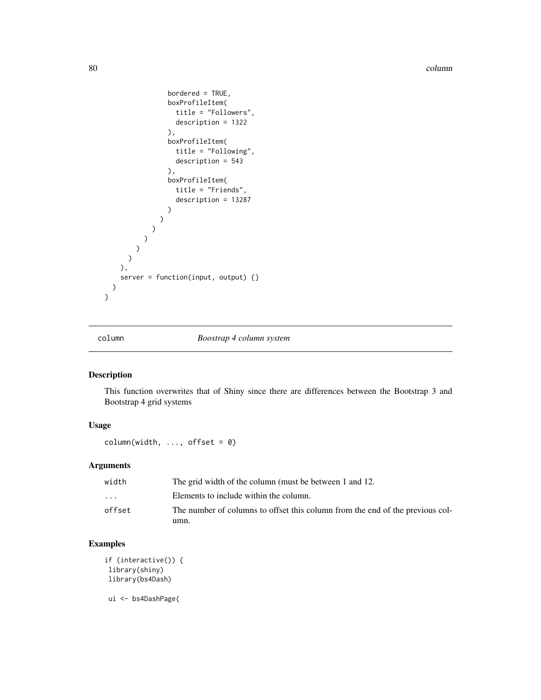80 column and the column of the column  $\sim$  column  $\sim$  column  $\sim$ 

```
bordered = TRUE,
                boxProfileItem(
                  title = "Followers",
                  description = 1322
                ),
                boxProfileItem(
                  title = "Following",
                  description = 543
                ),
                boxProfileItem(
                  title = "Friends",
                  description = 13287
                )
              )
           )
         )
       )
     )
   ),
   server = function(input, output) {}
 )
}
```
column *Boostrap 4 column system*

## Description

This function overwrites that of Shiny since there are differences between the Bootstrap 3 and Bootstrap 4 grid systems

#### Usage

 $column(width, ..., offset = 0)$ 

## Arguments

| width                   | The grid width of the column (must be between 1 and 12.                       |
|-------------------------|-------------------------------------------------------------------------------|
| $\cdot$ $\cdot$ $\cdot$ | Elements to include within the column.                                        |
| offset                  | The number of columns to offset this column from the end of the previous col- |
|                         | umn.                                                                          |

## Examples

```
if (interactive()) {
library(shiny)
library(bs4Dash)
```
ui <- bs4DashPage(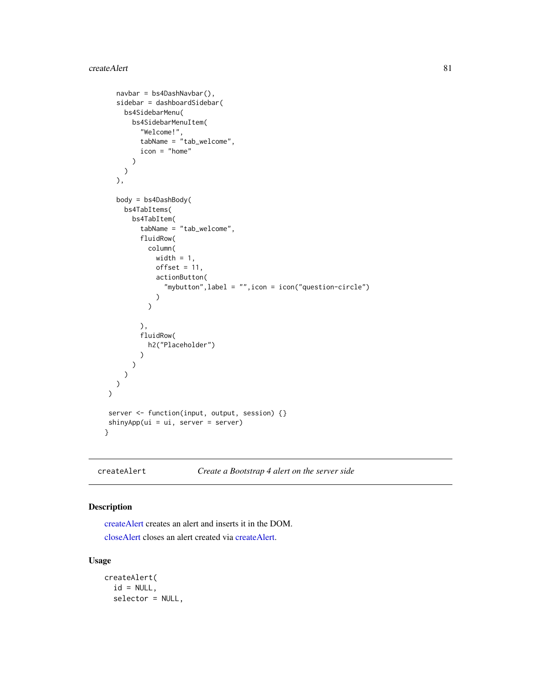```
navbar = bs4DashNavbar(),
   sidebar = dashboardSidebar(
    bs4SidebarMenu(
       bs4SidebarMenuItem(
         "Welcome!",
         tabName = "tab_welcome",
         icon = "home"
       )
    )
  ),
  body = bs4DashBody(
    bs4TabItems(
       bs4TabItem(
         tabName = "tab_welcome",
         fluidRow(
           column(
             width = 1,
             offset = 11,actionButton(
               "mybutton",label = "",icon = icon("question-circle")
             \lambda)
         ),
         fluidRow(
           h2("Placeholder")
         )
       )
    \lambda)
\mathcal{L}server <- function(input, output, session) {}
shinyApp(ui = ui, server = server)
}
```
<span id="page-80-0"></span>createAlert *Create a Bootstrap 4 alert on the server side*

#### <span id="page-80-1"></span>Description

[createAlert](#page-80-0) creates an alert and inserts it in the DOM. [closeAlert](#page-80-1) closes an alert created via [createAlert.](#page-80-0)

## Usage

```
createAlert(
  id = NULL,selector = NULL,
```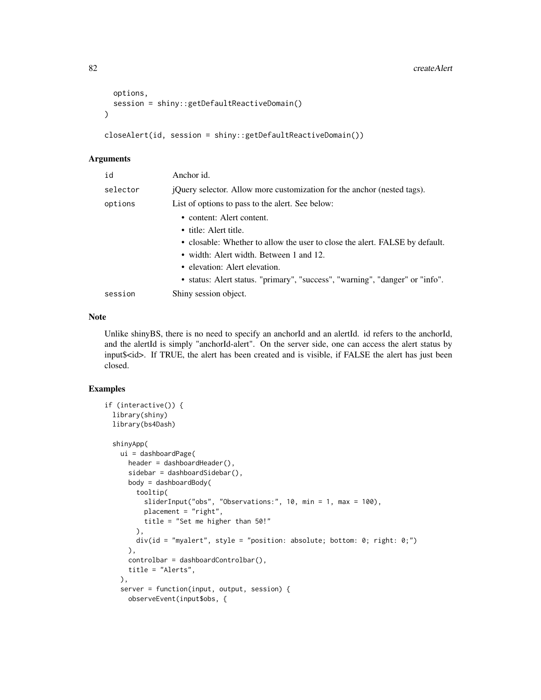```
options,
  session = shiny::getDefaultReactiveDomain()
)
```

```
closeAlert(id, session = shiny::getDefaultReactiveDomain())
```
#### Arguments

| id       | Anchor id.                                                                   |
|----------|------------------------------------------------------------------------------|
| selector | jQuery selector. Allow more customization for the anchor (nested tags).      |
| options  | List of options to pass to the alert. See below:                             |
|          | • content: Alert content.                                                    |
|          | • title: Alert title.                                                        |
|          | • closable: Whether to allow the user to close the alert. FALSE by default.  |
|          | • width: Alert width. Between 1 and 12.                                      |
|          | • elevation: Alert elevation.                                                |
|          | • status: Alert status. "primary", "success", "warning", "danger" or "info". |
| session  | Shiny session object.                                                        |

#### Note

Unlike shinyBS, there is no need to specify an anchorId and an alertId. id refers to the anchorId, and the alertId is simply "anchorId-alert". On the server side, one can access the alert status by input\$<id>. If TRUE, the alert has been created and is visible, if FALSE the alert has just been closed.

```
if (interactive()) {
 library(shiny)
 library(bs4Dash)
 shinyApp(
   ui = dashboardPage(
     header = dashboardHeader(),
     sidebar = dashboardSidebar(),
     body = dashboardBody(
       tooltip(
         sliderInput("obs", "Observations:", 10, min = 1, max = 100),
         placement = "right",
         title = "Set me higher than 50!"
       ),
       div(id = "myalent", style = "position: absolute; bottom: 0; right: 0;")),
     controlbar = dashboardControlbar(),
     title = "Alerts",
   ),
    server = function(input, output, session) {
     observeEvent(input$obs, {
```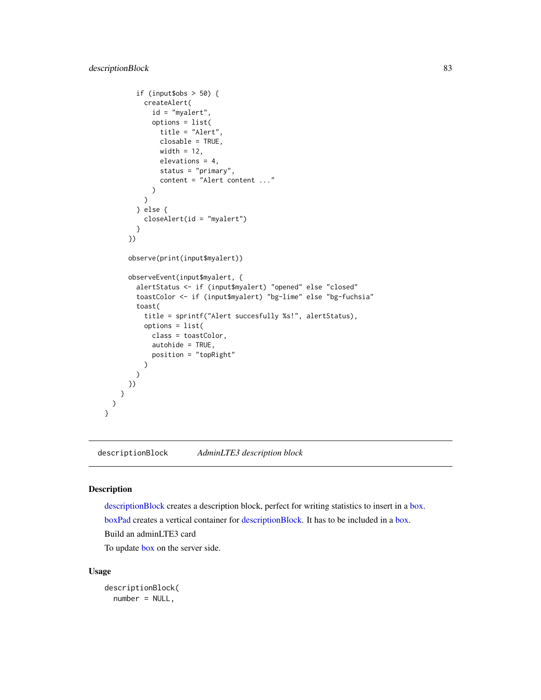```
if (input$obs > 50) {
         createAlert(
            id = "myalert",
            options = list(
              title = "Alert",
              closable = TRUE,
              width = 12,
              elevations = 4,
              status = "primary",
              content = "Alert content ..."
            )
          )
        } else {
          closeAlert(id = "myalert")
        }
      })
      observe(print(input$myalert))
      observeEvent(input$myalert, {
        alertStatus <- if (input$myalert) "opened" else "closed"
        toastColor <- if (input$myalert) "bg-lime" else "bg-fuchsia"
        toast(
          title = sprintf("Alert succesfully %s!", alertStatus),
         options = list(
            class = toastColor,
            autohide = TRUE,
            position = "topRight"
         )
       )
      })
    }
 )
}
```
<span id="page-82-0"></span>descriptionBlock *AdminLTE3 description block*

#### <span id="page-82-1"></span>Description

[descriptionBlock](#page-82-0) creates a description block, perfect for writing statistics to insert in a [box.](#page-82-1) [boxPad](#page-82-1) creates a vertical container for [descriptionBlock.](#page-82-0) It has to be included in a [box.](#page-82-1) Build an adminLTE3 card

To update [box](#page-82-1) on the server side.

## Usage

```
descriptionBlock(
 number = NULL,
```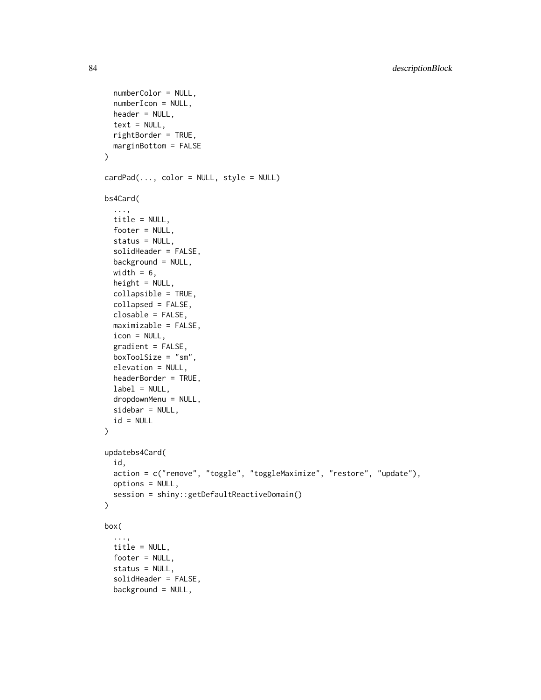```
numberColor = NULL,
  numberIcon = NULL,
  header = NULL,text = NULL,rightBorder = TRUE,
 marginBottom = FALSE
\lambdacardPad(..., color = NULL, style = NULL)
bs4Card(
  ...,
  title = NULL,
  footer = NULL,
  status = NULL,
  solidHeader = FALSE,
  background = NULL,
 width = 6,
  height = NULL,collapsible = TRUE,
  collapsed = FALSE,
  closable = FALSE,
  maximizable = FALSE,
  icon = NULL,
  gradient = FALSE,
  boxToolSize = "sm",
  elevation = NULL,
  headerBorder = TRUE,
  label = NULL,dropdownMenu = NULL,
  sidebar = NULL,id = NULL\mathcal{L}updatebs4Card(
  id,
  action = c("remove", "toggle", "toggleMaximize", "restore", "update"),
 options = NULL,
  session = shiny::getDefaultReactiveDomain()
\mathcal{L}box(
  ...,
 title = NULL,
 footer = NULL,
  status = NULL,
  solidHeader = FALSE,
 background = NULL,
```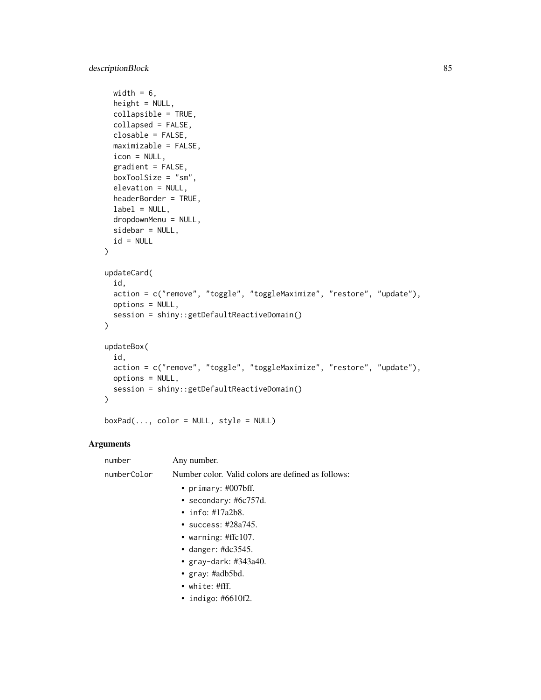```
width = 6,
 height = NULL,collapsible = TRUE,
 collapsed = FALSE,
  closable = FALSE,
 maximizable = FALSE,
  icon = NULL,
  gradient = FALSE,
  boxToolSize = "sm",
  elevation = NULL,
  headerBorder = TRUE,
  label = NULL,dropdownMenu = NULL,
  sidebar = NULL,id = NULL\mathcal{L}updateCard(
  id,
  action = c("remove", "toggle", "toggleMaximize", "restore", "update"),
 options = NULL,
 session = shiny::getDefaultReactiveDomain()
\mathcal{L}updateBox(
  id,
  action = c("remove", "toggle", "toggleMaximize", "restore", "update"),
 options = NULL,
 session = shiny::getDefaultReactiveDomain()
\mathcal{L}
```
 $boxPad(..., color = NULL, style = NULL)$ 

## Arguments

| number      | Any number.                                        |
|-------------|----------------------------------------------------|
| numberColor | Number color. Valid colors are defined as follows: |
|             | • primary: $\#007$ bff.                            |
|             | • secondary: #6 $c757d$ .                          |
|             | $\cdot$ info: #17a2b8.                             |
|             | • success: #28a745.                                |
|             | • warning: $\#$ ffc107.                            |
|             | • danger: $\#dc3545$ .                             |
|             | • $gray$ -dark: #343a40.                           |
|             | • $gray: \#adb5bd.$                                |
|             | • white: #fff.                                     |
|             | • indigo: #6610f2.                                 |
|             |                                                    |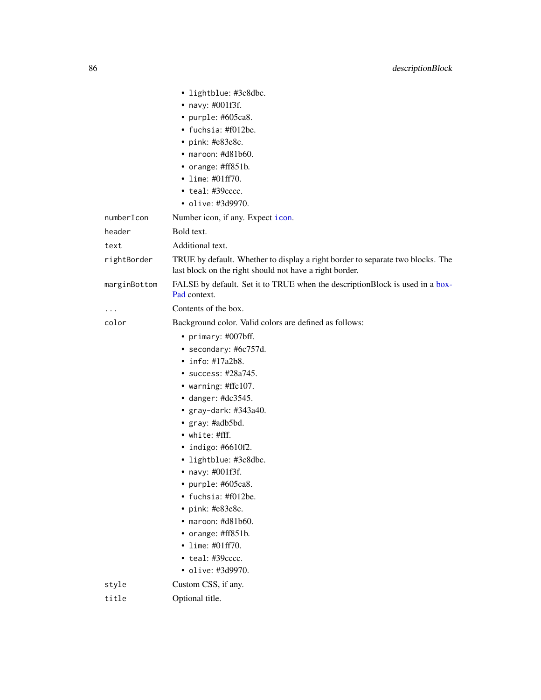|                      | • lightblue: #3c8dbc.<br>• navy: #001f3f.<br>• purple: $#605ca8$ .<br>• fuchsia: #f012be.<br>$\cdot$ pink: #e83e8c.<br>$\bullet$ maroon: #d81b60.<br>• orange: #ff851b.<br>• lime: $\#01ff70$ .<br>$\cdot$ teal: #39 $cccc$ .<br>• olive: #3d9970.                                                                                                                                                                                                                                        |
|----------------------|-------------------------------------------------------------------------------------------------------------------------------------------------------------------------------------------------------------------------------------------------------------------------------------------------------------------------------------------------------------------------------------------------------------------------------------------------------------------------------------------|
| numberIcon<br>header | Number icon, if any. Expect icon.<br>Bold text.                                                                                                                                                                                                                                                                                                                                                                                                                                           |
|                      | Additional text.                                                                                                                                                                                                                                                                                                                                                                                                                                                                          |
| text<br>rightBorder  | TRUE by default. Whether to display a right border to separate two blocks. The<br>last block on the right should not have a right border.                                                                                                                                                                                                                                                                                                                                                 |
| marginBottom         | FALSE by default. Set it to TRUE when the descriptionBlock is used in a box-<br>Pad context.                                                                                                                                                                                                                                                                                                                                                                                              |
| .                    | Contents of the box.                                                                                                                                                                                                                                                                                                                                                                                                                                                                      |
| color                | Background color. Valid colors are defined as follows:                                                                                                                                                                                                                                                                                                                                                                                                                                    |
|                      | • primary: #007bff.<br>• secondary: #6c757d.<br>$\cdot$ info: #17a2b8.<br>• success: $\#28a745$ .<br>• warning: #ffc107.<br>$\bullet$ danger: #dc3545.<br>$\bullet$ gray-dark: #343a40.<br>• gray: #adb5bd.<br>• white: #fff.<br>• indigo: $#6610f2$ .<br>• lightblue: #3c8dbc.<br>• navy: $\#001f3f$ .<br>· purple: #605ca8.<br>• fuchsia: #f012be.<br>• pink: #e83e8c.<br>$\bullet$ maroon: #d81b60.<br>• orange: #ff851b.<br>• lime: #01ff70.<br>• teal: #39cccc.<br>· olive: #3d9970. |
| style                | Custom CSS, if any.                                                                                                                                                                                                                                                                                                                                                                                                                                                                       |
| title                | Optional title.                                                                                                                                                                                                                                                                                                                                                                                                                                                                           |
|                      |                                                                                                                                                                                                                                                                                                                                                                                                                                                                                           |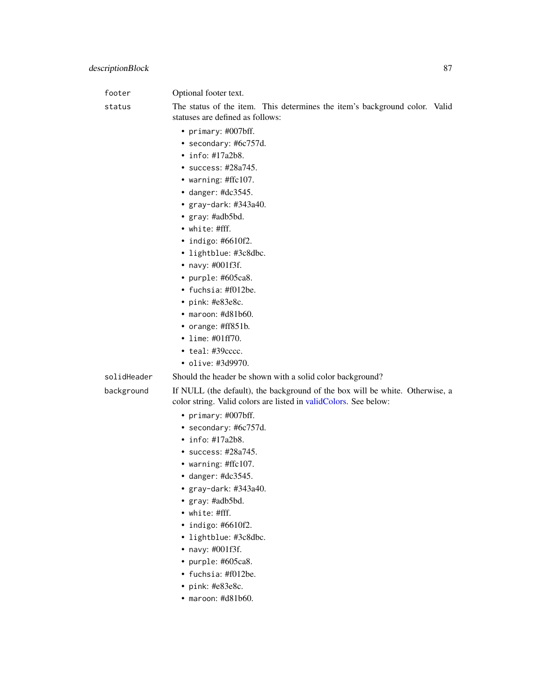footer **Optional** footer text.

status The status of the item. This determines the item's background color. Valid statuses are defined as follows:

- primary: #007bff.
- secondary: #6c757d.
- info: #17a2b8.
- success: #28a745.
- warning: #ffc107.
- danger: #dc3545.
- gray-dark: #343a40.
- gray: #adb5bd.
- white: #fff.
- indigo: #6610f2.
- lightblue: #3c8dbc.
- navy: #001f3f.
- purple: #605ca8.
- fuchsia: #f012be.
- pink: #e83e8c.
- maroon: #d81b60.
- orange: #ff851b.
- lime: #01ff70.
- teal: #39cccc.
- olive: #3d9970.

solidHeader Should the header be shown with a solid color background?

background If NULL (the default), the background of the box will be white. Otherwise, a color string. Valid colors are listed in [validColors.](#page-0-0) See below:

- primary: #007bff.
- secondary: #6c757d.
- info: #17a2b8.
- success: #28a745.
- warning: #ffc107.
- danger: #dc3545.
- gray-dark: #343a40.
- gray: #adb5bd.
- white: #fff.
- indigo: #6610f2.
- lightblue: #3c8dbc.
- navy: #001f3f.
- purple: #605ca8.
- fuchsia: #f012be.
- pink: #e83e8c.
- maroon: #d81b60.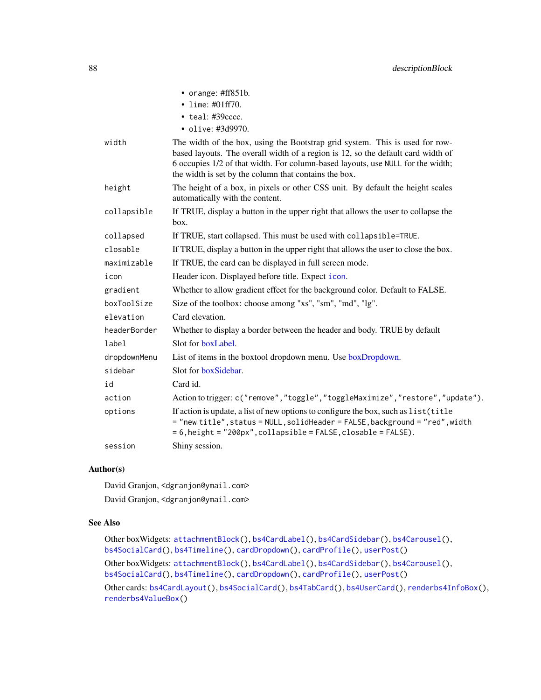|              | • orange: #ff851b.                                                                                                                                                                                                                                                                                           |
|--------------|--------------------------------------------------------------------------------------------------------------------------------------------------------------------------------------------------------------------------------------------------------------------------------------------------------------|
|              | • lime: $\#01ff70$ .                                                                                                                                                                                                                                                                                         |
|              | $\cdot$ teal: #39 $cccc$ .                                                                                                                                                                                                                                                                                   |
|              | • olive: #3d9970.                                                                                                                                                                                                                                                                                            |
| width        | The width of the box, using the Bootstrap grid system. This is used for row-<br>based layouts. The overall width of a region is 12, so the default card width of<br>6 occupies 1/2 of that width. For column-based layouts, use NULL for the width;<br>the width is set by the column that contains the box. |
| height       | The height of a box, in pixels or other CSS unit. By default the height scales<br>automatically with the content.                                                                                                                                                                                            |
| collapsible  | If TRUE, display a button in the upper right that allows the user to collapse the<br>box.                                                                                                                                                                                                                    |
| collapsed    | If TRUE, start collapsed. This must be used with collapsible=TRUE.                                                                                                                                                                                                                                           |
| closable     | If TRUE, display a button in the upper right that allows the user to close the box.                                                                                                                                                                                                                          |
| maximizable  | If TRUE, the card can be displayed in full screen mode.                                                                                                                                                                                                                                                      |
| icon         | Header icon. Displayed before title. Expect icon.                                                                                                                                                                                                                                                            |
| gradient     | Whether to allow gradient effect for the background color. Default to FALSE.                                                                                                                                                                                                                                 |
| boxToolSize  | Size of the toolbox: choose among "xs", "sm", "md", "lg".                                                                                                                                                                                                                                                    |
| elevation    | Card elevation.                                                                                                                                                                                                                                                                                              |
| headerBorder | Whether to display a border between the header and body. TRUE by default                                                                                                                                                                                                                                     |
| label        | Slot for boxLabel.                                                                                                                                                                                                                                                                                           |
| dropdownMenu | List of items in the boxtool dropdown menu. Use boxDropdown.                                                                                                                                                                                                                                                 |
| sidebar      | Slot for boxSidebar.                                                                                                                                                                                                                                                                                         |
| id           | Card id.                                                                                                                                                                                                                                                                                                     |
| action       | Action to trigger: c("remove","toggle","toggleMaximize","restore","update").                                                                                                                                                                                                                                 |
| options      | If action is update, a list of new options to configure the box, such as list (title<br>= "new title", status = NULL, solidHeader = FALSE, background = "red", width<br>= 6, height = "200px", collapsible = FALSE, closable = FALSE).                                                                       |
| session      | Shiny session.                                                                                                                                                                                                                                                                                               |

#### Author(s)

David Granjon, <dgranjon@ymail.com> David Granjon, <dgranjon@ymail.com>

#### See Also

Other boxWidgets: [attachmentBlock\(](#page-6-0)), [bs4CardLabel\(](#page-14-2)), [bs4CardSidebar\(](#page-16-1)), [bs4Carousel\(](#page-19-0)), [bs4SocialCard\(](#page-55-0)), [bs4Timeline\(](#page-66-0)), [cardDropdown\(](#page-76-1)), [cardProfile\(](#page-77-0)), [userPost\(](#page-126-0)) Other boxWidgets: [attachmentBlock\(](#page-6-0)), [bs4CardLabel\(](#page-14-2)), [bs4CardSidebar\(](#page-16-1)), [bs4Carousel\(](#page-19-0)), [bs4SocialCard\(](#page-55-0)), [bs4Timeline\(](#page-66-0)), [cardDropdown\(](#page-76-1)), [cardProfile\(](#page-77-0)), [userPost\(](#page-126-0)) Other cards: [bs4CardLayout\(](#page-14-1)), [bs4SocialCard\(](#page-55-0)), [bs4TabCard\(](#page-61-0)), [bs4UserCard\(](#page-69-0)), [renderbs4InfoBox\(](#page-101-0)), [renderbs4ValueBox\(](#page-104-0))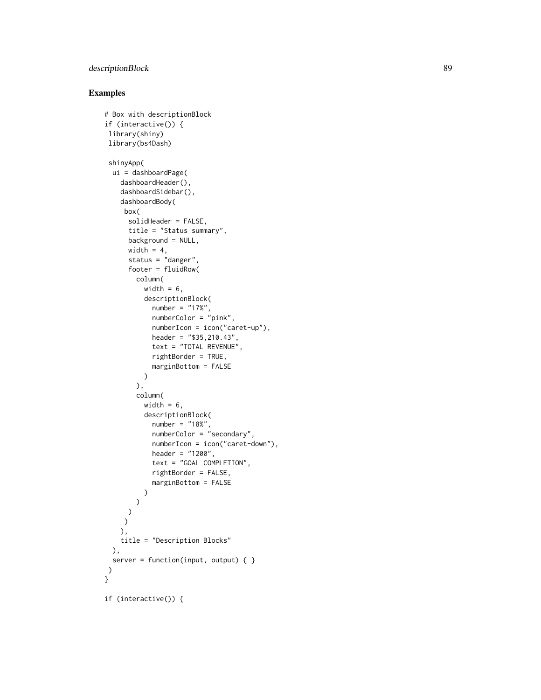## descriptionBlock 89

```
# Box with descriptionBlock
if (interactive()) {
library(shiny)
library(bs4Dash)
shinyApp(
 ui = dashboardPage(
    dashboardHeader(),
    dashboardSidebar(),
    dashboardBody(
    box(
      solidHeader = FALSE,
     title = "Status summary",
     background = NULL,
     width = 4,
      status = "danger",
      footer = fluidRow(
       column(
          width = 6,
          descriptionBlock(
            number = "17%",
            numberColor = "pink",
            numberIcon = icon("caret-up"),
            header = "$35,210.43",
            text = "TOTAL REVENUE",
            rightBorder = TRUE,
            marginBottom = FALSE
         )
        ),
        column(
          width = 6,
          descriptionBlock(
            number = "18%",
            numberColor = "secondary",
            numberIcon = icon("caret-down"),
            header = "1200",
            text = "GOAL COMPLETION",
            rightBorder = FALSE,
            marginBottom = FALSE
          )
        )
     )
    \lambda),
   title = "Description Blocks"
 ),
 server = function(input, output) { }
\mathcal{L}}
if (interactive()) {
```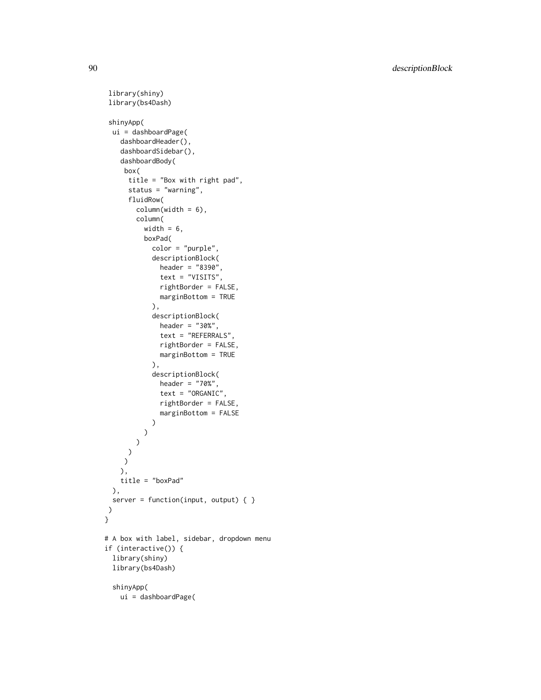```
library(shiny)
library(bs4Dash)
shinyApp(
 ui = dashboardPage(
   dashboardHeader(),
    dashboardSidebar(),
   dashboardBody(
    box(
      title = "Box with right pad",
      status = "warning",
     fluidRow(
       columnwidth = 6),
       column(
         width = 6,
         boxPad(
            color = "purple",
            descriptionBlock(
             header = "8390",
              text = "VISITS",
              rightBorder = FALSE,
              marginBottom = TRUE
            ),
            descriptionBlock(
              header = "30%",
              text = "REFERRALS",
              rightBorder = FALSE,
             marginBottom = TRUE
            ),
            descriptionBlock(
              header = "70%",
              text = "ORGANIC",
              rightBorder = FALSE,
              marginBottom = FALSE
            )
         \lambda)
     )
    )
   ),
   title = "boxPad"
 ),
 server = function(input, output) { }
)
}
# A box with label, sidebar, dropdown menu
if (interactive()) {
 library(shiny)
 library(bs4Dash)
 shinyApp(
   ui = dashboardPage(
```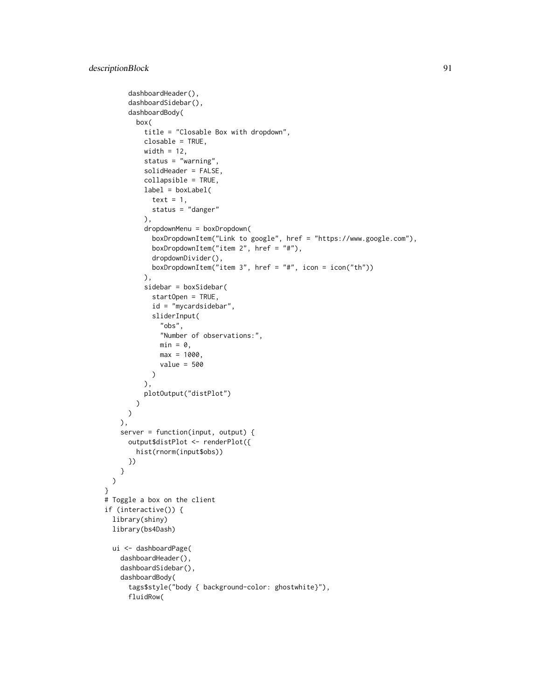```
dashboardHeader(),
      dashboardSidebar(),
      dashboardBody(
       box(
          title = "Closable Box with dropdown",
          closable = TRUE,
          width = 12,
          status = "warning",
          solidHeader = FALSE,
          collapsible = TRUE,
          label = boxLabel(
            text = 1,
            status = "danger"
          ),
          dropdownMenu = boxDropdown(
            boxDropdownItem("Link to google", href = "https://www.google.com"),
            boxDropdownItem("item 2", href = "#"),
            dropdownDivider(),
            boxDropdownItem("item 3", href = "#", icon = icon("th"))
          ),
          sidebar = boxSidebar(
            startOpen = TRUE,
            id = "mycardsidebar",
            sliderInput(
              "obs",
              "Number of observations:",
              min = 0,
              max = 1000,
              value = 500
            )
          ),
         plotOutput("distPlot")
       \lambda)
   ),
    server = function(input, output) {
      output$distPlot <- renderPlot({
        hist(rnorm(input$obs))
     })
   }
 \mathcal{L}}
# Toggle a box on the client
if (interactive()) {
 library(shiny)
 library(bs4Dash)
 ui <- dashboardPage(
    dashboardHeader(),
    dashboardSidebar(),
    dashboardBody(
      tags$style("body { background-color: ghostwhite}"),
      fluidRow(
```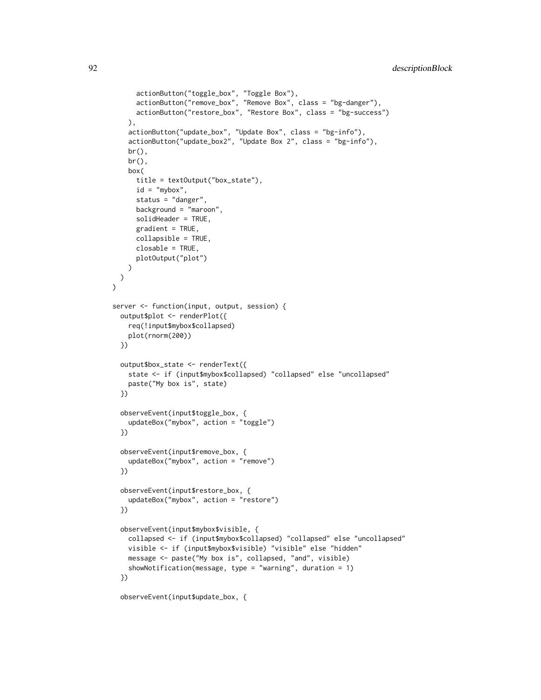```
actionButton("toggle_box", "Toggle Box"),
      actionButton("remove_box", "Remove Box", class = "bg-danger"),
      actionButton("restore_box", "Restore Box", class = "bg-success")
    ),
    actionButton("update_box", "Update Box", class = "bg-info"),
    actionButton("update_box2", "Update Box 2", class = "bg-info"),
    br(),
    br(),
    box(
      title = textOutput("box_state"),
      id = "mybox",status = "danger",
      background = "maroon",
      solidHeader = TRUE,
      gradient = TRUE,
      collapsible = TRUE,
      closable = TRUE,
      plotOutput("plot")
    )
 )
\mathcal{L}server <- function(input, output, session) {
  output$plot <- renderPlot({
    req(!input$mybox$collapsed)
    plot(rnorm(200))
  })
  output$box_state <- renderText({
    state <- if (input$mybox$collapsed) "collapsed" else "uncollapsed"
    paste("My box is", state)
  })
  observeEvent(input$toggle_box, {
    updateBox("mybox", action = "toggle")
  })
  observeEvent(input$remove_box, {
    updateBox("mybox", action = "remove")
  })
  observeEvent(input$restore_box, {
    updateBox("mybox", action = "restore")
  })
  observeEvent(input$mybox$visible, {
    collapsed <- if (input$mybox$collapsed) "collapsed" else "uncollapsed"
    visible <- if (input$mybox$visible) "visible" else "hidden"
   message <- paste("My box is", collapsed, "and", visible)
    showNotification(message, type = "warning", duration = 1)
  })
```
observeEvent(input\$update\_box, {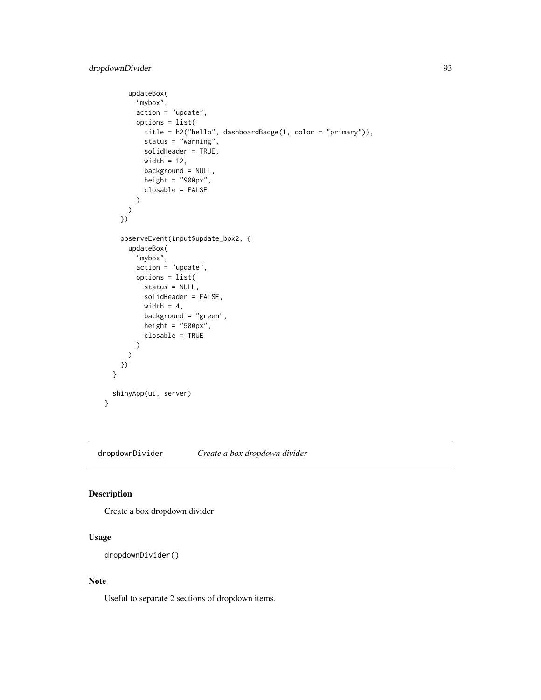```
updateBox(
        "mybox",
       action = "update",
       options = list(
         title = h2("hello", dashboardBadge(1, color = "primary")),
         status = "warning",
         solidHeader = TRUE,
         width = 12,
         background = NULL,
         height = "900px",
         closable = FALSE
       )
     )
   })
    observeEvent(input$update_box2, {
      updateBox(
        "mybox",
       action = "update",
       options = list(
         status = NULL,
         solidHeader = FALSE,
         width = 4,
         background = "green",
         height = "500px",
         closable = TRUE
       )
      )
   })
 }
 shinyApp(ui, server)
}
```
dropdownDivider *Create a box dropdown divider*

#### Description

Create a box dropdown divider

#### Usage

```
dropdownDivider()
```
#### Note

Useful to separate 2 sections of dropdown items.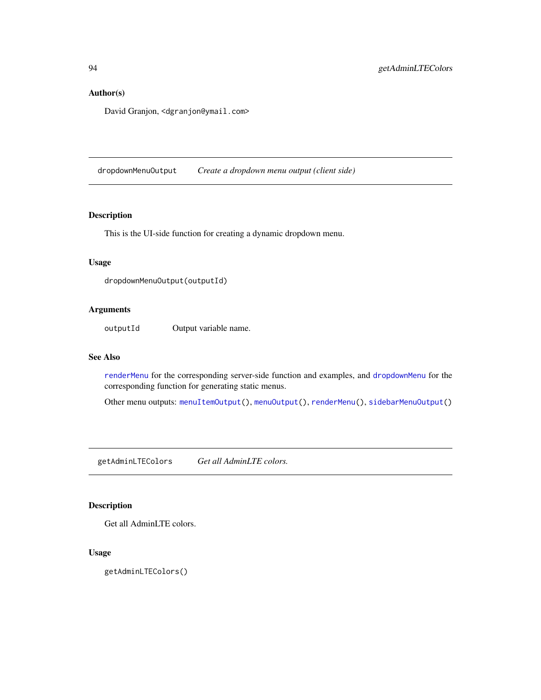## Author(s)

David Granjon, <dgranjon@ymail.com>

<span id="page-93-0"></span>dropdownMenuOutput *Create a dropdown menu output (client side)*

#### Description

This is the UI-side function for creating a dynamic dropdown menu.

## Usage

dropdownMenuOutput(outputId)

## Arguments

outputId Output variable name.

#### See Also

[renderMenu](#page-108-0) for the corresponding server-side function and examples, and [dropdownMenu](#page-39-0) for the corresponding function for generating static menus.

Other menu outputs: [menuItemOutput\(](#page-96-0)), [menuOutput\(](#page-97-0)), [renderMenu\(](#page-108-0)), [sidebarMenuOutput\(](#page-110-0))

getAdminLTEColors *Get all AdminLTE colors.*

## Description

Get all AdminLTE colors.

#### Usage

getAdminLTEColors()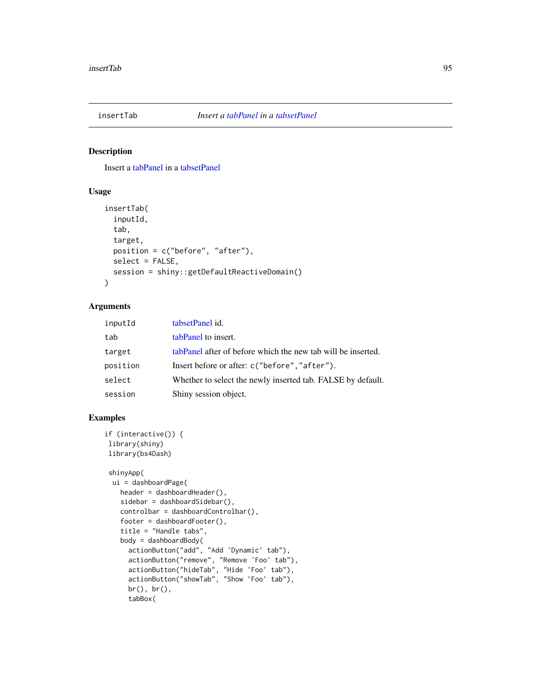## Description

Insert a [tabPanel](#page-0-0) in a [tabsetPanel](#page-111-0)

## Usage

```
insertTab(
  inputId,
  tab,
  target,
 position = c("before", "after"),
  select = FALSE,
 session = shiny::getDefaultReactiveDomain()
)
```
## Arguments

| inputId  | tabsetPanel id.                                              |
|----------|--------------------------------------------------------------|
| tab      | tabPanel to insert.                                          |
| target   | tabPanel after of before which the new tab will be inserted. |
| position | Insert before or after: c("before", "after").                |
| select   | Whether to select the newly inserted tab. FALSE by default.  |
| session  | Shiny session object.                                        |

```
if (interactive()) {
library(shiny)
library(bs4Dash)
```

```
shinyApp(
ui = dashboardPage(
  header = dashboardHeader(),
  sidebar = dashboardSidebar(),
  controlbar = dashboardControlbar(),
   footer = dashboardFooter(),
   title = "Handle tabs",
  body = dashboardBody(
     actionButton("add", "Add 'Dynamic' tab"),
     actionButton("remove", "Remove 'Foo' tab"),
     actionButton("hideTab", "Hide 'Foo' tab"),
     actionButton("showTab", "Show 'Foo' tab"),
     br(), br(),
     tabBox(
```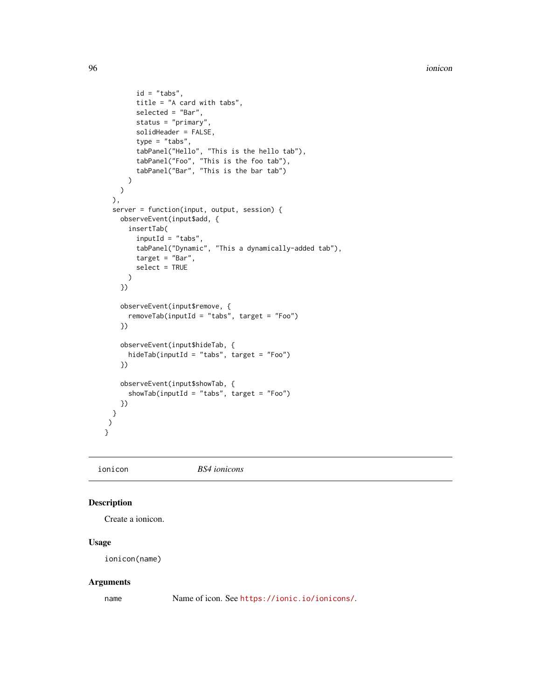```
id = "tabs",title = "A card with tabs",
        selected = "Bar",
       status = "primary",
        solidHeader = FALSE,
        type = "tabs",
        tabPanel("Hello", "This is the hello tab"),
        tabPanel("Foo", "This is the foo tab"),
        tabPanel("Bar", "This is the bar tab")
     )
   )
 ),
 server = function(input, output, session) {
   observeEvent(input$add, {
     insertTab(
       inputId = "tabs",
       tabPanel("Dynamic", "This a dynamically-added tab"),
       target = "Bar",
       select = TRUE
     )
   })
   observeEvent(input$remove, {
     removeTab(inputId = "tabs", target = "Foo")
    })
    observeEvent(input$hideTab, {
     hideTab(inputId = "tabs", target = "Foo")
   })
   observeEvent(input$showTab, {
     showTab(inputId = "tabs", target = "Foo")
   })
 }
)
}
```
ionicon *BS4 ionicons*

#### Description

Create a ionicon.

#### Usage

ionicon(name)

#### Arguments

name Name of icon. See <https://ionic.io/ionicons/>.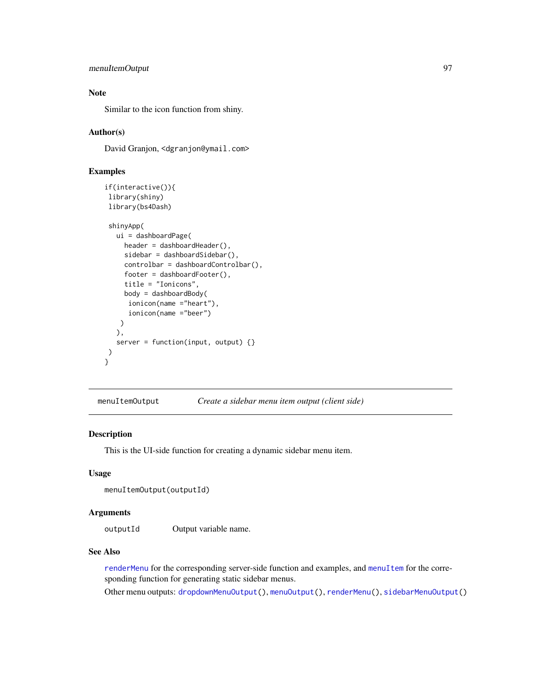## menuItemOutput 97

## Note

Similar to the icon function from shiny.

## Author(s)

David Granjon, <dgranjon@ymail.com>

## Examples

```
if(interactive()){
library(shiny)
library(bs4Dash)
shinyApp(
  ui = dashboardPage(
    header = dashboardHeader(),
    sidebar = dashboardSidebar(),
    controlbar = dashboardControlbar(),
    footer = dashboardFooter(),
    title = "Ionicons",
    body = dashboardBody(
      ionicon(name ="heart"),
      ionicon(name ="beer")
   )
  ),
  server = function(input, output) {}
)
}
```
<span id="page-96-0"></span>menuItemOutput *Create a sidebar menu item output (client side)*

## Description

This is the UI-side function for creating a dynamic sidebar menu item.

#### Usage

```
menuItemOutput(outputId)
```
## Arguments

outputId Output variable name.

## See Also

[renderMenu](#page-108-0) for the corresponding server-side function and examples, and [menuItem](#page-30-0) for the corresponding function for generating static sidebar menus.

Other menu outputs: [dropdownMenuOutput\(](#page-93-0)), [menuOutput\(](#page-97-0)), [renderMenu\(](#page-108-0)), [sidebarMenuOutput\(](#page-110-0))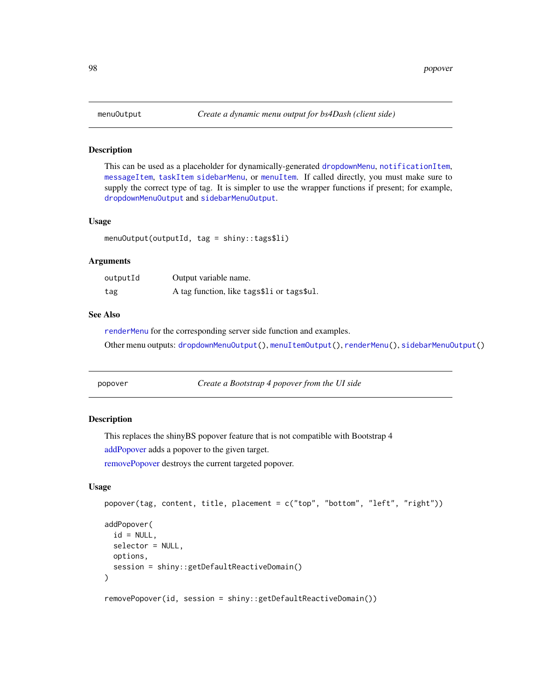#### Description

This can be used as a placeholder for dynamically-generated [dropdownMenu](#page-39-0), [notificationItem](#page-39-0), [messageItem](#page-39-0), [taskItem](#page-39-0) [sidebarMenu](#page-30-0), or [menuItem](#page-30-0). If called directly, you must make sure to supply the correct type of tag. It is simpler to use the wrapper functions if present; for example, [dropdownMenuOutput](#page-93-0) and [sidebarMenuOutput](#page-110-0).

#### Usage

menuOutput(outputId, tag = shiny::tags\$li)

#### **Arguments**

| outputId | Output variable name.                      |
|----------|--------------------------------------------|
| tag      | A tag function, like tags\$11 or tags\$u1. |

## See Also

[renderMenu](#page-108-0) for the corresponding server side function and examples. Other menu outputs: [dropdownMenuOutput\(](#page-93-0)), [menuItemOutput\(](#page-96-0)), [renderMenu\(](#page-108-0)), [sidebarMenuOutput\(](#page-110-0))

<span id="page-97-2"></span>

popover *Create a Bootstrap 4 popover from the UI side*

#### <span id="page-97-1"></span>**Description**

This replaces the shinyBS popover feature that is not compatible with Bootstrap 4

[addPopover](#page-97-1) adds a popover to the given target.

[removePopover](#page-97-1) destroys the current targeted popover.

## Usage

```
popover(tag, content, title, placement = c("top", "bottom", "left", "right"))
addPopover(
  id = NULL,selector = NULL,
 options,
  session = shiny::getDefaultReactiveDomain()
)
```
removePopover(id, session = shiny::getDefaultReactiveDomain())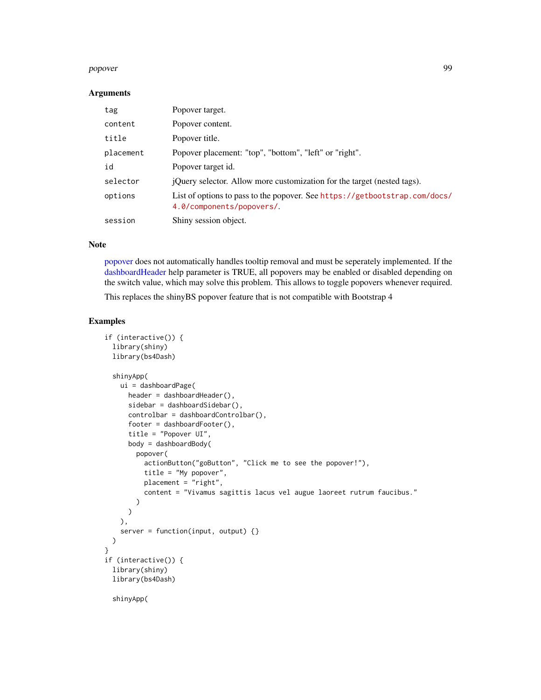#### popover the contract of the contract of the contract of the contract of the contract of the contract of the contract of the contract of the contract of the contract of the contract of the contract of the contract of the co

#### **Arguments**

| tag       | Popover target.                                                                                         |
|-----------|---------------------------------------------------------------------------------------------------------|
| content   | Popover content.                                                                                        |
| title     | Popover title.                                                                                          |
| placement | Popover placement: "top", "bottom", "left" or "right".                                                  |
| id        | Popover target id.                                                                                      |
| selector  | <i>iQuery selector.</i> Allow more customization for the target (nested tags).                          |
| options   | List of options to pass to the popover. See https://getbootstrap.com/docs/<br>4.0/components/popovers/. |
| session   | Shiny session object.                                                                                   |

#### Note

[popover](#page-97-2) does not automatically handles tooltip removal and must be seperately implemented. If the [dashboardHeader](#page-25-0) help parameter is TRUE, all popovers may be enabled or disabled depending on the switch value, which may solve this problem. This allows to toggle popovers whenever required.

This replaces the shinyBS popover feature that is not compatible with Bootstrap 4

```
if (interactive()) {
 library(shiny)
 library(bs4Dash)
 shinyApp(
   ui = dashboardPage(
     header = dashboardHeader(),
     sidebar = dashboardSidebar(),
     controlbar = dashboardControlbar(),
     footer = dashboardFooter(),
     title = "Popover UI",
     body = dashboardBody(
       popover(
         actionButton("goButton", "Click me to see the popover!"),
         title = "My popover",
         placement = "right",
         content = "Vivamus sagittis lacus vel augue laoreet rutrum faucibus."
       )
     )
   ),
   server = function(input, output) {}
 )
}
if (interactive()) {
 library(shiny)
 library(bs4Dash)
 shinyApp(
```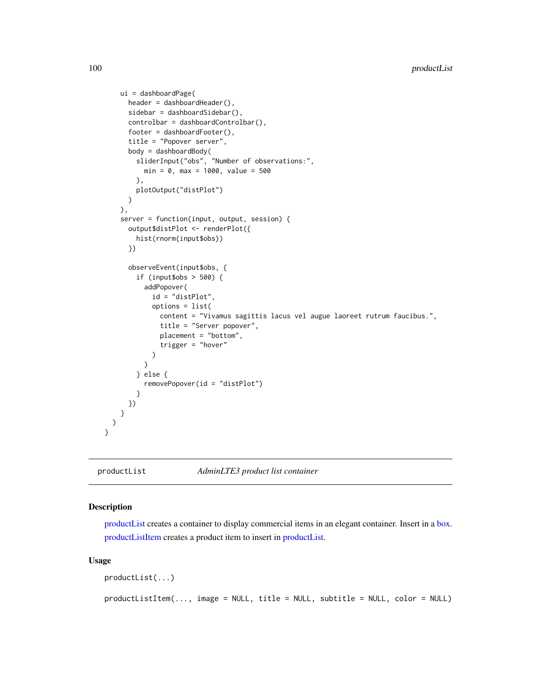```
ui = dashboardPage(
     header = dashboardHeader(),
     sidebar = dashboardSidebar(),
     controlbar = dashboardControlbar(),
     footer = dashboardFooter(),
     title = "Popover server",
     body = dashboardBody(
        sliderInput("obs", "Number of observations:",
         min = 0, max = 1000, value = 500),
       plotOutput("distPlot")
     )
   ),
    server = function(input, output, session) {
     output$distPlot <- renderPlot({
       hist(rnorm(input$obs))
     })
     observeEvent(input$obs, {
        if (input$obs > 500) {
          addPopover(
            id = "distPlot",
            options = list(
              content = "Vivamus sagittis lacus vel augue laoreet rutrum faucibus.",
              title = "Server popover",
              placement = "bottom",
              trigger = "hover"
            )
         )
        } else {
          removePopover(id = "distPlot")
        }
     })
   }
 )
}
```
<span id="page-99-0"></span>productList *AdminLTE3 product list container*

## <span id="page-99-1"></span>Description

[productList](#page-99-0) creates a container to display commercial items in an elegant container. Insert in a [box.](#page-82-1) [productListItem](#page-99-1) creates a product item to insert in [productList.](#page-99-0)

#### Usage

```
productList(...)
productListItem(..., image = NULL, title = NULL, subtitle = NULL, color = NULL)
```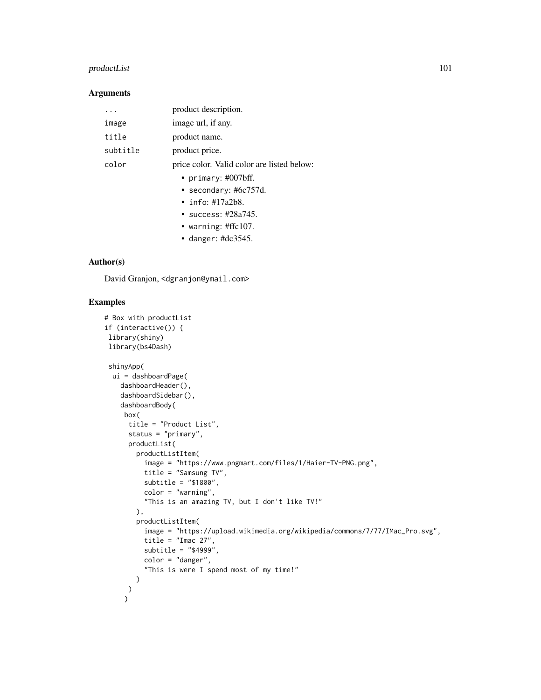## productList 101

## Arguments

|          | product description.                       |
|----------|--------------------------------------------|
| image    | image url, if any.                         |
| title    | product name.                              |
| subtitle | product price.                             |
| color    | price color. Valid color are listed below: |
|          | • primary: $\#007$ bff.                    |
|          | • secondary: $\#6c757d$ .                  |
|          | • info: $\#17a2b8$ .                       |
|          | • success: $\#28a745$ .                    |
|          | • warning: $\#\text{ffc107}$ .             |
|          | • danger: $\#dc3545$ .                     |

#### Author(s)

David Granjon, <dgranjon@ymail.com>

```
# Box with productList
if (interactive()) {
library(shiny)
library(bs4Dash)
 shinyApp(
 ui = dashboardPage(
   dashboardHeader(),
   dashboardSidebar(),
   dashboardBody(
    box(
      title = "Product List",
      status = "primary",
      productList(
        productListItem(
          image = "https://www.pngmart.com/files/1/Haier-TV-PNG.png",
          title = "Samsung TV",
          subtitle = "$1800",
          color = "warning",
          "This is an amazing TV, but I don't like TV!"
        ),
        productListItem(
          image = "https://upload.wikimedia.org/wikipedia/commons/7/77/IMac_Pro.svg",
          title = "Imac 27",
          subtitle = "$4999",
          color = "danger",
          "This is were I spend most of my time!"
       )
     \lambda\mathcal{L}
```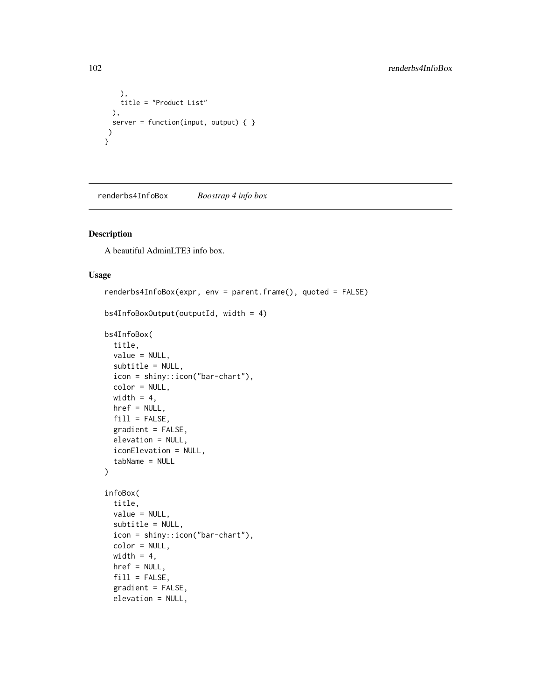```
),
    title = "Product List"
 ),
 server = function(input, output) \{ \}\rightarrow}
```
<span id="page-101-0"></span>renderbs4InfoBox *Boostrap 4 info box*

## <span id="page-101-1"></span>Description

A beautiful AdminLTE3 info box.

#### Usage

```
renderbs4InfoBox(expr, env = parent.frame(), quoted = FALSE)
bs4InfoBoxOutput(outputId, width = 4)
bs4InfoBox(
  title,
 value = NULL,
 subtitle = NULL,
  icon = shiny::icon("bar-chart"),
  color = NULL,
 width = 4,
 href = NULL,
 fill = FALSE,gradient = FALSE,
 elevation = NULL,
  iconElevation = NULL,
  tabName = NULL
)
infoBox(
  title,
 value = NULL,
  subtitle = NULL,
  icon = shiny::icon("bar-chart"),
  color = NULL,
 width = 4,
 href = NULL,
  fill = FALSE,gradient = FALSE,
  elevation = NULL,
```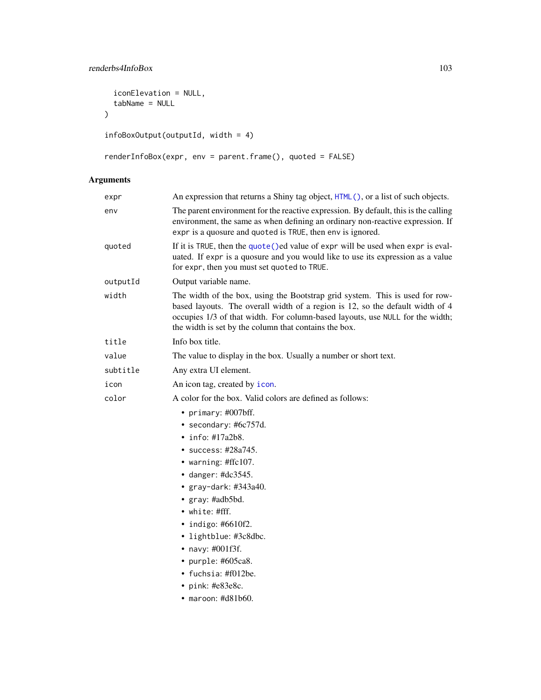## renderbs4InfoBox 103

```
iconElevation = NULL,
  tabName = NULL
\mathcal{L}infoBoxOutput(outputId, width = 4)
```

```
renderInfoBox(expr, env = parent.frame(), quoted = FALSE)
```
# Arguments

| expr     | An expression that returns a Shiny tag object, HTML(), or a list of such objects.                                                                                                                                                                                                                                                                                                                          |
|----------|------------------------------------------------------------------------------------------------------------------------------------------------------------------------------------------------------------------------------------------------------------------------------------------------------------------------------------------------------------------------------------------------------------|
| env      | The parent environment for the reactive expression. By default, this is the calling<br>environment, the same as when defining an ordinary non-reactive expression. If<br>expr is a quosure and quoted is TRUE, then env is ignored.                                                                                                                                                                        |
| quoted   | If it is TRUE, then the quote () ed value of expr will be used when expr is eval-<br>uated. If expr is a quosure and you would like to use its expression as a value<br>for expr, then you must set quoted to TRUE.                                                                                                                                                                                        |
| outputId | Output variable name.                                                                                                                                                                                                                                                                                                                                                                                      |
| width    | The width of the box, using the Bootstrap grid system. This is used for row-<br>based layouts. The overall width of a region is 12, so the default width of 4<br>occupies 1/3 of that width. For column-based layouts, use NULL for the width;<br>the width is set by the column that contains the box.                                                                                                    |
| title    | Info box title.                                                                                                                                                                                                                                                                                                                                                                                            |
| value    | The value to display in the box. Usually a number or short text.                                                                                                                                                                                                                                                                                                                                           |
| subtitle | Any extra UI element.                                                                                                                                                                                                                                                                                                                                                                                      |
| icon     | An icon tag, created by icon.                                                                                                                                                                                                                                                                                                                                                                              |
| color    | A color for the box. Valid colors are defined as follows:                                                                                                                                                                                                                                                                                                                                                  |
|          | • primary: #007bff.<br>• secondary: #6c757d.<br>$\cdot$ info: #17a2b8.<br>• success: #28a745.<br>• warning: #ffc107.<br>$\bullet$ danger: #dc3545.<br>• gray-dark: #343a40.<br>• gray: #adb5bd.<br>• white: $\# \mathrm{fff}$ .<br>• indigo: $#6610f2$ .<br>• lightblue: #3c8dbc.<br>• navy: #001f3f.<br>• purple: $#605ca8$ .<br>• fuchsia: #f012be.<br>• pink: $#e83e8c$ .<br>$\bullet$ maroon: #d81b60. |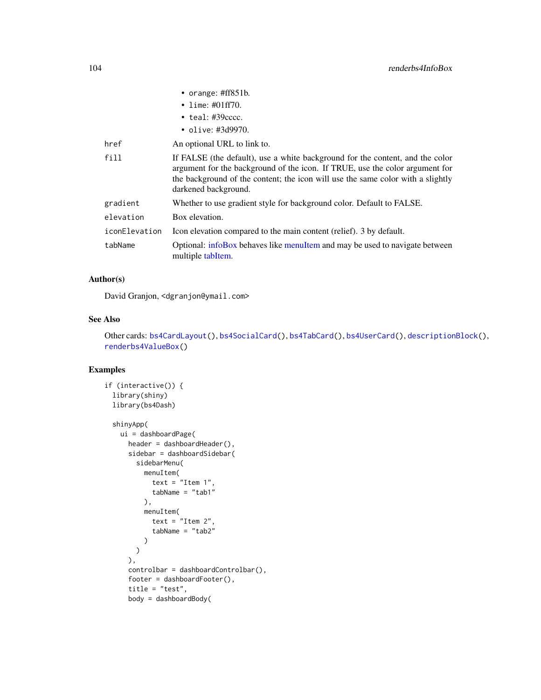|               | • orange: $\#ff851b$ .                                                                                                                                                                                                                                                   |
|---------------|--------------------------------------------------------------------------------------------------------------------------------------------------------------------------------------------------------------------------------------------------------------------------|
|               | • lime: $\#01ff70$ .                                                                                                                                                                                                                                                     |
|               | $\bullet$ teal: #39 $cccc$ .                                                                                                                                                                                                                                             |
|               | • olive: $\#3d9970$ .                                                                                                                                                                                                                                                    |
| href          | An optional URL to link to.                                                                                                                                                                                                                                              |
| fill          | If FALSE (the default), use a white background for the content, and the color<br>argument for the background of the icon. If TRUE, use the color argument for<br>the background of the content; the icon will use the same color with a slightly<br>darkened background. |
| gradient      | Whether to use gradient style for background color. Default to FALSE.                                                                                                                                                                                                    |
| elevation     | Box elevation.                                                                                                                                                                                                                                                           |
| iconElevation | Icon elevation compared to the main content (relief). 3 by default.                                                                                                                                                                                                      |
| tabName       | Optional: infoBox behaves like menuItem and may be used to navigate between<br>multiple tabItem.                                                                                                                                                                         |

#### Author(s)

David Granjon, <dgranjon@ymail.com>

#### See Also

Other cards: [bs4CardLayout\(](#page-14-1)), [bs4SocialCard\(](#page-55-0)), [bs4TabCard\(](#page-61-0)), [bs4UserCard\(](#page-69-0)), [descriptionBlock\(](#page-82-0)), [renderbs4ValueBox\(](#page-104-0))

```
if (interactive()) {
  library(shiny)
  library(bs4Dash)
  shinyApp(
   ui = dashboardPage(
      header = dashboardHeader(),
      sidebar = dashboardSidebar(
        sidebarMenu(
         menuItem(
            text = "Item 1",tabName = "tab1"),
         menuItem(
            text = "Item 2",tabName = "tab2"\lambda)
      ),
      controlbar = dashboardControlbar(),
      footer = dashboardFooter(),
      title = "test",
      body = dashboardBody(
```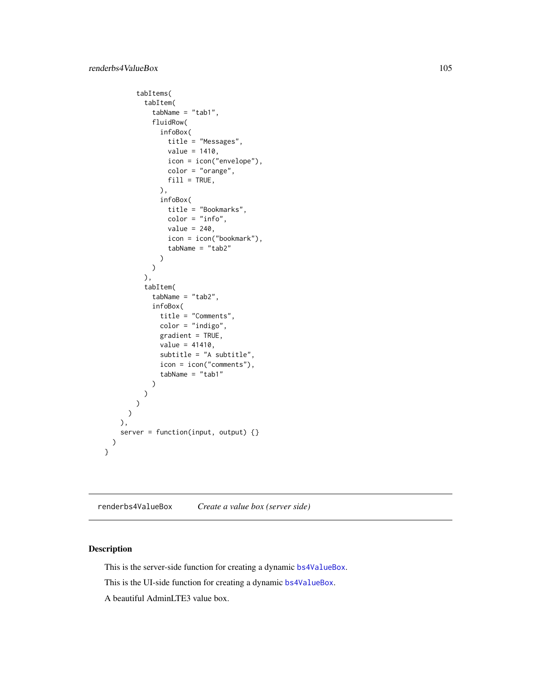```
tabItems(
        tabItem(
          tabName = "tab1",
          fluidRow(
            infoBox(
              title = "Messages",
              value = 1410,
              icon = icon("envelope"),
              color = "orange",
              fill = TRUE,),
            infoBox(
              title = "Bookmarks",
              color = "info",value = 240,
              icon = icon("bookmark"),
              tabName = "tab2"
            )
          )
        ),
        tabItem(
          tabName = "tab2",
          infoBox(
            title = "Comments",
            color = "indigo",
            gradient = TRUE,
            value = 41410,subtitle = "A subtitle",
            icon = icon("comments"),
            tabName = "tab1"
          )
       )
     )
   )
 ),
 server = function(input, output) {}
\mathcal{L}
```
<span id="page-104-0"></span>renderbs4ValueBox *Create a value box (server side)*

## <span id="page-104-1"></span>Description

}

This is the server-side function for creating a dynamic [bs4ValueBox](#page-104-1).

This is the UI-side function for creating a dynamic [bs4ValueBox](#page-104-1).

A beautiful AdminLTE3 value box.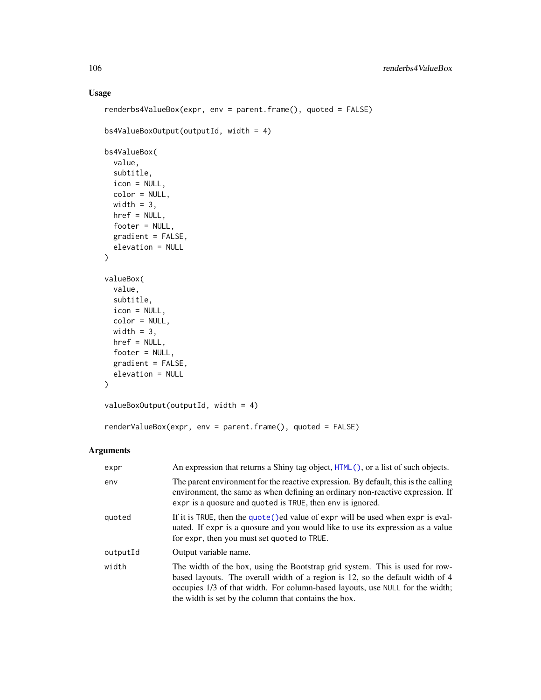## Usage

```
renderbs4ValueBox(expr, env = parent.frame(), quoted = FALSE)
bs4ValueBoxOutput(outputId, width = 4)
bs4ValueBox(
 value,
  subtitle,
 icon = NULL,
 color = NULL,
 width = 3,
 href = NULL,
 footer = NULL,
 gradient = FALSE,
 elevation = NULL
\mathcal{L}valueBox(
 value,
 subtitle,
 icon = NULL,
 color = NULL,
 width = 3,
 href = NULL,
 footer = NULL,
  gradient = FALSE,
 elevation = NULL
\mathcal{L}valueBoxOutput(outputId, width = 4)
renderValueBox(expr, env = parent.frame(), quoted = FALSE)
```
#### Arguments

| expr     | An expression that returns a Shiny tag object, $HTML()$ , or a list of such objects.                                                                                                                                                                                                                    |
|----------|---------------------------------------------------------------------------------------------------------------------------------------------------------------------------------------------------------------------------------------------------------------------------------------------------------|
| env      | The parent environment for the reactive expression. By default, this is the calling<br>environment, the same as when defining an ordinary non-reactive expression. If<br>expr is a quosure and quoted is TRUE, then env is ignored.                                                                     |
| quoted   | If it is TRUE, then the quote () ed value of expr will be used when expr is eval-<br>uated. If expr is a quosure and you would like to use its expression as a value<br>for expr, then you must set quoted to TRUE.                                                                                     |
| outputId | Output variable name.                                                                                                                                                                                                                                                                                   |
| width    | The width of the box, using the Bootstrap grid system. This is used for row-<br>based layouts. The overall width of a region is 12, so the default width of 4<br>occupies 1/3 of that width. For column-based layouts, use NULL for the width;<br>the width is set by the column that contains the box. |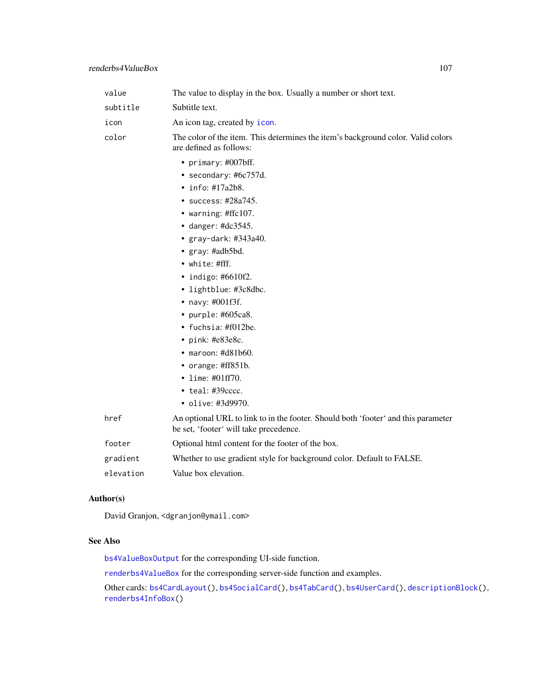| value    | The value to display in the box. Usually a number or short text.                                                                                                                                                                                                                                                                                                                                                                                                                                   |
|----------|----------------------------------------------------------------------------------------------------------------------------------------------------------------------------------------------------------------------------------------------------------------------------------------------------------------------------------------------------------------------------------------------------------------------------------------------------------------------------------------------------|
| subtitle | Subtitle text.                                                                                                                                                                                                                                                                                                                                                                                                                                                                                     |
| icon     | An icon tag, created by icon.                                                                                                                                                                                                                                                                                                                                                                                                                                                                      |
| color    | The color of the item. This determines the item's background color. Valid colors<br>are defined as follows:                                                                                                                                                                                                                                                                                                                                                                                        |
|          | • primary: #007bff.<br>• secondary: $#6c757d$ .<br>$\cdot$ info: #17a2b8.<br>• success: $\#28a745$ .<br>• warning: #ffc107.<br>$\bullet$ danger: #dc3545.<br>• $gray$ -dark: #343a40.<br>• gray: #adb5bd.<br>• white: #fff.<br>• indigo: $#6610f2$ .<br>• lightblue: #3c8dbc.<br>• navy: $\#001f3f$ .<br>• purple: $#605ca8$ .<br>• fuchsia: #f012be.<br>• pink: #e83e8c.<br>$\bullet$ maroon: #d81b60.<br>• orange: $\#ff851b$ .<br>• lime: $\#01ff70$ .<br>• teal: #39cccc.<br>• olive: #3d9970. |
| href     | An optional URL to link to in the footer. Should both 'footer' and this parameter<br>be set, 'footer' will take precedence.                                                                                                                                                                                                                                                                                                                                                                        |
| footer   | Optional html content for the footer of the box.                                                                                                                                                                                                                                                                                                                                                                                                                                                   |
| gradient | Whether to use gradient style for background color. Default to FALSE.                                                                                                                                                                                                                                                                                                                                                                                                                              |
|          |                                                                                                                                                                                                                                                                                                                                                                                                                                                                                                    |

## elevation Value box elevation.

## Author(s)

David Granjon, <dgranjon@ymail.com>

## See Also

[bs4ValueBoxOutput](#page-104-1) for the corresponding UI-side function.

[renderbs4ValueBox](#page-104-0) for the corresponding server-side function and examples.

Other cards: [bs4CardLayout\(](#page-14-1)), [bs4SocialCard\(](#page-55-0)), [bs4TabCard\(](#page-61-0)), [bs4UserCard\(](#page-69-0)), [descriptionBlock\(](#page-82-0)), [renderbs4InfoBox\(](#page-101-0))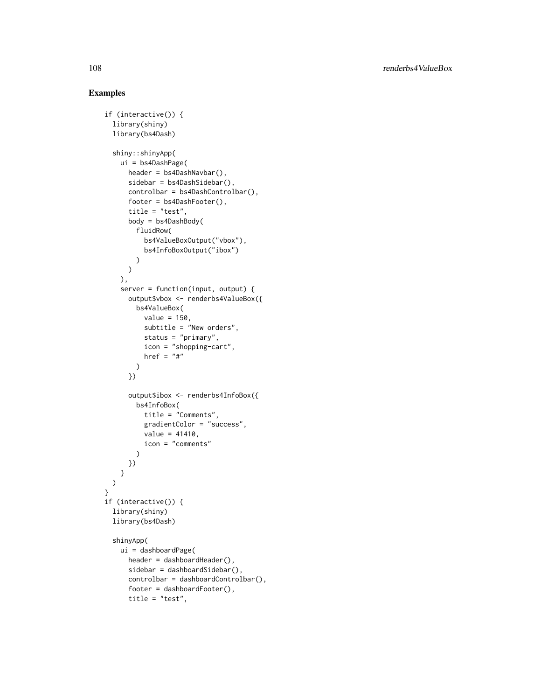```
if (interactive()) {
 library(shiny)
 library(bs4Dash)
 shiny::shinyApp(
   ui = bs4DashPage(
      header = bs4DashNavbar(),
      sidebar = bs4DashSidebar(),
      controlbar = bs4DashControlbar(),
      footer = bs4DashFooter(),
      title = "test",
      body = bs4DashBody(
       fluidRow(
          bs4ValueBoxOutput("vbox"),
          bs4InfoBoxOutput("ibox")
       )
      \mathcal{L}),
    server = function(input, output) {
      output$vbox <- renderbs4ValueBox({
       bs4ValueBox(
          value = 150.
          subtitle = "New orders",
          status = "primary",
          icon = "shopping-cart",
          href = "#")
      })
      output$ibox <- renderbs4InfoBox({
       bs4InfoBox(
          title = "Comments",
          gradientColor = "success",
          value = 41410,
          icon = "comments"
       )
     })
   }
 \lambda}
if (interactive()) {
 library(shiny)
 library(bs4Dash)
 shinyApp(
   ui = dashboardPage(
      header = dashboardHeader(),
      sidebar = dashboardSidebar(),
      controlbar = dashboardControlbar(),
      footer = dashboardFooter(),
      title = "test",
```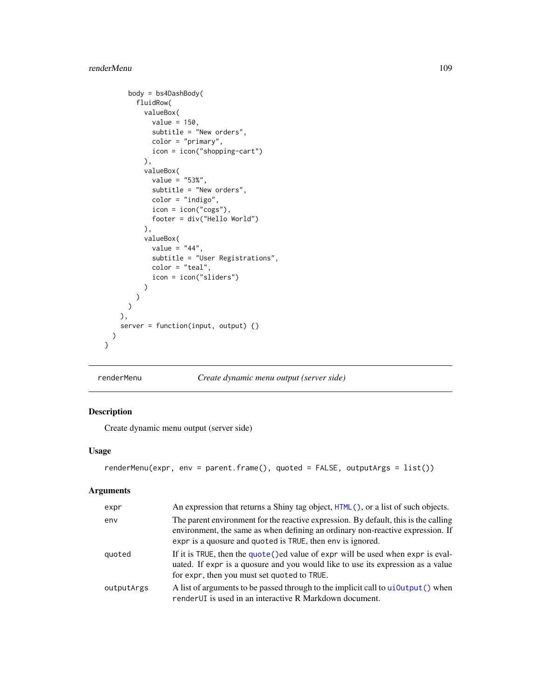```
body = bs4DashBody(
      fluidRow(
        valueBox(
         value = 150,
          subtitle = "New orders",
         color = "primary",
         icon = icon("shopping-cart")
        ),
        valueBox(
          value = "53%",
          subtitle = "New orders",
          color = "indigo",
          icon = icon("cogs"),
          footer = div("Hello World")),
        valueBox(
          value = "44",
          subtitle = "User Registrations",
          color = "teal",
          icon = icon("sliders")
        )
     )
   )
 ),
  server = function(input, output) {}
)
```
}

<span id="page-108-0"></span>renderMenu *Create dynamic menu output (server side)*

# Description

Create dynamic menu output (server side)

# Usage

```
renderMenu(expr, env = parent.frame(), quoted = FALSE, outputArgs = list())
```
# Arguments

| expr       | An expression that returns a Shiny tag object, $HTML()$ , or a list of such objects.                                                                                                                                                |
|------------|-------------------------------------------------------------------------------------------------------------------------------------------------------------------------------------------------------------------------------------|
| env        | The parent environment for the reactive expression. By default, this is the calling<br>environment, the same as when defining an ordinary non-reactive expression. If<br>expr is a quosure and quoted is TRUE, then env is ignored. |
| quoted     | If it is TRUE, then the quote () ed value of expr will be used when expr is eval-<br>uated. If expr is a quosure and you would like to use its expression as a value<br>for expr, then you must set quoted to TRUE.                 |
| outputArgs | A list of arguments to be passed through to the implicit call to ui0utput() when<br>render UI is used in an interactive R Markdown document.                                                                                        |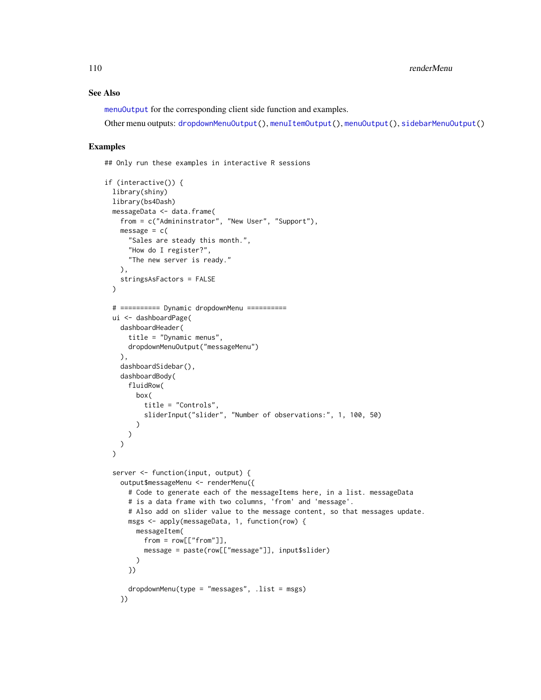# See Also

[menuOutput](#page-97-0) for the corresponding client side function and examples.

Other menu outputs: [dropdownMenuOutput\(](#page-93-0)), [menuItemOutput\(](#page-96-0)), [menuOutput\(](#page-97-0)), [sidebarMenuOutput\(](#page-110-0))

#### Examples

## Only run these examples in interactive R sessions

```
if (interactive()) {
 library(shiny)
 library(bs4Dash)
 messageData <- data.frame(
   from = c("Admininstrator", "New User", "Support"),
   message = c("Sales are steady this month.",
     "How do I register?",
     "The new server is ready."
   ),
   stringsAsFactors = FALSE
 )
 # ========== Dynamic dropdownMenu ==========
 ui <- dashboardPage(
   dashboardHeader(
     title = "Dynamic menus",
     dropdownMenuOutput("messageMenu")
   ),
    dashboardSidebar(),
   dashboardBody(
     fluidRow(
       box(
          title = "Controls",
          sliderInput("slider", "Number of observations:", 1, 100, 50)
        )
     )
   )
 \lambdaserver <- function(input, output) {
   output$messageMenu <- renderMenu({
     # Code to generate each of the messageItems here, in a list. messageData
     # is a data frame with two columns, 'from' and 'message'.
     # Also add on slider value to the message content, so that messages update.
     msgs <- apply(messageData, 1, function(row) {
       messageItem(
         from = row[["from"],
         message = paste(row[["message"]], input$slider)
       )
     })
     dropdownMenu(type = "messages", .list = msgs)
    })
```
<span id="page-109-0"></span>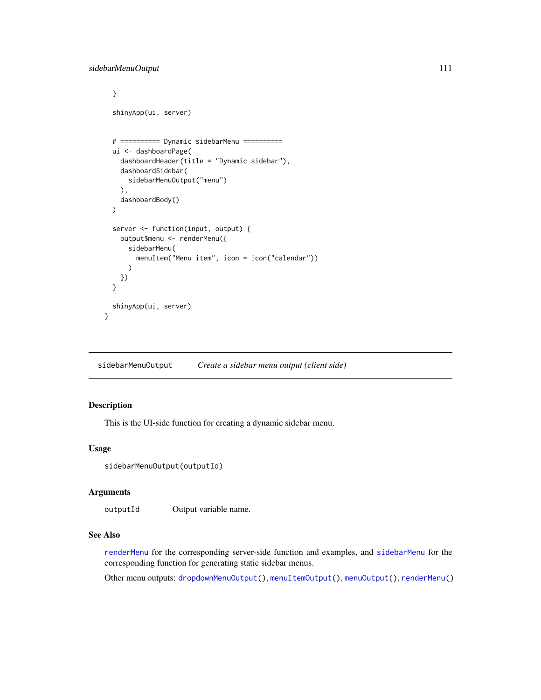```
}
 shinyApp(ui, server)
 # ========== Dynamic sidebarMenu ==========
 ui <- dashboardPage(
   dashboardHeader(title = "Dynamic sidebar"),
   dashboardSidebar(
     sidebarMenuOutput("menu")
   ),
    dashboardBody()
 )
 server <- function(input, output) {
   output$menu <- renderMenu({
     sidebarMenu(
       menuItem("Menu item", icon = icon("calendar"))
     )
   })
 }
 shinyApp(ui, server)
}
```
<span id="page-110-0"></span>sidebarMenuOutput *Create a sidebar menu output (client side)*

# Description

This is the UI-side function for creating a dynamic sidebar menu.

# Usage

```
sidebarMenuOutput(outputId)
```
### Arguments

outputId Output variable name.

### See Also

[renderMenu](#page-108-0) for the corresponding server-side function and examples, and [sidebarMenu](#page-30-0) for the corresponding function for generating static sidebar menus.

Other menu outputs: [dropdownMenuOutput\(](#page-93-0)), [menuItemOutput\(](#page-96-0)), [menuOutput\(](#page-97-0)), [renderMenu\(](#page-108-0))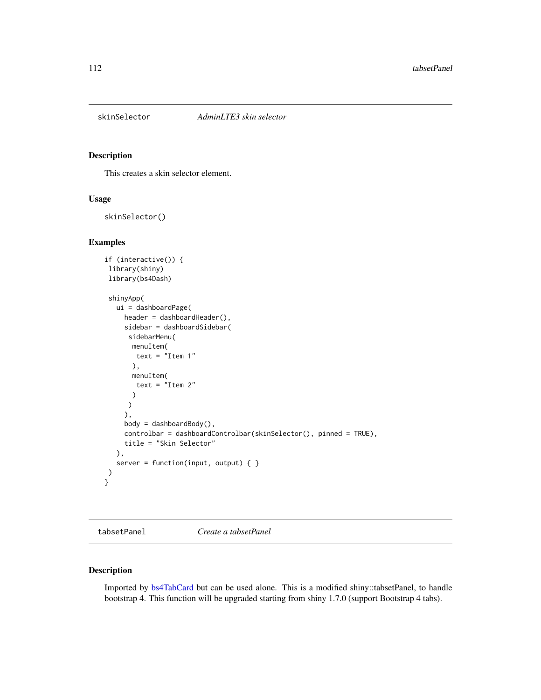<span id="page-111-0"></span>

# Description

This creates a skin selector element.

# Usage

skinSelector()

## Examples

```
if (interactive()) {
library(shiny)
library(bs4Dash)
shinyApp(
  ui = dashboardPage(
    header = dashboardHeader(),
     sidebar = dashboardSidebar(
     sidebarMenu(
      menuItem(
       text = "Item 1"
      ),
      menuItem(
       text = "Item 2"
      )
     \lambda),
     body = dashboardBody(),
     controlbar = dashboardControlbar(skinSelector(), pinned = TRUE),
     title = "Skin Selector"
  ),
  server = function(input, output) \{ \})
}
```
tabsetPanel *Create a tabsetPanel*

# Description

Imported by [bs4TabCard](#page-61-0) but can be used alone. This is a modified shiny::tabsetPanel, to handle bootstrap 4. This function will be upgraded starting from shiny 1.7.0 (support Bootstrap 4 tabs).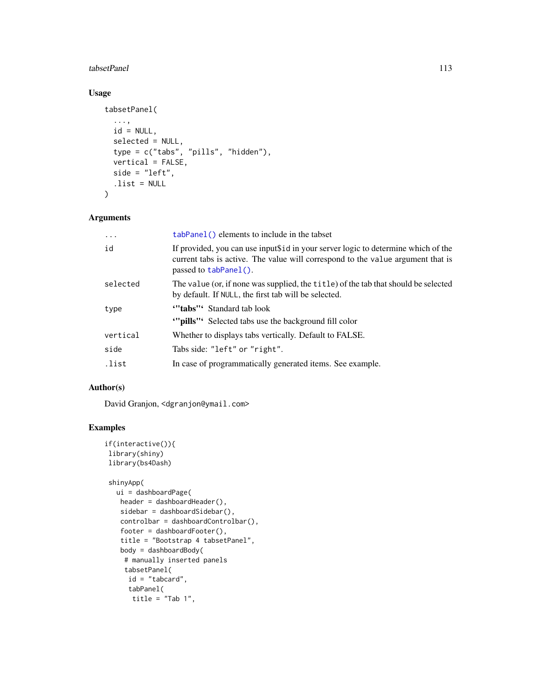## <span id="page-112-0"></span>tabsetPanel 113

# Usage

```
tabsetPanel(
  ...,
 id = NULL,selected = NULL,
 type = c("tabs", "pills", "hidden"),
 vertical = FALSE,
 side = "left",
  .list = NULL
\lambda
```
# Arguments

| $\cdots$ | tabPanel() elements to include in the tabset                                                                                                                                                  |
|----------|-----------------------------------------------------------------------------------------------------------------------------------------------------------------------------------------------|
| id       | If provided, you can use inputs id in your server logic to determine which of the<br>current tabs is active. The value will correspond to the value argument that is<br>passed to tabPanel(). |
| selected | The value (or, if none was supplied, the title) of the tab that should be selected<br>by default. If NULL, the first tab will be selected.                                                    |
| type     | "tabs" Standard tab look<br>""pills" Selected tabs use the background fill color                                                                                                              |
| vertical | Whether to displays tabs vertically. Default to FALSE.                                                                                                                                        |
| side     | Tabs side: "left" or "right".                                                                                                                                                                 |
| .list    | In case of programmatically generated items. See example.                                                                                                                                     |

# Author(s)

David Granjon, <dgranjon@ymail.com>

```
if(interactive()){
library(shiny)
library(bs4Dash)
shinyApp(
  ui = dashboardPage(
   header = dashboardHeader(),
   sidebar = dashboardSidebar(),
   controlbar = dashboardControlbar(),
   footer = dashboardFooter(),
   title = "Bootstrap 4 tabsetPanel",
   body = dashboardBody(
    # manually inserted panels
    tabsetPanel(
     id = "tabcard",
     tabPanel(
      title = "Tab 1",
```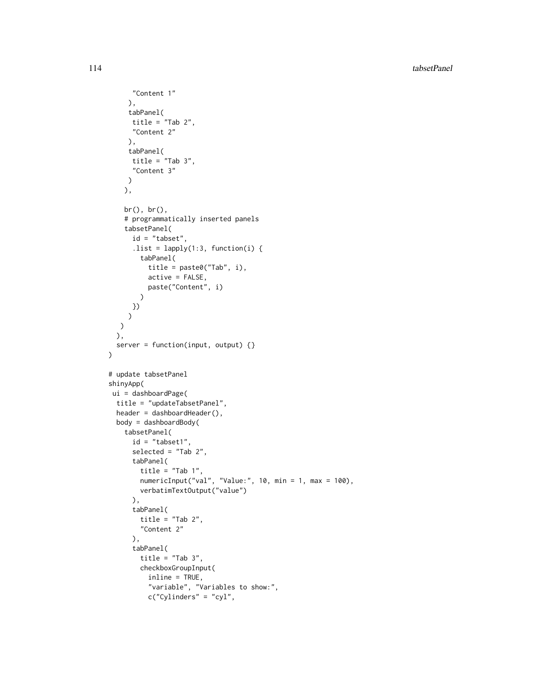```
"Content 1"
     ),
     tabPanel(
     title = "Tab 2","Content 2"
     ),
     tabPanel(
     title = "Tab 3",
     "Content 3"
    \lambda),
    br(), br(),
    # programmatically inserted panels
    tabsetPanel(
     id = "tabset",
     .list = lapply(1:3, function(i) {
       tabPanel(
         title = paste0("Tab", i),
          active = FALSE,
         paste("Content", i)
       \lambda})
    )
  \lambda),
  server = function(input, output) \{\})
# update tabsetPanel
shinyApp(
ui = dashboardPage(
 title = "updateTabsetPanel",
 header = dashboardHeader(),
  body = dashboardBody(
   tabsetPanel(
     id = "tabset1",selected = "Tab 2",
      tabPanel(
        title = "Tab 1",numericInput("val", "Value:", 10, min = 1, max = 100),
        verbatimTextOutput("value")
      ),
      tabPanel(
        title = "Tab 2","Content 2"
      ),
      tabPanel(
        title = "Tab 3",checkboxGroupInput(
         inline = TRUE,
          "variable", "Variables to show:",
          c("Cylinders" = "cyl",
```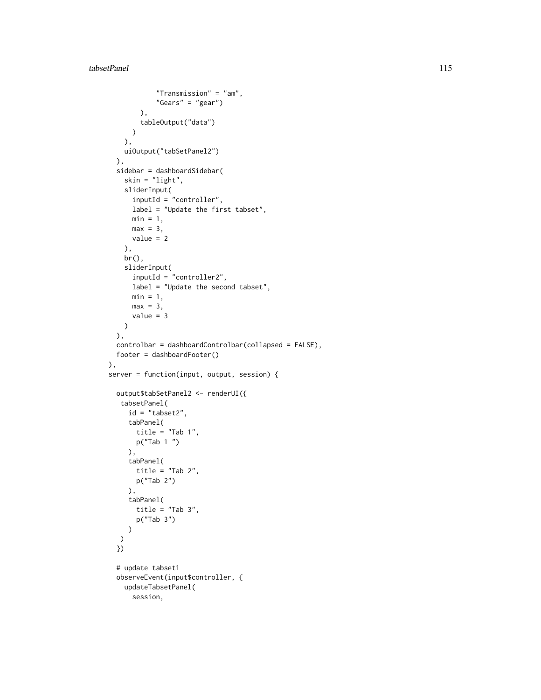```
"Transmission" = "am",
            "Gears" = "gear")
       ),
       tableOutput("data")
     \lambda),
   uiOutput("tabSetPanel2")
 ),
  sidebar = dashboardSidebar(
    skin = "light",
    sliderInput(
     inputId = "controller",
      label = "Update the first tabset",
     min = 1,
     max = 3,
     value = 2
   ),
   br(),
    sliderInput(
     inputId = "controller2",
     label = "Update the second tabset",
     min = 1,
     max = 3,
      value = 3
   )
 ),
  controlbar = dashboardControlbar(collapsed = FALSE),
 footer = dashboardFooter()
),
server = function(input, output, session) {
 output$tabSetPanel2 <- renderUI({
  tabsetPanel(
    id = "tabset2",
     tabPanel(
      title = "Tab 1",p("Tab 1 ")
     ),
     tabPanel(
      title = "Tab 2",p("Tab 2")
    ),
     tabPanel(
      title = "Tab 3",
      p("Tab 3")
    )
  )
  })
  # update tabset1
  observeEvent(input$controller, {
   updateTabsetPanel(
     session,
```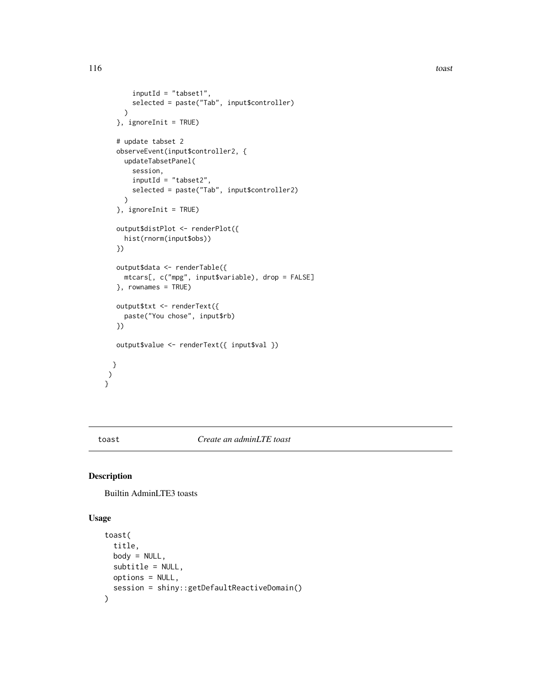```
inputId = "tabset1",
       selected = paste("Tab", input$controller)
    )
  }, ignoreInit = TRUE)
  # update tabset 2
  observeEvent(input$controller2, {
    updateTabsetPanel(
      session,
      inputId = "tabset2",
       selected = paste("Tab", input$controller2)
     \mathcal{L}}, ignoreInit = TRUE)
  output$distPlot <- renderPlot({
    hist(rnorm(input$obs))
  })
  output$data <- renderTable({
    mtcars[, c("mpg", input$variable), drop = FALSE]
  }, rownames = TRUE)
  output$txt <- renderText({
    paste("You chose", input$rb)
  })
  output$value <- renderText({ input$val })
 }
)
}
```
toast *Create an adminLTE toast*

# Description

Builtin AdminLTE3 toasts

#### Usage

```
toast(
  title,
  body = NULL,subtitle = NULL,
  options = NULL,
  session = shiny::getDefaultReactiveDomain()
\mathcal{L}
```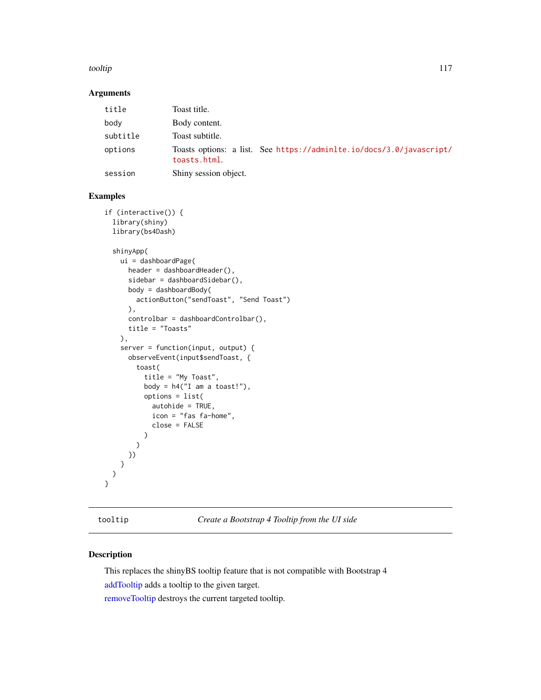#### <span id="page-116-2"></span>tooltip tool and the set of the set of the set of the set of the set of the set of the set of the set of the set of the set of the set of the set of the set of the set of the set of the set of the set of the set of the set

# Arguments

| title    | Toast title.                                                                         |
|----------|--------------------------------------------------------------------------------------|
| body     | Body content.                                                                        |
| subtitle | Toast subtitle.                                                                      |
| options  | Toasts options: a list. See https://adminlte.io/docs/3.0/javascript/<br>toasts.html. |
| session  | Shiny session object.                                                                |

# Examples

```
if (interactive()) {
 library(shiny)
 library(bs4Dash)
 shinyApp(
   ui = dashboardPage(
     header = dashboardHeader(),
     sidebar = dashboardSidebar(),
     body = dashboardBody(
       actionButton("sendToast", "Send Toast")
     ),
     controlbar = dashboardControlbar(),
     title = "Toasts"
   ),
    server = function(input, output) {
     observeEvent(input$sendToast, {
       toast(
          title = "My Toast",
         body = h4("I am a toast!"),options = list(
            autohide = TRUE,
            icon = "fas fa-home",
            close = FALSE
         )
       )
     })
   }
 )
}
```
<span id="page-116-1"></span>tooltip *Create a Bootstrap 4 Tooltip from the UI side*

# <span id="page-116-0"></span>Description

This replaces the shinyBS tooltip feature that is not compatible with Bootstrap 4 [addTooltip](#page-116-0) adds a tooltip to the given target. [removeTooltip](#page-116-0) destroys the current targeted tooltip.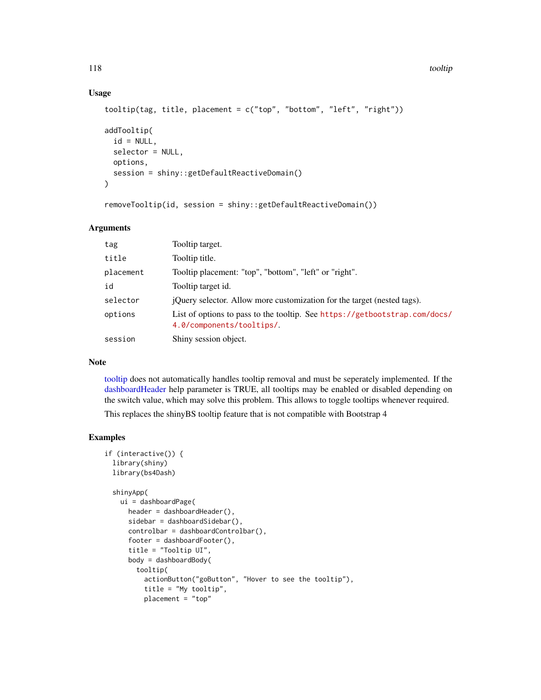# Usage

```
tooltip(tag, title, placement = c("top", "bottom", "left", "right"))
addTooltip(
  id = NULL,selector = NULL,
 options,
  session = shiny::getDefaultReactiveDomain()
\lambda
```

```
removeTooltip(id, session = shiny::getDefaultReactiveDomain())
```
# Arguments

| tag       | Tooltip target.                                                                                         |
|-----------|---------------------------------------------------------------------------------------------------------|
| title     | Tooltip title.                                                                                          |
| placement | Tooltip placement: "top", "bottom", "left" or "right".                                                  |
| id        | Tooltip target id.                                                                                      |
| selector  | <i>i</i> Query selector. Allow more customization for the target (nested tags).                         |
| options   | List of options to pass to the tooltip. See https://getbootstrap.com/docs/<br>4.0/components/tooltips/. |
| session   | Shiny session object.                                                                                   |

## Note

[tooltip](#page-116-1) does not automatically handles tooltip removal and must be seperately implemented. If the [dashboardHeader](#page-25-0) help parameter is TRUE, all tooltips may be enabled or disabled depending on the switch value, which may solve this problem. This allows to toggle tooltips whenever required.

This replaces the shinyBS tooltip feature that is not compatible with Bootstrap 4

```
if (interactive()) {
 library(shiny)
 library(bs4Dash)
 shinyApp(
   ui = dashboardPage(
     header = dashboardHeader(),
     sidebar = dashboardSidebar(),
     controlbar = dashboardControlbar(),
     footer = dashboardFooter(),
     title = "Tooltip UI",
     body = dashboardBody(
        tooltip(
          actionButton("goButton", "Hover to see the tooltip"),
         title = "My tooltip",
         placement = "top"
```
<span id="page-117-0"></span>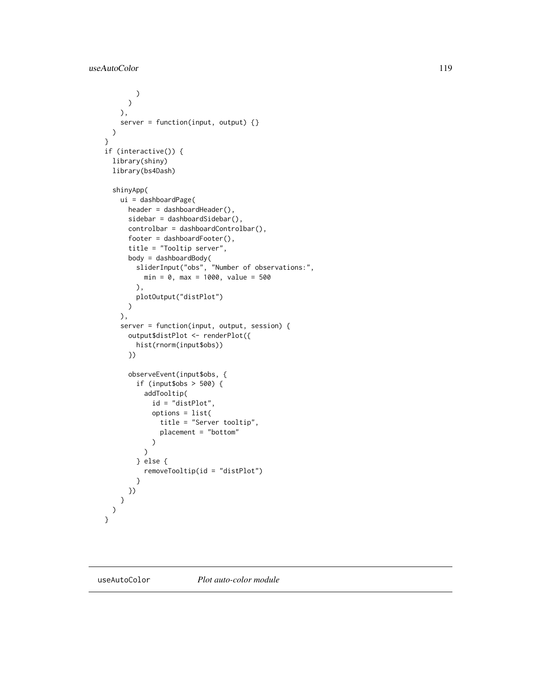```
)
     )
   ),
   server = function(input, output) \{\})
}
if (interactive()) {
  library(shiny)
  library(bs4Dash)
  shinyApp(
   ui = dashboardPage(
      header = dashboardHeader(),
      sidebar = dashboardSidebar(),
      controlbar = dashboardControlbar(),
      footer = dashboardFooter(),
      title = "Tooltip server",
      body = dashboardBody(
        sliderInput("obs", "Number of observations:",
          min = 0, max = 1000, value = 500
        ),
        plotOutput("distPlot")
      )
    ),
    server = function(input, output, session) {
      output$distPlot <- renderPlot({
       hist(rnorm(input$obs))
      })
      observeEvent(input$obs, {
        if (input$obs > 500) {
          addTooltip(
            id = "distPlot",
            options = list(
              title = "Server tooltip",
              placement = "bottom"
            \lambda\mathcal{L}} else {
          removeTooltip(id = "distPlot")
        }
     })
   }
 )
}
```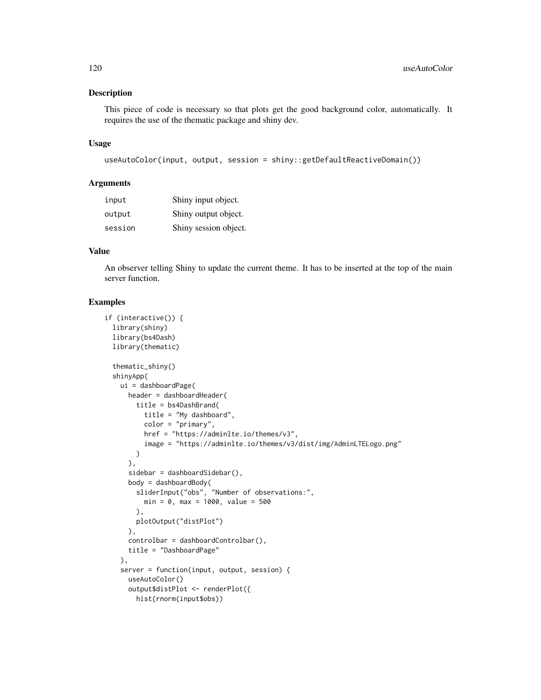#### Description

This piece of code is necessary so that plots get the good background color, automatically. It requires the use of the thematic package and shiny dev.

#### Usage

```
useAutoColor(input, output, session = shiny::getDefaultReactiveDomain())
```
#### Arguments

| input   | Shiny input object.   |
|---------|-----------------------|
| output  | Shiny output object.  |
| session | Shiny session object. |

# Value

An observer telling Shiny to update the current theme. It has to be inserted at the top of the main server function.

```
if (interactive()) {
 library(shiny)
 library(bs4Dash)
 library(thematic)
 thematic_shiny()
 shinyApp(
   ui = dashboardPage(
     header = dashboardHeader(
       title = bs4DashBrand(
         title = "My dashboard",
         color = "primary",
         href = "https://adminlte.io/themes/v3",
          image = "https://adminlte.io/themes/v3/dist/img/AdminLTELogo.png"
       )
     ),
     sidebar = dashboardSidebar(),
     body = dashboardBody(
        sliderInput("obs", "Number of observations:",
         min = 0, max = 1000, value = 500
       ),
       plotOutput("distPlot")
     ),
     controlbar = dashboardControlbar(),
     title = "DashboardPage"
   ),
    server = function(input, output, session) {
     useAutoColor()
     output$distPlot <- renderPlot({
       hist(rnorm(input$obs))
```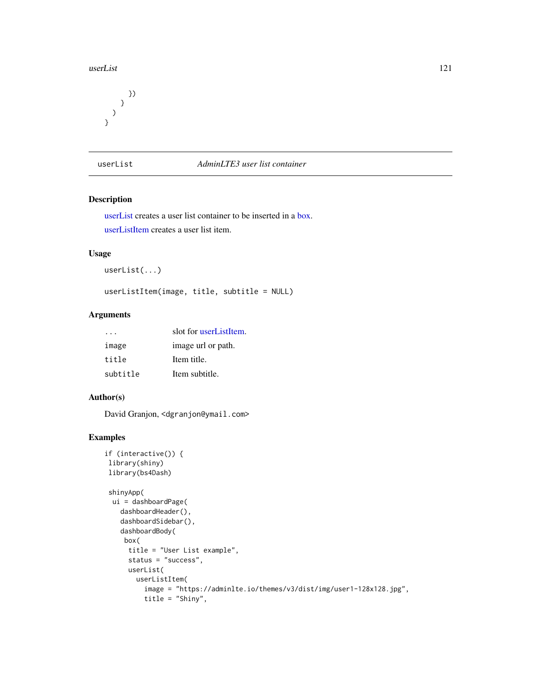#### <span id="page-120-2"></span>userList 121

} ) }

})

<span id="page-120-0"></span>userList *AdminLTE3 user list container*

# <span id="page-120-1"></span>Description

[userList](#page-120-0) creates a user list container to be inserted in a [box.](#page-82-0) [userListItem](#page-120-1) creates a user list item.

# Usage

userList(...)

userListItem(image, title, subtitle = NULL)

# Arguments

|          | slot for userListItem. |
|----------|------------------------|
| image    | image url or path.     |
| title    | Item title.            |
| subtitle | Item subtitle.         |

# Author(s)

David Granjon, <dgranjon@ymail.com>

```
if (interactive()) {
library(shiny)
library(bs4Dash)
shinyApp(
 ui = dashboardPage(
   dashboardHeader(),
   dashboardSidebar(),
   dashboardBody(
    box(
     title = "User List example",
     status = "success",
     userList(
       userListItem(
         image = "https://adminlte.io/themes/v3/dist/img/user1-128x128.jpg",
         title = "Shiny",
```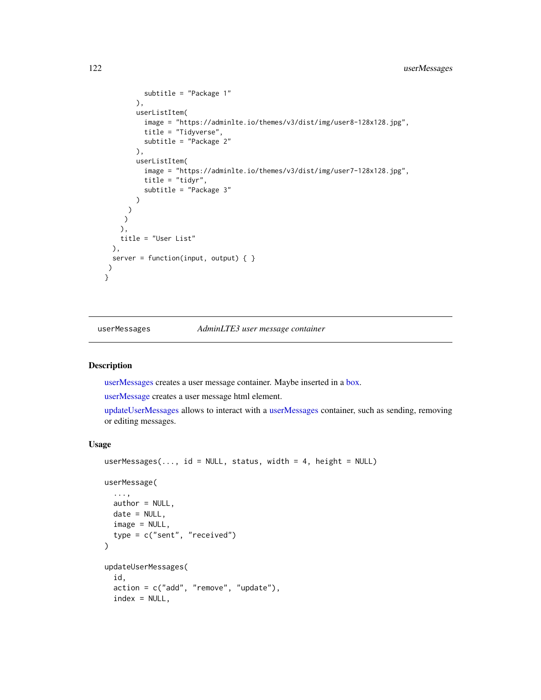```
subtitle = "Package 1"
       ),
        userListItem(
         image = "https://adminlte.io/themes/v3/dist/img/user8-128x128.jpg",
         title = "Tidyverse",
         subtitle = "Package 2"
       ),
        userListItem(
         image = "https://adminlte.io/themes/v3/dist/img/user7-128x128.jpg",
         title = "tidyr",
         subtitle = "Package 3"
       )
     )
    )
   ),
   title = "User List"
 ),
 server = function(input, output) { }
)
}
```
<span id="page-121-0"></span>userMessages *AdminLTE3 user message container*

# <span id="page-121-1"></span>Description

[userMessages](#page-121-0) creates a user message container. Maybe inserted in a [box.](#page-82-0)

[userMessage](#page-121-1) creates a user message html element.

[updateUserMessages](#page-121-1) allows to interact with a [userMessages](#page-121-0) container, such as sending, removing or editing messages.

#### Usage

```
userMessages(..., id = NULL, status, width = 4, height = NULL)
userMessage(
  ...,
 author = NULL,date = NULL,
  image = NULL,
  type = c("sent", "received")
\lambdaupdateUserMessages(
  id,
  action = c("add", "remove", "update"),
  index = NULL,
```
<span id="page-121-2"></span>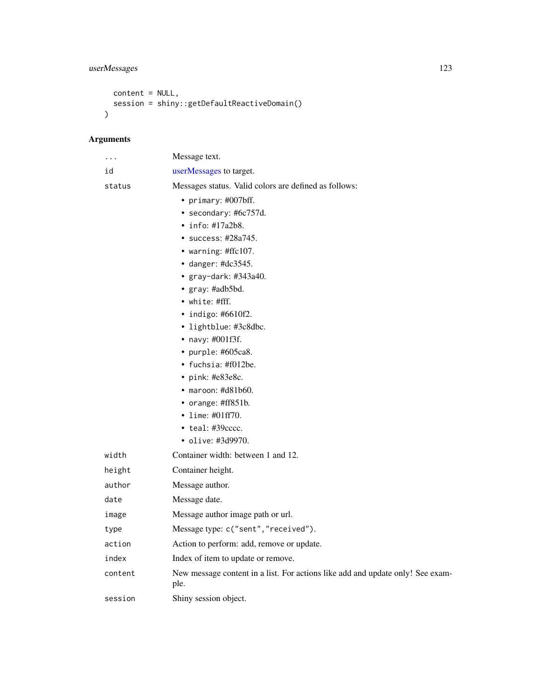# <span id="page-122-0"></span>userMessages 123

```
content = NULL,
 session = shiny::getDefaultReactiveDomain()
)
```
# Arguments

| .       | Message text.                                                                          |
|---------|----------------------------------------------------------------------------------------|
| id      | userMessages to target.                                                                |
| status  | Messages status. Valid colors are defined as follows:                                  |
|         | • primary: $\#007$ bff.                                                                |
|         | · secondary: #6c757d.                                                                  |
|         | $\cdot$ info: #17a2b8.                                                                 |
|         | • success: #28a745.                                                                    |
|         | • warning: #ffc107.                                                                    |
|         | $\bullet$ danger: #dc3545.                                                             |
|         | $\bullet$ gray-dark: #343a40.                                                          |
|         | • gray: #adb5bd.                                                                       |
|         | $\bullet$ white: #fff.                                                                 |
|         | $\cdot$ indigo: #6610f2.                                                               |
|         | • lightblue: #3c8dbc.                                                                  |
|         | • navy: #001f3f.                                                                       |
|         | • purple: #605ca8.                                                                     |
|         | • fuchsia: $\text{\#f012be}.$                                                          |
|         | • pink: #e83e8c.                                                                       |
|         | $\bullet$ maroon: #d81b60.<br>• orange: #ff851b.                                       |
|         | • lime: $\#01ff70$ .                                                                   |
|         | $\cdot$ teal: #39 $cccc.$                                                              |
|         | • olive: #3d9970.                                                                      |
| width   | Container width: between 1 and 12.                                                     |
| height  | Container height.                                                                      |
| author  | Message author.                                                                        |
| date    | Message date.                                                                          |
| image   | Message author image path or url.                                                      |
| type    | Message type: c("sent", "received").                                                   |
| action  | Action to perform: add, remove or update.                                              |
| index   | Index of item to update or remove.                                                     |
| content | New message content in a list. For actions like add and update only! See exam-<br>ple. |
| session | Shiny session object.                                                                  |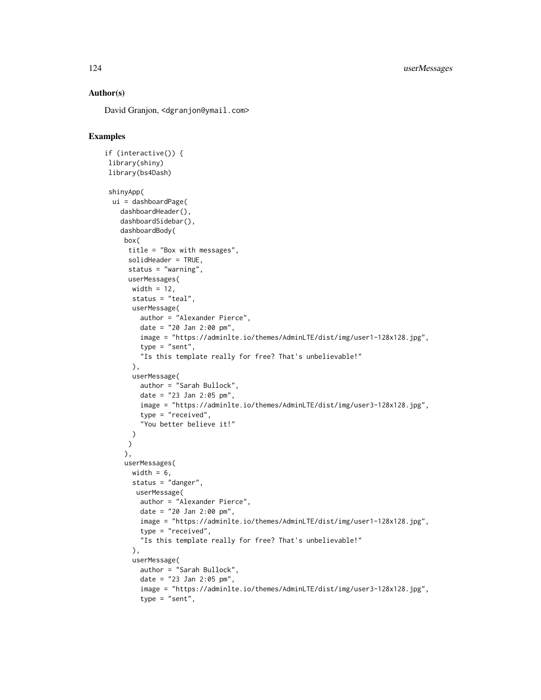# Author(s)

David Granjon, <dgranjon@ymail.com>

```
if (interactive()) {
library(shiny)
library(bs4Dash)
shinyApp(
 ui = dashboardPage(
   dashboardHeader(),
    dashboardSidebar(),
   dashboardBody(
    box(
     title = "Box with messages",
     solidHeader = TRUE,
     status = "warning",
     userMessages(
      width = 12,
      status = "teal",
      userMessage(
        author = "Alexander Pierce",
        date = "20 Jan 2:00 pm",
        image = "https://adminlte.io/themes/AdminLTE/dist/img/user1-128x128.jpg",
        type = "sent",
        "Is this template really for free? That's unbelievable!"
      ),
      userMessage(
        author = "Sarah Bullock",
        date = "23 Jan 2:05 pm",
        image = "https://adminlte.io/themes/AdminLTE/dist/img/user3-128x128.jpg",
         type = "received",
         "You better believe it!"
      )
     \lambda),
    userMessages(
      width = 6,
      status = "danger",
       userMessage(
        author = "Alexander Pierce",
        date = "20 Jan 2:00 pm",
        image = "https://adminlte.io/themes/AdminLTE/dist/img/user1-128x128.jpg",
        type = "received",
         "Is this template really for free? That's unbelievable!"
      ),
      userMessage(
        author = "Sarah Bullock",
        date = "23 Jan 2:05 pm",
        image = "https://adminlte.io/themes/AdminLTE/dist/img/user3-128x128.jpg",
         type = "sent",
```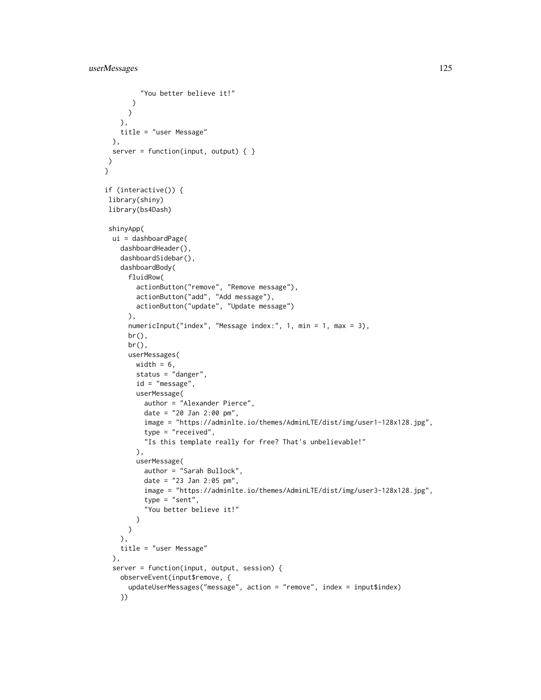```
"You better believe it!"
      )
     )
   ),
   title = "user Message"
 ),
 server = function(input, output) \{ \})
}
if (interactive()) {
library(shiny)
library(bs4Dash)
shinyApp(
 ui = dashboardPage(
    dashboardHeader(),
    dashboardSidebar(),
   dashboardBody(
      fluidRow(
        actionButton("remove", "Remove message"),
        actionButton("add", "Add message"),
       actionButton("update", "Update message")
      ),
      numericInput("index", "Message index:", 1, min = 1, max = 3),
      br(),
      br(),
      userMessages(
       width = 6,
       status = "danger",
       id = "message",
       userMessage(
         author = "Alexander Pierce",
         date = "20 Jan 2:00 pm",
         image = "https://adminlte.io/themes/AdminLTE/dist/img/user1-128x128.jpg",
          type = "received",
          "Is this template really for free? That's unbelievable!"
        ),
        userMessage(
          author = "Sarah Bullock",
          date = "23 Jan 2:05 pm",
         image = "https://adminlte.io/themes/AdminLTE/dist/img/user3-128x128.jpg",
         type = "sent",
          "You better believe it!"
       )
      \mathcal{L}),
   title = "user Message"
 ),
 server = function(input, output, session) {
   observeEvent(input$remove, {
      updateUserMessages("message", action = "remove", index = input$index)
    })
```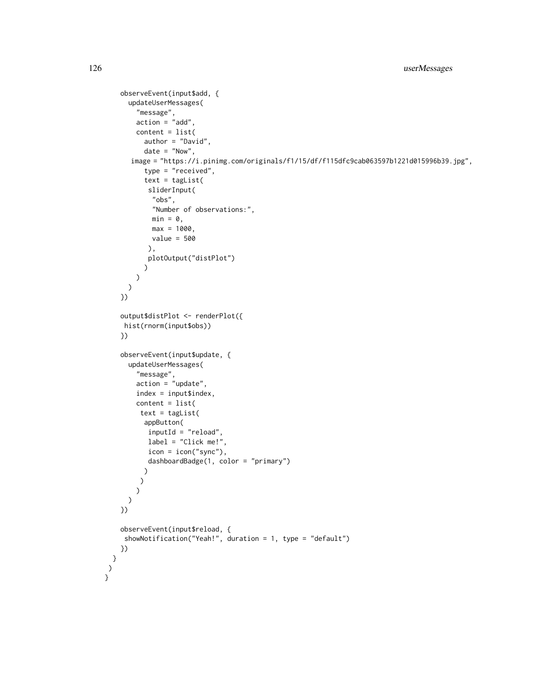```
observeEvent(input$add, {
      updateUserMessages(
        "message",
       action = "add",
       content = list(
          author = "David",
          date = "Now",image = "https://i.pinimg.com/originals/f1/15/df/f115dfc9cab063597b1221d015996b39.jpg",
          type = "received",
          text = tagList(sliderInput(
            "obs",
            "Number of observations:",
            min = 0,
           max = 1000,
           value = 500
           ),
          plotOutput("distPlot")
         )
       )
     )
    })
    output$distPlot <- renderPlot({
    hist(rnorm(input$obs))
    })
    observeEvent(input$update, {
      updateUserMessages(
        "message",
       action = "update",
       index = input$index,
       content = list(
        text = tagList(
         appButton(
          inputId = "reload",
          label = "Click me!",
          icon = icon("sync"),
           dashboardBadge(1, color = "primary")
          )
         )
       )
     )
    })
    observeEvent(input$reload, {
    showNotification("Yeah!", duration = 1, type = "default")
   })
 }
\lambda}
```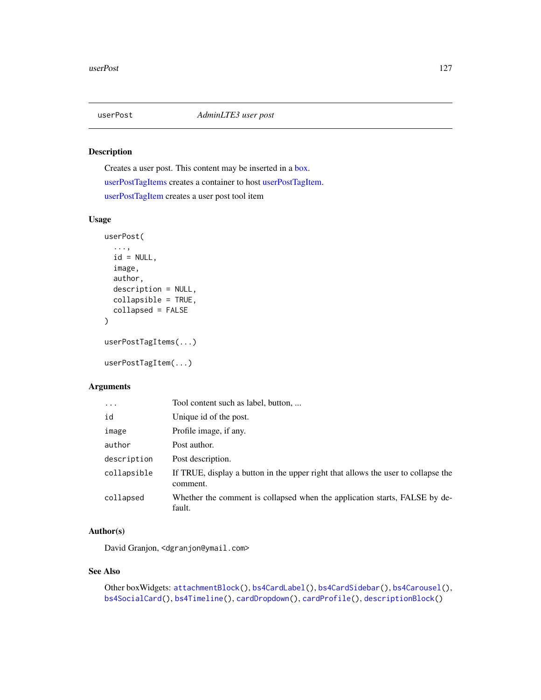<span id="page-126-2"></span><span id="page-126-1"></span>

# <span id="page-126-0"></span>Description

Creates a user post. This content may be inserted in a [box.](#page-82-0) [userPostTagItems](#page-126-0) creates a container to host [userPostTagItem.](#page-126-0) [userPostTagItem](#page-126-0) creates a user post tool item

# Usage

```
userPost(
  ...,
  id = NULL,image,
  author,
  description = NULL,
  collapsible = TRUE,
  collapsed = FALSE
\mathcal{L}userPostTagItems(...)
```
# userPostTagItem(...)

# Arguments

| $\ddots$    | Tool content such as label, button,                                                           |
|-------------|-----------------------------------------------------------------------------------------------|
| id          | Unique id of the post.                                                                        |
| image       | Profile image, if any.                                                                        |
| author      | Post author.                                                                                  |
| description | Post description.                                                                             |
| collapsible | If TRUE, display a button in the upper right that allows the user to collapse the<br>comment. |
| collapsed   | Whether the comment is collapsed when the application starts, FALSE by de-<br>fault.          |

#### Author(s)

David Granjon, <dgranjon@ymail.com>

#### See Also

```
Other boxWidgets: attachmentBlock(), bs4CardLabel(), bs4CardSidebar(), bs4Carousel(),
bs4SocialCard(), bs4Timeline(), cardDropdown(), cardProfile(), descriptionBlock()
```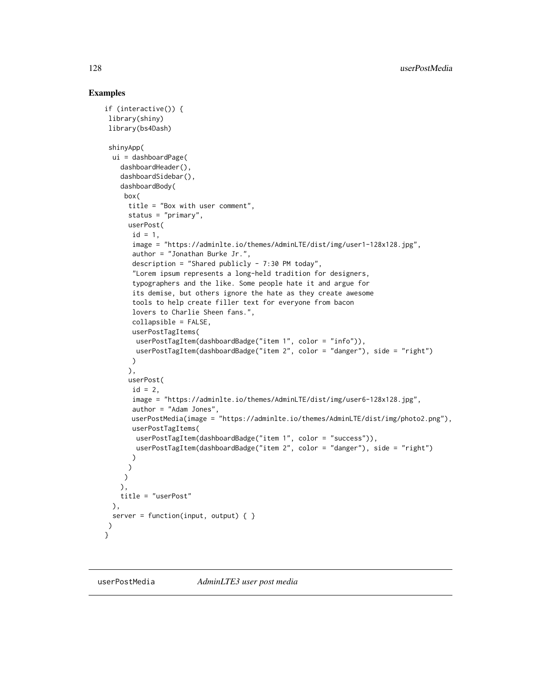```
if (interactive()) {
library(shiny)
library(bs4Dash)
shinyApp(
 ui = dashboardPage(
   dashboardHeader(),
    dashboardSidebar(),
    dashboardBody(
    box(
     title = "Box with user comment",
     status = "primary",
     userPost(
      id = 1,
       image = "https://adminlte.io/themes/AdminLTE/dist/img/user1-128x128.jpg",
       author = "Jonathan Burke Jr.",
       description = "Shared publicly - 7:30 PM today",
       "Lorem ipsum represents a long-held tradition for designers,
       typographers and the like. Some people hate it and argue for
       its demise, but others ignore the hate as they create awesome
       tools to help create filler text for everyone from bacon
       lovers to Charlie Sheen fans.",
       collapsible = FALSE,
       userPostTagItems(
       userPostTagItem(dashboardBadge("item 1", color = "info")),
       userPostTagItem(dashboardBadge("item 2", color = "danger"), side = "right")
       )
     ),
     userPost(
       id = 2,
       image = "https://adminlte.io/themes/AdminLTE/dist/img/user6-128x128.jpg",
       author = "Adam Jones",
       userPostMedia(image = "https://adminlte.io/themes/AdminLTE/dist/img/photo2.png"),
       userPostTagItems(
        userPostTagItem(dashboardBadge("item 1", color = "success")),
        userPostTagItem(dashboardBadge("item 2", color = "danger"), side = "right")
      )
     )
    )
   ),
   title = "userPost"
 ),
 server = function(input, output) { }
\lambda}
```
<span id="page-127-0"></span>

<span id="page-127-1"></span>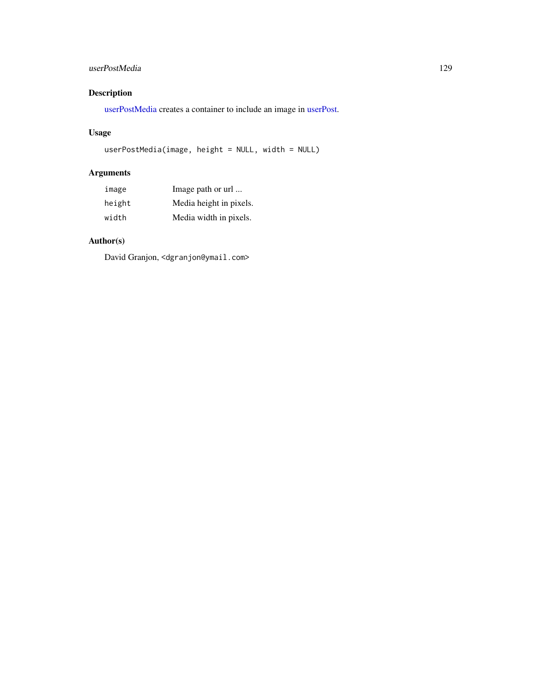# <span id="page-128-0"></span>userPostMedia 129

# Description

[userPostMedia](#page-127-0) creates a container to include an image in [userPost.](#page-126-1)

# Usage

userPostMedia(image, height = NULL, width = NULL)

# Arguments

| image  | Image path or url       |
|--------|-------------------------|
| height | Media height in pixels. |
| width  | Media width in pixels.  |

# Author(s)

David Granjon, <dgranjon@ymail.com>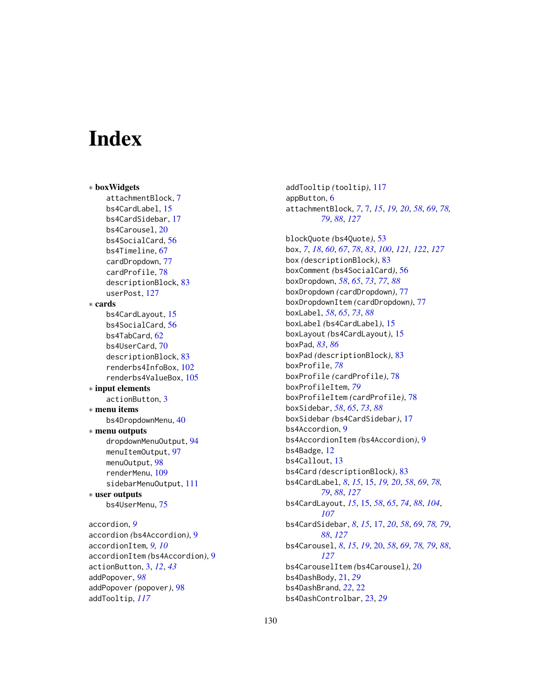# **Index**

∗ boxWidgets attachmentBlock, [7](#page-6-1) bs4CardLabel, [15](#page-14-1) bs4CardSidebar, [17](#page-16-1) bs4Carousel, [20](#page-19-1) bs4SocialCard, [56](#page-55-1) bs4Timeline, [67](#page-66-1) cardDropdown, [77](#page-76-1) cardProfile, [78](#page-77-1) descriptionBlock, [83](#page-82-2) userPost, [127](#page-126-2) ∗ cards bs4CardLayout, [15](#page-14-1) bs4SocialCard, [56](#page-55-1) bs4TabCard, [62](#page-61-1) bs4UserCard, [70](#page-69-0) descriptionBlock, [83](#page-82-2) renderbs4InfoBox, [102](#page-101-0) renderbs4ValueBox, [105](#page-104-0) ∗ input elements actionButton, [3](#page-2-0) ∗ menu items bs4DropdownMenu, [40](#page-39-0) ∗ menu outputs dropdownMenuOutput, [94](#page-93-1) menuItemOutput, [97](#page-96-1) menuOutput, [98](#page-97-1) renderMenu, [109](#page-108-1) sidebarMenuOutput, [111](#page-110-1) ∗ user outputs bs4UserMenu, [75](#page-74-0) accordion, *[9](#page-8-0)* accordion *(*bs4Accordion*)*, [9](#page-8-0) accordionItem, *[9,](#page-8-0) [10](#page-9-0)* accordionItem *(*bs4Accordion*)*, [9](#page-8-0) actionButton, [3,](#page-2-0) *[12](#page-11-0)*, *[43](#page-42-0)* addPopover, *[98](#page-97-1)* addPopover *(*popover*)*, [98](#page-97-1)

addTooltip, *[117](#page-116-2)*

addTooltip *(*tooltip*)*, [117](#page-116-2) appButton, [6](#page-5-0) attachmentBlock, *[7](#page-6-1)*, [7,](#page-6-1) *[15](#page-14-1)*, *[19,](#page-18-0) [20](#page-19-1)*, *[58](#page-57-0)*, *[69](#page-68-0)*, *[78,](#page-77-1) [79](#page-78-0)*, *[88](#page-87-0)*, *[127](#page-126-2)*

blockQuote *(*bs4Quote*)*, [53](#page-52-0) box, *[7](#page-6-1)*, *[18](#page-17-0)*, *[60](#page-59-0)*, *[67](#page-66-1)*, *[78](#page-77-1)*, *[83](#page-82-2)*, *[100](#page-99-0)*, *[121,](#page-120-2) [122](#page-121-2)*, *[127](#page-126-2)* box *(*descriptionBlock*)*, [83](#page-82-2) boxComment *(*bs4SocialCard*)*, [56](#page-55-1) boxDropdown, *[58](#page-57-0)*, *[65](#page-64-0)*, *[73](#page-72-0)*, *[77](#page-76-1)*, *[88](#page-87-0)* boxDropdown *(*cardDropdown*)*, [77](#page-76-1) boxDropdownItem *(*cardDropdown*)*, [77](#page-76-1) boxLabel, *[58](#page-57-0)*, *[65](#page-64-0)*, *[73](#page-72-0)*, *[88](#page-87-0)* boxLabel *(*bs4CardLabel*)*, [15](#page-14-1) boxLayout *(*bs4CardLayout*)*, [15](#page-14-1) boxPad, *[83](#page-82-2)*, *[86](#page-85-0)* boxPad *(*descriptionBlock*)*, [83](#page-82-2) boxProfile, *[78](#page-77-1)* boxProfile *(*cardProfile*)*, [78](#page-77-1) boxProfileItem, *[79](#page-78-0)* boxProfileItem *(*cardProfile*)*, [78](#page-77-1) boxSidebar, *[58](#page-57-0)*, *[65](#page-64-0)*, *[73](#page-72-0)*, *[88](#page-87-0)* boxSidebar *(*bs4CardSidebar*)*, [17](#page-16-1) bs4Accordion, [9](#page-8-0) bs4AccordionItem *(*bs4Accordion*)*, [9](#page-8-0) bs4Badge, [12](#page-11-0) bs4Callout, [13](#page-12-0) bs4Card *(*descriptionBlock*)*, [83](#page-82-2) bs4CardLabel, *[8](#page-7-0)*, *[15](#page-14-1)*, [15,](#page-14-1) *[19,](#page-18-0) [20](#page-19-1)*, *[58](#page-57-0)*, *[69](#page-68-0)*, *[78,](#page-77-1) [79](#page-78-0)*, *[88](#page-87-0)*, *[127](#page-126-2)* bs4CardLayout, *[15](#page-14-1)*, [15,](#page-14-1) *[58](#page-57-0)*, *[65](#page-64-0)*, *[74](#page-73-0)*, *[88](#page-87-0)*, *[104](#page-103-0)*, *[107](#page-106-0)* bs4CardSidebar, *[8](#page-7-0)*, *[15](#page-14-1)*, [17,](#page-16-1) *[20](#page-19-1)*, *[58](#page-57-0)*, *[69](#page-68-0)*, *[78,](#page-77-1) [79](#page-78-0)*, *[88](#page-87-0)*, *[127](#page-126-2)* bs4Carousel, *[8](#page-7-0)*, *[15](#page-14-1)*, *[19](#page-18-0)*, [20,](#page-19-1) *[58](#page-57-0)*, *[69](#page-68-0)*, *[78,](#page-77-1) [79](#page-78-0)*, *[88](#page-87-0)*, *[127](#page-126-2)* bs4CarouselItem *(*bs4Carousel*)*, [20](#page-19-1) bs4DashBody, [21,](#page-20-0) *[29](#page-28-0)* bs4DashBrand, *[22](#page-21-0)*, [22](#page-21-0) bs4DashControlbar, [23,](#page-22-0) *[29](#page-28-0)*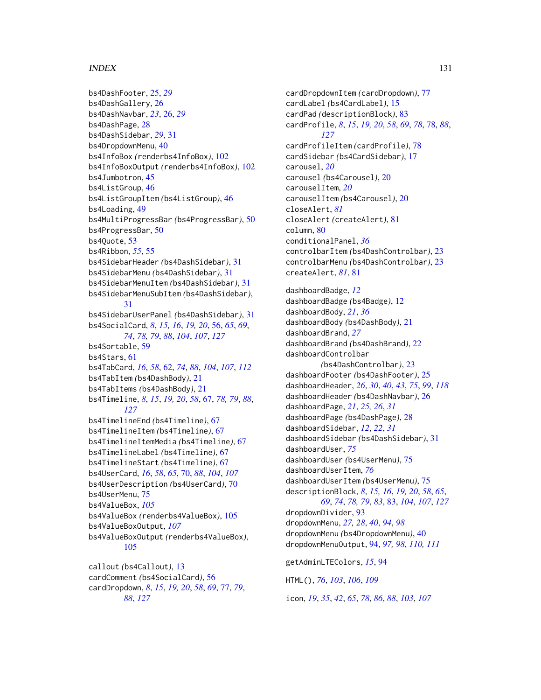### $I<sub>31</sub>$  is a set of  $I<sub>31</sub>$  is a set of  $I<sub>31</sub>$  is a set of  $I<sub>31</sub>$  is a set of  $I<sub>31</sub>$  is a set of  $I<sub>31</sub>$  is a set of  $I<sub>31</sub>$  is a set of  $I<sub>31</sub>$  is a set of  $I<sub>31</sub>$  is a set of  $I$

bs4DashFooter, [25,](#page-24-0) *[29](#page-28-0)* bs4DashGallery, [26](#page-25-1) bs4DashNavbar, *[23](#page-22-0)*, [26,](#page-25-1) *[29](#page-28-0)* bs4DashPage, [28](#page-27-0) bs4DashSidebar, *[29](#page-28-0)*, [31](#page-30-1) bs4DropdownMenu, [40](#page-39-0) bs4InfoBox *(*renderbs4InfoBox*)*, [102](#page-101-0) bs4InfoBoxOutput *(*renderbs4InfoBox*)*, [102](#page-101-0) bs4Jumbotron, [45](#page-44-0) bs4ListGroup, [46](#page-45-0) bs4ListGroupItem *(*bs4ListGroup*)*, [46](#page-45-0) bs4Loading, [49](#page-48-0) bs4MultiProgressBar *(*bs4ProgressBar*)*, [50](#page-49-0) bs4ProgressBar, [50](#page-49-0) bs4Quote, [53](#page-52-0) bs4Ribbon, *[55](#page-54-0)*, [55](#page-54-0) bs4SidebarHeader *(*bs4DashSidebar*)*, [31](#page-30-1) bs4SidebarMenu *(*bs4DashSidebar*)*, [31](#page-30-1) bs4SidebarMenuItem *(*bs4DashSidebar*)*, [31](#page-30-1) bs4SidebarMenuSubItem *(*bs4DashSidebar*)*, [31](#page-30-1) bs4SidebarUserPanel *(*bs4DashSidebar*)*, [31](#page-30-1) bs4SocialCard, *[8](#page-7-0)*, *[15,](#page-14-1) [16](#page-15-0)*, *[19,](#page-18-0) [20](#page-19-1)*, [56,](#page-55-1) *[65](#page-64-0)*, *[69](#page-68-0)*, *[74](#page-73-0)*, *[78,](#page-77-1) [79](#page-78-0)*, *[88](#page-87-0)*, *[104](#page-103-0)*, *[107](#page-106-0)*, *[127](#page-126-2)* bs4Sortable, [59](#page-58-0) bs4Stars, [61](#page-60-0) bs4TabCard, *[16](#page-15-0)*, *[58](#page-57-0)*, [62,](#page-61-1) *[74](#page-73-0)*, *[88](#page-87-0)*, *[104](#page-103-0)*, *[107](#page-106-0)*, *[112](#page-111-0)* bs4TabItem *(*bs4DashBody*)*, [21](#page-20-0) bs4TabItems *(*bs4DashBody*)*, [21](#page-20-0) bs4Timeline, *[8](#page-7-0)*, *[15](#page-14-1)*, *[19,](#page-18-0) [20](#page-19-1)*, *[58](#page-57-0)*, [67,](#page-66-1) *[78,](#page-77-1) [79](#page-78-0)*, *[88](#page-87-0)*, *[127](#page-126-2)* bs4TimelineEnd *(*bs4Timeline*)*, [67](#page-66-1) bs4TimelineItem *(*bs4Timeline*)*, [67](#page-66-1) bs4TimelineItemMedia *(*bs4Timeline*)*, [67](#page-66-1) bs4TimelineLabel *(*bs4Timeline*)*, [67](#page-66-1) bs4TimelineStart *(*bs4Timeline*)*, [67](#page-66-1) bs4UserCard, *[16](#page-15-0)*, *[58](#page-57-0)*, *[65](#page-64-0)*, [70,](#page-69-0) *[88](#page-87-0)*, *[104](#page-103-0)*, *[107](#page-106-0)* bs4UserDescription *(*bs4UserCard*)*, [70](#page-69-0) bs4UserMenu, [75](#page-74-0) bs4ValueBox, *[105](#page-104-0)* bs4ValueBox *(*renderbs4ValueBox*)*, [105](#page-104-0) bs4ValueBoxOutput, *[107](#page-106-0)* bs4ValueBoxOutput *(*renderbs4ValueBox*)*, [105](#page-104-0) callout *(*bs4Callout*)*, [13](#page-12-0) cardComment *(*bs4SocialCard*)*, [56](#page-55-1)

cardDropdown, *[8](#page-7-0)*, *[15](#page-14-1)*, *[19,](#page-18-0) [20](#page-19-1)*, *[58](#page-57-0)*, *[69](#page-68-0)*, [77,](#page-76-1) *[79](#page-78-0)*, *[88](#page-87-0)*, *[127](#page-126-2)*

cardDropdownItem *(*cardDropdown*)*, [77](#page-76-1) cardLabel *(*bs4CardLabel*)*, [15](#page-14-1) cardPad *(*descriptionBlock*)*, [83](#page-82-2) cardProfile, *[8](#page-7-0)*, *[15](#page-14-1)*, *[19,](#page-18-0) [20](#page-19-1)*, *[58](#page-57-0)*, *[69](#page-68-0)*, *[78](#page-77-1)*, [78,](#page-77-1) *[88](#page-87-0)*, *[127](#page-126-2)* cardProfileItem *(*cardProfile*)*, [78](#page-77-1) cardSidebar *(*bs4CardSidebar*)*, [17](#page-16-1) carousel, *[20](#page-19-1)* carousel *(*bs4Carousel*)*, [20](#page-19-1) carouselItem, *[20](#page-19-1)* carouselItem *(*bs4Carousel*)*, [20](#page-19-1) closeAlert, *[81](#page-80-0)* closeAlert *(*createAlert*)*, [81](#page-80-0) column, [80](#page-79-0) conditionalPanel, *[36](#page-35-0)* controlbarItem *(*bs4DashControlbar*)*, [23](#page-22-0) controlbarMenu *(*bs4DashControlbar*)*, [23](#page-22-0) createAlert, *[81](#page-80-0)*, [81](#page-80-0) dashboardBadge, *[12](#page-11-0)* dashboardBadge *(*bs4Badge*)*, [12](#page-11-0) dashboardBody, *[21](#page-20-0)*, *[36](#page-35-0)* dashboardBody *(*bs4DashBody*)*, [21](#page-20-0) dashboardBrand, *[27](#page-26-0)* dashboardBrand *(*bs4DashBrand*)*, [22](#page-21-0) dashboardControlbar *(*bs4DashControlbar*)*, [23](#page-22-0) dashboardFooter *(*bs4DashFooter*)*, [25](#page-24-0) dashboardHeader, *[26](#page-25-1)*, *[30](#page-29-0)*, *[40](#page-39-0)*, *[43](#page-42-0)*, *[75](#page-74-0)*, *[99](#page-98-0)*, *[118](#page-117-0)* dashboardHeader *(*bs4DashNavbar*)*, [26](#page-25-1) dashboardPage, *[21](#page-20-0)*, *[25,](#page-24-0) [26](#page-25-1)*, *[31](#page-30-1)* dashboardPage *(*bs4DashPage*)*, [28](#page-27-0) dashboardSidebar, *[12](#page-11-0)*, *[22](#page-21-0)*, *[31](#page-30-1)* dashboardSidebar *(*bs4DashSidebar*)*, [31](#page-30-1) dashboardUser, *[75](#page-74-0)* dashboardUser *(*bs4UserMenu*)*, [75](#page-74-0) dashboardUserItem, *[76](#page-75-0)* dashboardUserItem *(*bs4UserMenu*)*, [75](#page-74-0) descriptionBlock, *[8](#page-7-0)*, *[15,](#page-14-1) [16](#page-15-0)*, *[19,](#page-18-0) [20](#page-19-1)*, *[58](#page-57-0)*, *[65](#page-64-0)*, *[69](#page-68-0)*, *[74](#page-73-0)*, *[78,](#page-77-1) [79](#page-78-0)*, *[83](#page-82-2)*, [83,](#page-82-2) *[104](#page-103-0)*, *[107](#page-106-0)*, *[127](#page-126-2)* dropdownDivider, [93](#page-92-0)

dropdownMenu, *[27,](#page-26-0) [28](#page-27-0)*, *[40](#page-39-0)*, *[94](#page-93-1)*, *[98](#page-97-1)* dropdownMenu *(*bs4DropdownMenu*)*, [40](#page-39-0) dropdownMenuOutput, [94,](#page-93-1) *[97,](#page-96-1) [98](#page-97-1)*, *[110,](#page-109-0) [111](#page-110-1)* getAdminLTEColors, *[15](#page-14-1)*, [94](#page-93-1)

HTML(), *[76](#page-75-0)*, *[103](#page-102-0)*, *[106](#page-105-0)*, *[109](#page-108-1)*

```
icon, 19, 35, 42, 65, 78, 86, 88, 103, 107
```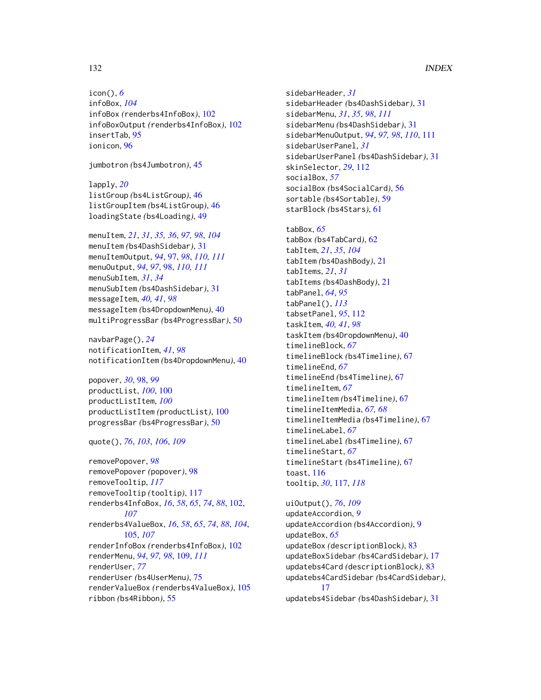# 132 INDEX

icon(), *[6](#page-5-0)* infoBox, *[104](#page-103-0)* infoBox *(*renderbs4InfoBox*)*, [102](#page-101-0) infoBoxOutput *(*renderbs4InfoBox*)*, [102](#page-101-0) insertTab, [95](#page-94-0) ionicon, [96](#page-95-0)

jumbotron *(*bs4Jumbotron*)*, [45](#page-44-0)

lapply, *[20](#page-19-1)* listGroup *(*bs4ListGroup*)*, [46](#page-45-0) listGroupItem *(*bs4ListGroup*)*, [46](#page-45-0) loadingState *(*bs4Loading*)*, [49](#page-48-0)

menuItem, *[21](#page-20-0)*, *[31](#page-30-1)*, *[35,](#page-34-0) [36](#page-35-0)*, *[97,](#page-96-1) [98](#page-97-1)*, *[104](#page-103-0)* menuItem *(*bs4DashSidebar*)*, [31](#page-30-1) menuItemOutput, *[94](#page-93-1)*, [97,](#page-96-1) *[98](#page-97-1)*, *[110,](#page-109-0) [111](#page-110-1)* menuOutput, *[94](#page-93-1)*, *[97](#page-96-1)*, [98,](#page-97-1) *[110,](#page-109-0) [111](#page-110-1)* menuSubItem, *[31](#page-30-1)*, *[34](#page-33-0)* menuSubItem *(*bs4DashSidebar*)*, [31](#page-30-1) messageItem, *[40,](#page-39-0) [41](#page-40-0)*, *[98](#page-97-1)* messageItem *(*bs4DropdownMenu*)*, [40](#page-39-0) multiProgressBar *(*bs4ProgressBar*)*, [50](#page-49-0)

navbarPage(), *[24](#page-23-0)* notificationItem, *[41](#page-40-0)*, *[98](#page-97-1)* notificationItem *(*bs4DropdownMenu*)*, [40](#page-39-0)

popover, *[30](#page-29-0)*, [98,](#page-97-1) *[99](#page-98-0)* productList, *[100](#page-99-0)*, [100](#page-99-0) productListItem, *[100](#page-99-0)* productListItem *(*productList*)*, [100](#page-99-0) progressBar *(*bs4ProgressBar*)*, [50](#page-49-0)

quote(), *[76](#page-75-0)*, *[103](#page-102-0)*, *[106](#page-105-0)*, *[109](#page-108-1)*

removePopover, *[98](#page-97-1)* removePopover *(*popover*)*, [98](#page-97-1) removeTooltip, *[117](#page-116-2)* removeTooltip *(*tooltip*)*, [117](#page-116-2) renderbs4InfoBox, *[16](#page-15-0)*, *[58](#page-57-0)*, *[65](#page-64-0)*, *[74](#page-73-0)*, *[88](#page-87-0)*, [102,](#page-101-0) *[107](#page-106-0)* renderbs4ValueBox, *[16](#page-15-0)*, *[58](#page-57-0)*, *[65](#page-64-0)*, *[74](#page-73-0)*, *[88](#page-87-0)*, *[104](#page-103-0)*, [105,](#page-104-0) *[107](#page-106-0)* renderInfoBox *(*renderbs4InfoBox*)*, [102](#page-101-0) renderMenu, *[94](#page-93-1)*, *[97,](#page-96-1) [98](#page-97-1)*, [109,](#page-108-1) *[111](#page-110-1)* renderUser, *[77](#page-76-1)* renderUser *(*bs4UserMenu*)*, [75](#page-74-0) renderValueBox *(*renderbs4ValueBox*)*, [105](#page-104-0) ribbon *(*bs4Ribbon*)*, [55](#page-54-0)

sidebarHeader, *[31](#page-30-1)* sidebarHeader *(*bs4DashSidebar*)*, [31](#page-30-1) sidebarMenu, *[31](#page-30-1)*, *[35](#page-34-0)*, *[98](#page-97-1)*, *[111](#page-110-1)* sidebarMenu *(*bs4DashSidebar*)*, [31](#page-30-1) sidebarMenuOutput, *[94](#page-93-1)*, *[97,](#page-96-1) [98](#page-97-1)*, *[110](#page-109-0)*, [111](#page-110-1) sidebarUserPanel, *[31](#page-30-1)* sidebarUserPanel *(*bs4DashSidebar*)*, [31](#page-30-1) skinSelector, *[29](#page-28-0)*, [112](#page-111-0) socialBox, *[57](#page-56-0)* socialBox *(*bs4SocialCard*)*, [56](#page-55-1) sortable *(*bs4Sortable*)*, [59](#page-58-0) starBlock *(*bs4Stars*)*, [61](#page-60-0)

tabBox, *[65](#page-64-0)* tabBox *(*bs4TabCard*)*, [62](#page-61-1) tabItem, *[21](#page-20-0)*, *[35](#page-34-0)*, *[104](#page-103-0)* tabItem *(*bs4DashBody*)*, [21](#page-20-0) tabItems, *[21](#page-20-0)*, *[31](#page-30-1)* tabItems *(*bs4DashBody*)*, [21](#page-20-0) tabPanel, *[64](#page-63-0)*, *[95](#page-94-0)* tabPanel(), *[113](#page-112-0)* tabsetPanel, *[95](#page-94-0)*, [112](#page-111-0) taskItem, *[40,](#page-39-0) [41](#page-40-0)*, *[98](#page-97-1)* taskItem *(*bs4DropdownMenu*)*, [40](#page-39-0) timelineBlock, *[67](#page-66-1)* timelineBlock *(*bs4Timeline*)*, [67](#page-66-1) timelineEnd, *[67](#page-66-1)* timelineEnd *(*bs4Timeline*)*, [67](#page-66-1) timelineItem, *[67](#page-66-1)* timelineItem *(*bs4Timeline*)*, [67](#page-66-1) timelineItemMedia, *[67,](#page-66-1) [68](#page-67-0)* timelineItemMedia *(*bs4Timeline*)*, [67](#page-66-1) timelineLabel, *[67](#page-66-1)* timelineLabel *(*bs4Timeline*)*, [67](#page-66-1) timelineStart, *[67](#page-66-1)* timelineStart *(*bs4Timeline*)*, [67](#page-66-1) toast, [116](#page-115-0) tooltip, *[30](#page-29-0)*, [117,](#page-116-2) *[118](#page-117-0)*

uiOutput(), *[76](#page-75-0)*, *[109](#page-108-1)* updateAccordion, *[9](#page-8-0)* updateAccordion *(*bs4Accordion*)*, [9](#page-8-0) updateBox, *[65](#page-64-0)* updateBox *(*descriptionBlock*)*, [83](#page-82-2) updateBoxSidebar *(*bs4CardSidebar*)*, [17](#page-16-1) updatebs4Card *(*descriptionBlock*)*, [83](#page-82-2) updatebs4CardSidebar *(*bs4CardSidebar*)*, [17](#page-16-1) updatebs4Sidebar *(*bs4DashSidebar*)*, [31](#page-30-1)